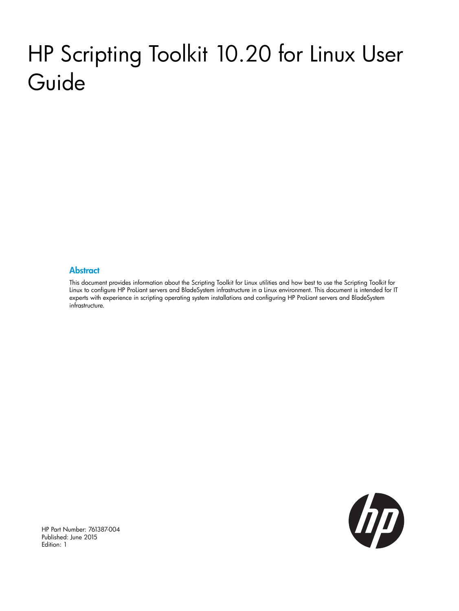# HP Scripting Toolkit 10.20 for Linux User Guide

#### **Abstract**

This document provides information about the Scripting Toolkit for Linux utilities and how best to use the Scripting Toolkit for Linux to configure HP ProLiant servers and BladeSystem infrastructure in a Linux environment. This document is intended for IT experts with experience in scripting operating system installations and configuring HP ProLiant servers and BladeSystem infrastructure.



HP Part Number: 761387-004 Published: June 2015 Edition: 1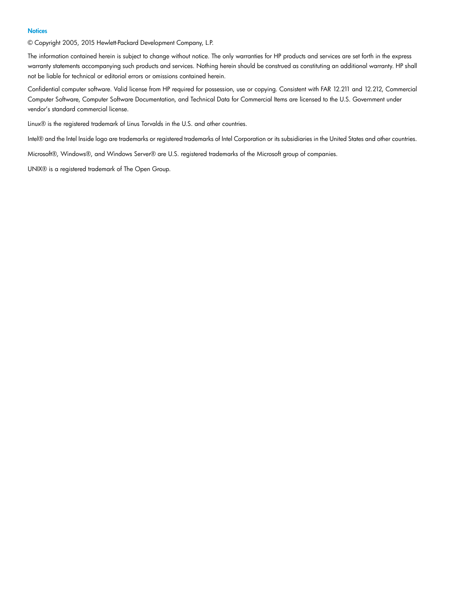#### **Notices**

© Copyright 2005, 2015 Hewlett-Packard Development Company, L.P.

The information contained herein is subject to change without notice. The only warranties for HP products and services are set forth in the express warranty statements accompanying such products and services. Nothing herein should be construed as constituting an additional warranty. HP shall not be liable for technical or editorial errors or omissions contained herein.

Confidential computer software. Valid license from HP required for possession, use or copying. Consistent with FAR 12.211 and 12.212, Commercial Computer Software, Computer Software Documentation, and Technical Data for Commercial Items are licensed to the U.S. Government under vendor's standard commercial license.

Linux® is the registered trademark of Linus Torvalds in the U.S. and other countries.

Intel® and the Intel Inside logo are trademarks or registered trademarks of Intel Corporation or its subsidiaries in the United States and other countries.

Microsoft®, Windows®, and Windows Server® are U.S. registered trademarks of the Microsoft group of companies.

UNIX® is a registered trademark of The Open Group.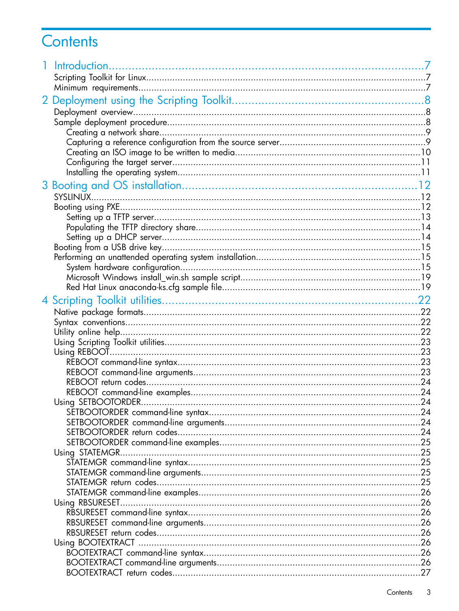# Contents

| Using SETBOOTORDER | . .24 |
|--------------------|-------|
|                    |       |
|                    |       |
|                    |       |
|                    |       |
| Using STATEMGR     |       |
|                    |       |
|                    |       |
|                    |       |
|                    |       |
| Using RBSURESET    |       |
|                    |       |
|                    |       |
|                    |       |
|                    |       |
|                    |       |
|                    |       |
|                    |       |
|                    |       |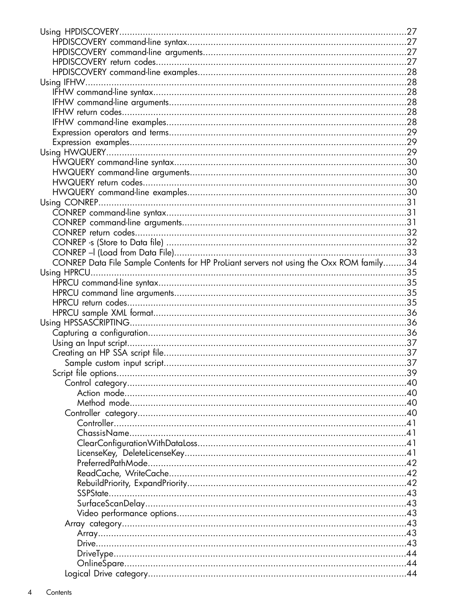| CONREP Data File Sample Contents for HP ProLiant servers not using the Oxx ROM family34 |  |
|-----------------------------------------------------------------------------------------|--|
|                                                                                         |  |
|                                                                                         |  |
|                                                                                         |  |
|                                                                                         |  |
|                                                                                         |  |
|                                                                                         |  |
|                                                                                         |  |
|                                                                                         |  |
|                                                                                         |  |
|                                                                                         |  |
|                                                                                         |  |
|                                                                                         |  |
|                                                                                         |  |
|                                                                                         |  |
|                                                                                         |  |
|                                                                                         |  |
|                                                                                         |  |
|                                                                                         |  |
|                                                                                         |  |
|                                                                                         |  |
|                                                                                         |  |
|                                                                                         |  |
|                                                                                         |  |
|                                                                                         |  |
|                                                                                         |  |
|                                                                                         |  |
|                                                                                         |  |
|                                                                                         |  |
|                                                                                         |  |
|                                                                                         |  |
|                                                                                         |  |
|                                                                                         |  |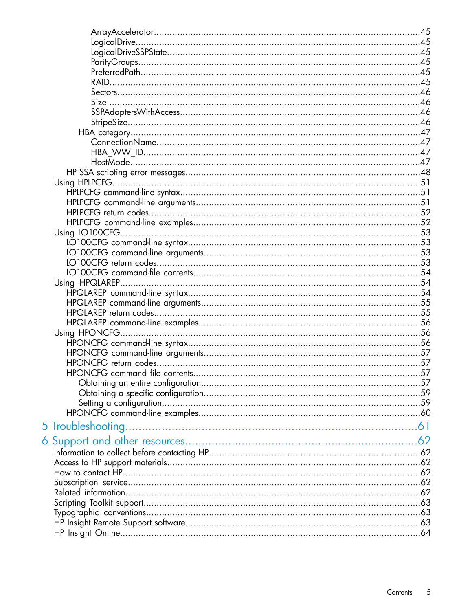| 5 Troubleshooting |  |
|-------------------|--|
|                   |  |
|                   |  |
|                   |  |
|                   |  |
|                   |  |
|                   |  |
|                   |  |
|                   |  |
|                   |  |
|                   |  |
|                   |  |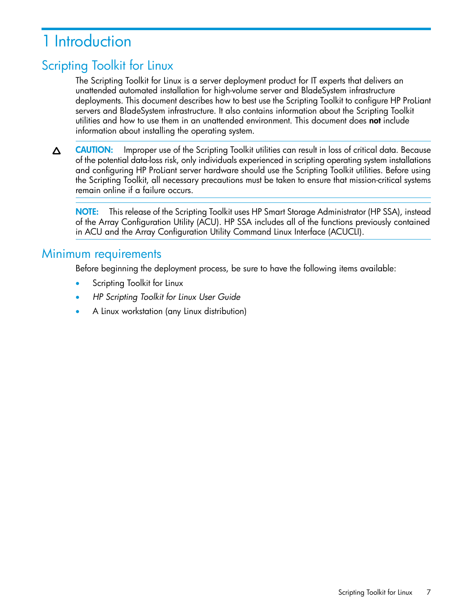# <span id="page-6-0"></span>1 Introduction

# Scripting Toolkit for Linux

<span id="page-6-1"></span>The Scripting Toolkit for Linux is a server deployment product for IT experts that delivers an unattended automated installation for high-volume server and BladeSystem infrastructure deployments. This document describes how to best use the Scripting Toolkit to configure HP ProLiant servers and BladeSystem infrastructure. It also contains information about the Scripting Toolkit utilities and how to use them in an unattended environment. This document does not include information about installing the operating system.

CAUTION: Improper use of the Scripting Toolkit utilities can result in loss of critical data. Because Δ of the potential data-loss risk, only individuals experienced in scripting operating system installations and configuring HP ProLiant server hardware should use the Scripting Toolkit utilities. Before using the Scripting Toolkit, all necessary precautions must be taken to ensure that mission-critical systems remain online if a failure occurs.

<span id="page-6-2"></span>NOTE: This release of the Scripting Toolkit uses HP Smart Storage Administrator (HP SSA), instead of the Array Configuration Utility (ACU). HP SSA includes all of the functions previously contained in ACU and the Array Configuration Utility Command Linux Interface (ACUCLI).

# Minimum requirements

Before beginning the deployment process, be sure to have the following items available:

- Scripting Toolkit for Linux
- *HP Scripting Toolkit for Linux User Guide*
- A Linux workstation (any Linux distribution)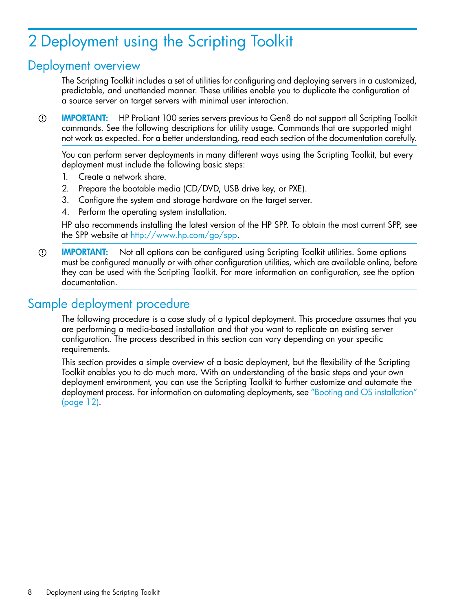# <span id="page-7-0"></span>2 Deployment using the Scripting Toolkit

# Deployment overview

<span id="page-7-3"></span><span id="page-7-1"></span>The Scripting Toolkit includes a set of utilities for configuring and deploying servers in a customized, predictable, and unattended manner. These utilities enable you to duplicate the configuration of a source server on target servers with minimal user interaction.

 $\odot$ IMPORTANT: HP ProLiant 100 series servers previous to Gen8 do not support all Scripting Toolkit commands. See the following descriptions for utility usage. Commands that are supported might not work as expected. For a better understanding, read each section of the documentation carefully.

You can perform server deployments in many different ways using the Scripting Toolkit, but every deployment must include the following basic steps:

- 1. Create a network share.
- 2. Prepare the bootable media (CD/DVD, USB drive key, or PXE).
- 3. Configure the system and storage hardware on the target server.
- 4. Perform the operating system installation.

HP also recommends installing the latest version of the HP SPP. To obtain the most current SPP, see the SPP website at <http://www.hp.com/go/spp>.

<span id="page-7-2"></span>IMPORTANT: Not all options can be configured using Scripting Toolkit utilities. Some options  $\circledR$ must be configured manually or with other configuration utilities, which are available online, before they can be used with the Scripting Toolkit. For more information on configuration, see the option documentation.

# <span id="page-7-4"></span>Sample deployment procedure

The following procedure is a case study of a typical deployment. This procedure assumes that you are performing a media-based installation and that you want to replicate an existing server configuration. The process described in this section can vary depending on your specific requirements.

This section provides a simple overview of a basic deployment, but the flexibility of the Scripting Toolkit enables you to do much more. With an understanding of the basic steps and your own deployment environment, you can use the Scripting Toolkit to further customize and automate the deployment process. For information on automating deployments, see "Booting and OS [installation"](#page-11-0) [\(page](#page-11-0) 12).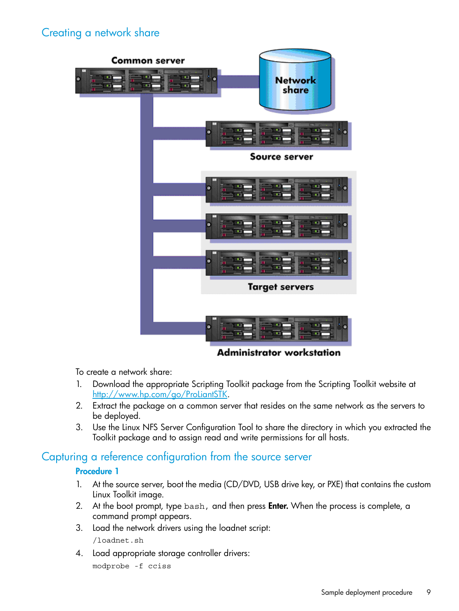# <span id="page-8-0"></span>Creating a network share

<span id="page-8-3"></span>

**Administrator workstation** 

To create a network share:

- 1. Download the appropriate Scripting Toolkit package from the Scripting Toolkit website at [http://www.hp.com/go/ProLiantSTK.](http://www.hp.com/go/ProLiantSTK)
- <span id="page-8-1"></span>2. Extract the package on a common server that resides on the same network as the servers to be deployed.
- <span id="page-8-2"></span>3. Use the Linux NFS Server Configuration Tool to share the directory in which you extracted the Toolkit package and to assign read and write permissions for all hosts.

#### Capturing a reference configuration from the source server

#### Procedure 1

- 1. At the source server, boot the media (CD/DVD, USB drive key, or PXE) that contains the custom Linux Toolkit image.
- 2. At the boot prompt, type bash, and then press **Enter.** When the process is complete, a command prompt appears.
- 3. Load the network drivers using the loadnet script: /loadnet.sh
- 4. Load appropriate storage controller drivers: modprobe -f cciss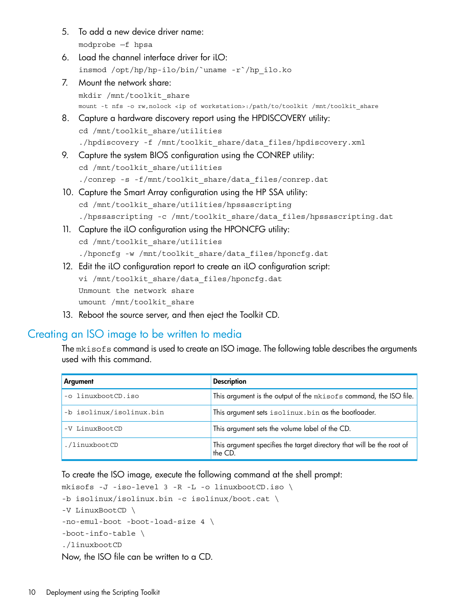- 5. To add a new device driver name: modprobe —f hpsa
- 6. Load the channel interface driver for iLO: insmod /opt/hp/hp-ilo/bin/`uname -r`/hp\_ilo.ko
- 7. Mount the network share: mkdir /mnt/toolkit\_share mount -t nfs -o rw,nolock <ip of workstation>:/path/to/toolkit /mnt/toolkit\_share
- 8. Capture a hardware discovery report using the HPDISCOVERY utility: cd /mnt/toolkit\_share/utilities ./hpdiscovery -f /mnt/toolkit\_share/data\_files/hpdiscovery.xml
- 9. Capture the system BIOS configuration using the CONREP utility: cd /mnt/toolkit\_share/utilities ./conrep -s -f/mnt/toolkit\_share/data\_files/conrep.dat
- 10. Capture the Smart Array configuration using the HP SSA utility: cd /mnt/toolkit\_share/utilities/hpssascripting ./hpssascripting -c /mnt/toolkit\_share/data\_files/hpssascripting.dat
- 11. Capture the iLO configuration using the HPONCFG utility: cd /mnt/toolkit\_share/utilities ./hponcfg -w /mnt/toolkit\_share/data\_files/hponcfg.dat
- 12. Edit the iLO configuration report to create an iLO configuration script: vi /mnt/toolkit share/data files/hponcfg.dat Unmount the network share umount /mnt/toolkit share
- <span id="page-9-1"></span><span id="page-9-0"></span>13. Reboot the source server, and then eject the Toolkit CD.

### Creating an ISO image to be written to media

The mkisofs command is used to create an ISO image. The following table describes the arguments used with this command.

| Argument                 | <b>Description</b>                                                               |
|--------------------------|----------------------------------------------------------------------------------|
| -o linuxbootCD.iso       | This argument is the output of the mkisofs command, the ISO file.                |
| -b isolinux/isolinux.bin | This argument sets isolinux.bin as the bootloader.                               |
| -V LinuxBootCD           | This argument sets the volume label of the CD.                                   |
| ./linuxbootCD            | This argument specifies the target directory that will be the root of<br>the CD. |

To create the ISO image, execute the following command at the shell prompt:

```
mkisofs -J -iso-level 3 -R -L -o linuxbootCD.iso \
-b isolinux/isolinux.bin -c isolinux/boot.cat \
-V LinuxBootCD \
-no-emul-boot -boot-load-size 4 \
-boot-info-table \
./linuxbootCD
Now, the ISO file can be written to a CD.
```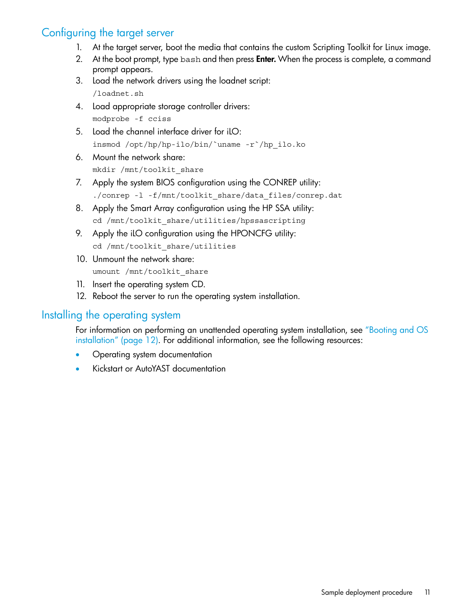# Configuring the target server

- <span id="page-10-2"></span><span id="page-10-0"></span>1. At the target server, boot the media that contains the custom Scripting Toolkit for Linux image.
- 2. At the boot prompt, type bash and then press **Enter.** When the process is complete, a command prompt appears.
- 3. Load the network drivers using the loadnet script: /loadnet.sh
- 4. Load appropriate storage controller drivers: modprobe -f cciss
- 5. Load the channel interface driver for iLO: insmod /opt/hp/hp-ilo/bin/`uname -r`/hp\_ilo.ko
- 6. Mount the network share: mkdir /mnt/toolkit\_share
- 7. Apply the system BIOS configuration using the CONREP utility: ./conrep -1 -f/mnt/toolkit share/data files/conrep.dat
- 8. Apply the Smart Array configuration using the HP SSA utility: cd /mnt/toolkit\_share/utilities/hpssascripting
- 9. Apply the iLO configuration using the HPONCFG utility: cd /mnt/toolkit share/utilities
- 10. Unmount the network share: umount /mnt/toolkit share
- <span id="page-10-1"></span>11. Insert the operating system CD.
- <span id="page-10-3"></span>12. Reboot the server to run the operating system installation.

### Installing the operating system

For information on performing an unattended operating system installation, see ["Booting](#page-11-0) and OS [installation"](#page-11-0) (page 12). For additional information, see the following resources:

- Operating system documentation
- Kickstart or AutoYAST documentation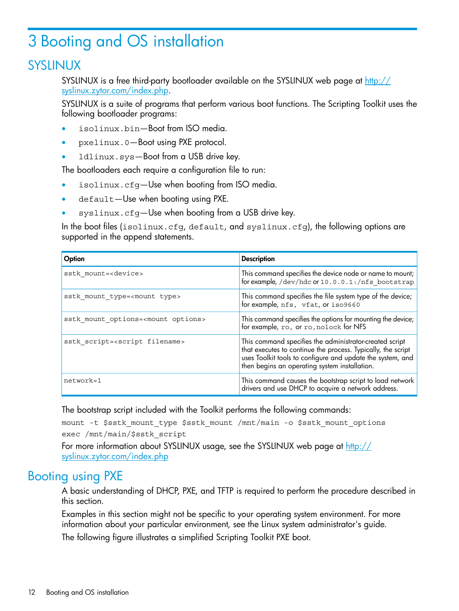# <span id="page-11-0"></span>3 Booting and OS installation

# SYSLINUX

<span id="page-11-5"></span><span id="page-11-1"></span>SYSLINUX is a free third-party bootloader available on the SYSLINUX web page at [http://](http://syslinux.zytor.com/index.php) [syslinux.zytor.com/index.php](http://syslinux.zytor.com/index.php).

SYSLINUX is a suite of programs that perform various boot functions. The Scripting Toolkit uses the following bootloader programs:

- isolinux.bin—Boot from ISO media.
- pxelinux.0—Boot using PXE protocol.
- 1dlinux.sys-Boot from a USB drive key.

The bootloaders each require a configuration file to run:

- isolinux.cfg—Use when booting from ISO media.
- default-Use when booting using PXE.
- syslinux.cfg—Use when booting from a USB drive key.

In the boot files (isolinux.cfg, default, and syslinux.cfg), the following options are supported in the append statements.

| Option                                         | <b>Description</b>                                                                                                  |
|------------------------------------------------|---------------------------------------------------------------------------------------------------------------------|
| sstk mount= <device></device>                  | This command specifies the device node or name to mount;<br>for example, /dev/hdc or 10.0.0.1:/nfs bootstrap        |
| sstk mount type= <mount type=""></mount>       | This command specifies the file system type of the device;<br>for example, nfs, vfat, or iso9660                    |
| sstk mount options= <mount options=""></mount> | This command specifies the options for mounting the device;<br>for example, $ro$ , or $ro$ , $ro$ , $olock$ for NFS |
| sstk script= <script filename=""></script>     |                                                                                                                     |

The bootstrap script included with the Toolkit performs the following commands:

<span id="page-11-2"></span>mount -t \$sstk\_mount\_type \$sstk\_mount /mnt/main -o \$sstk\_mount\_options exec /mnt/main/\$sstk\_script

<span id="page-11-3"></span>For more information about SYSLINUX usage, see the SYSLINUX web page at [http://](http://syslinux.zytor.com/index.php) [syslinux.zytor.com/index.php](http://syslinux.zytor.com/index.php)

# Booting using PXE

<span id="page-11-4"></span>A basic understanding of DHCP, PXE, and TFTP is required to perform the procedure described in this section.

Examples in this section might not be specific to your operating system environment. For more information about your particular environment, see the Linux system administrator's guide.

The following figure illustrates a simplified Scripting Toolkit PXE boot.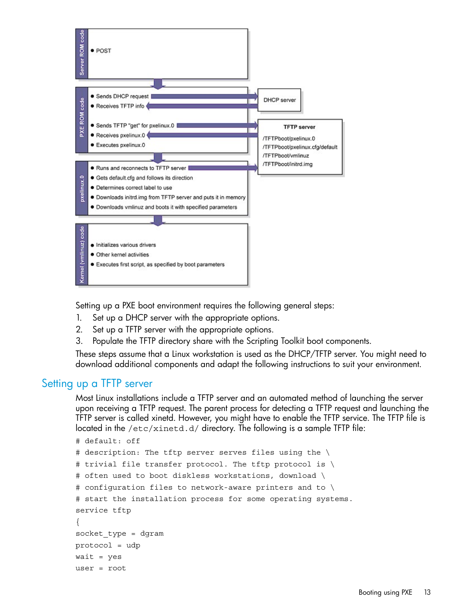

Setting up a PXE boot environment requires the following general steps:

- 1. Set up a DHCP server with the appropriate options.
- 2. Set up a TFTP server with the appropriate options.
- <span id="page-12-0"></span>3. Populate the TFTP directory share with the Scripting Toolkit boot components.

<span id="page-12-1"></span>These steps assume that a Linux workstation is used as the DHCP/TFTP server. You might need to download additional components and adapt the following instructions to suit your environment.

### Setting up a TFTP server

Most Linux installations include a TFTP server and an automated method of launching the server upon receiving a TFTP request. The parent process for detecting a TFTP request and launching the TFTP server is called xinetd. However, you might have to enable the TFTP service. The TFTP file is located in the /etc/xinetd.d/ directory. The following is a sample TFTP file:

```
# default: off
# description: The tftp server serves files using the \
# trivial file transfer protocol. The tftp protocol is \
# often used to boot diskless workstations, download \
# configuration files to network-aware printers and to \
# start the installation process for some operating systems.
service tftp
{
socket_type = dgram
protocol = udp
wait = yesuser = root
```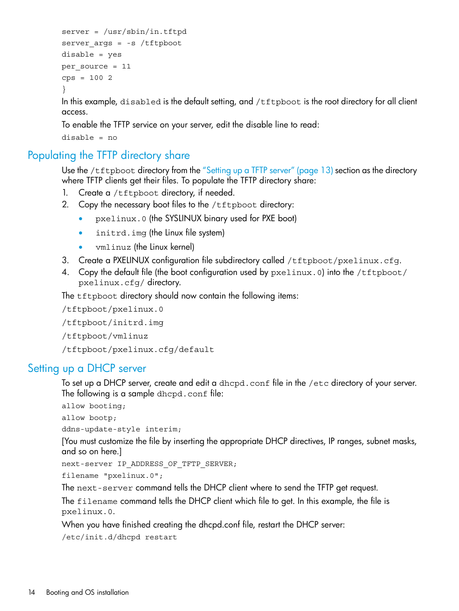```
server = /usr/sbin/in.tftpdserver args = -s /tftpbootdisable = yes
per_source = 11
cps = 1002}
```
In this example, disabled is the default setting, and /tftpboot is the root directory for all client access.

To enable the TFTP service on your server, edit the disable line to read:

<span id="page-13-0"></span>disable = no

# Populating the TFTP directory share

<span id="page-13-3"></span>Use the /tftpboot directory from the ["Setting](#page-12-0) up a TFTP server" (page 13) section as the directory where TFTP clients get their files. To populate the TFTP directory share:

- 1. Create a /tftpboot directory, if needed.
- 2. Copy the necessary boot files to the /tftpboot directory:
	- pxelinux.0 (the SYSLINUX binary used for PXE boot)
	- initrd.img (the Linux file system)
	- vmlinuz (the Linux kernel)
- 3. Create a PXELINUX configuration file subdirectory called /tftpboot/pxelinux.cfg.
- 4. Copy the default file (the boot configuration used by  $pxelinux.0$ ) into the /tftpboot/ pxelinux.cfg/ directory.

The *tftpboot* directory should now contain the following items:

/tftpboot/pxelinux.0

<span id="page-13-1"></span>/tftpboot/initrd.img

/tftpboot/vmlinuz

<span id="page-13-2"></span>/tftpboot/pxelinux.cfg/default

#### Setting up a DHCP server

To set up a DHCP server, create and edit a dhcpd.conf file in the /etc directory of your server. The following is a sample dhcpd.conf file:

```
allow booting;
```

```
allow bootp;
```
ddns-update-style interim;

[You must customize the file by inserting the appropriate DHCP directives, IP ranges, subnet masks, and so on here.]

next-server IP ADDRESS OF TFTP SERVER;

filename "pxelinux.0";

The next-server command tells the DHCP client where to send the TFTP get request.

The filename command tells the DHCP client which file to get. In this example, the file is pxelinux.0.

When you have finished creating the dhcpd.conf file, restart the DHCP server:

/etc/init.d/dhcpd restart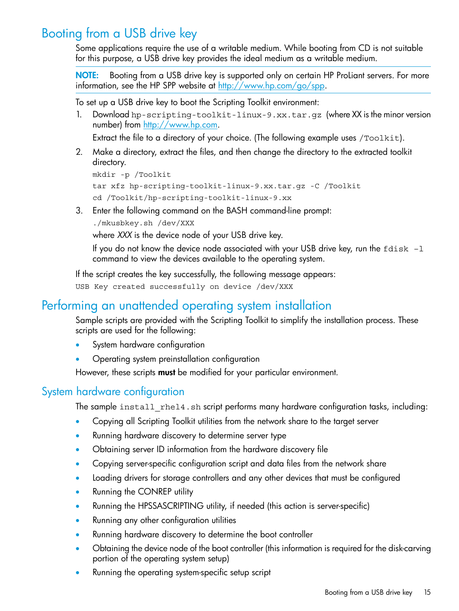# Booting from a USB drive key

<span id="page-14-5"></span><span id="page-14-0"></span>Some applications require the use of a writable medium. While booting from CD is not suitable for this purpose, a USB drive key provides the ideal medium as a writable medium.

NOTE: Booting from a USB drive key is supported only on certain HP ProLiant servers. For more information, see the HP SPP website at http://www.hp.com/qo/spp.

To set up a USB drive key to boot the Scripting Toolkit environment:

1. Download hp-scripting-toolkit-linux-9.xx.tar.gz (where XX is the minor version number) from [http://www.hp.com.](http://www.hp.com)

Extract the file to a directory of your choice. (The following example uses /Toolkit).

2. Make a directory, extract the files, and then change the directory to the extracted toolkit directory.

```
mkdir -p /Toolkit
tar xfz hp-scripting-toolkit-linux-9.xx.tar.gz -C /Toolkit
cd /Toolkit/hp-scripting-toolkit-linux-9.xx
```
3. Enter the following command on the BASH command-line prompt:

./mkusbkey.sh /dev/XXX

where *XXX* is the device node of your USB drive key.

If you do not know the device node associated with your USB drive key, run the  $fdisk -1$ command to view the devices available to the operating system.

<span id="page-14-1"></span>If the script creates the key successfully, the following message appears:

<span id="page-14-4"></span>USB Key created successfully on device /dev/XXX

# Performing an unattended operating system installation

Sample scripts are provided with the Scripting Toolkit to simplify the installation process. These scripts are used for the following:

- <span id="page-14-2"></span>System hardware configuration
- Operating system preinstallation configuration

<span id="page-14-3"></span>However, these scripts **must** be modified for your particular environment.

### System hardware configuration

The sample install rhel4.sh script performs many hardware configuration tasks, including:

- Copying all Scripting Toolkit utilities from the network share to the target server
- Running hardware discovery to determine server type
- Obtaining server ID information from the hardware discovery file
- Copying server-specific configuration script and data files from the network share
- Loading drivers for storage controllers and any other devices that must be configured
- Running the CONREP utility
- Running the HPSSASCRIPTING utility, if needed (this action is server-specific)
- Running any other configuration utilities
- Running hardware discovery to determine the boot controller
- Obtaining the device node of the boot controller (this information is required for the disk-carving portion of the operating system setup)
- Running the operating system-specific setup script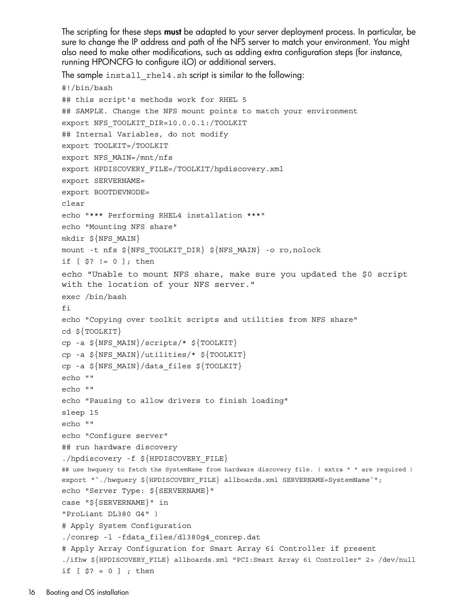The scripting for these steps **must** be adapted to your server deployment process. In particular, be sure to change the IP address and path of the NFS server to match your environment. You might also need to make other modifications, such as adding extra configuration steps (for instance, running HPONCFG to configure iLO) or additional servers.

The sample install\_rhel4.sh script is similar to the following:

```
#!/bin/bash
## this script's methods work for RHEL 5
## SAMPLE. Change the NFS mount points to match your environment
export NFS_TOOLKIT_DIR=10.0.0.1:/TOOLKIT
## Internal Variables, do not modify
export TOOLKIT=/TOOLKIT
export NFS_MAIN=/mnt/nfs
export HPDISCOVERY_FILE=/TOOLKIT/hpdiscovery.xml
export SERVERNAME=
export BOOTDEVNODE=
clear
echo "*** Performing RHEL4 installation ***"
echo "Mounting NFS share"
mkdir ${NFS_MAIN}
mount -t nfs ${NFS_TOOLKIT_DIR} ${NFS_MAIN} -o ro,nolock
if [ $? != 0 ]; then
echo "Unable to mount NFS share, make sure you updated the $0 script
with the location of your NFS server."
exec /bin/bash
fi
echo "Copying over toolkit scripts and utilities from NFS share"
cd ${TOOLKIT}
cp -a ${NFS_MAIN}/scripts/* ${TOOLKIT}
cp -a \S{NFS MAIN}/utilities/* \S{TOOLKIT}
cp -a ${NFS_MAIN}/data_files ${TOOLKIT}
echo ""
echo ""
echo "Pausing to allow drivers to finish loading"
sleep 15
echo ""
echo "Configure server"
## run hardware discovery 
./hpdiscovery -f ${HPDISCOVERY_FILE}
## use hwquery to fetch the SystemName from hardware discovery file. ( extra " " are required ) 
export "`./hwquery ${HPDISCOVERY_FILE} allboards.xml SERVERNAME=SystemName`";
echo "Server Type: ${SERVERNAME}"
case "${SERVERNAME}" in
"ProLiant DL380 G4" )
# Apply System Configuration
./conrep -l -fdata_files/dl380g4_conrep.dat 
# Apply Array Configuration for Smart Array 6i Controller if present
./ifhw ${HPDISCOVERY_FILE} allboards.xml "PCI:Smart Array 6i Controller" 2> /dev/null
if [ $? = 0 ] ; then
```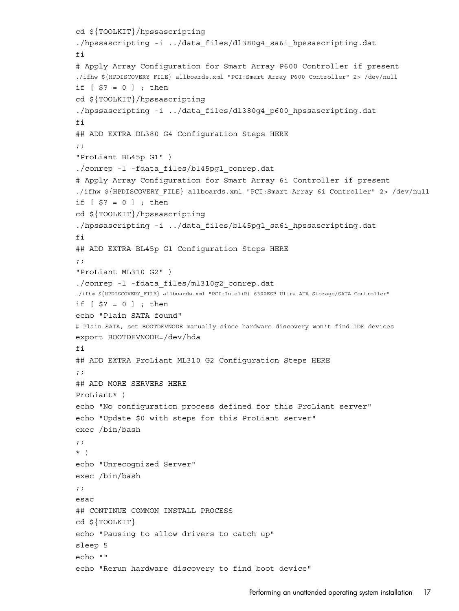```
cd ${TOOLKIT}/hpssascripting
./hpssascripting -i ../data_files/dl380g4_sa6i_hpssascripting.dat
fi
# Apply Array Configuration for Smart Array P600 Controller if present
./ifhw ${HPDISCOVERY_FILE} allboards.xml "PCI:Smart Array P600 Controller" 2> /dev/null
if [ $? = 0 ] ; then
cd ${TOOLKIT}/hpssascripting
./hpssascripting -i ../data_files/dl380g4_p600_hpssascripting.dat
fi
## ADD EXTRA DL380 G4 Configuration Steps HERE
;;
"ProLiant BL45p G1" )
./conrep -l -fdata_files/bl45pg1_conrep.dat 
# Apply Array Configuration for Smart Array 6i Controller if present
./ifhw ${HPDISCOVERY_FILE} allboards.xml "PCI:Smart Array 6i Controller" 2> /dev/null
if [ $? = 0 ] ; then
cd ${TOOLKIT}/hpssascripting
./hpssascripting -i ../data_files/bl45pg1_sa6i_hpssascripting.dat
fi
## ADD EXTRA BL45p G1 Configuration Steps HERE
;;
"ProLiant ML310 G2" )
./conrep -l -fdata_files/ml310g2_conrep.dat
./ifhw ${HPDISCOVERY_FILE} allboards.xml "PCI:Intel(R) 6300ESB Ultra ATA Storage/SATA Controller" 
if [ $? = 0 ] ; then
echo "Plain SATA found"
# Plain SATA, set BOOTDEVNODE manually since hardware discovery won't find IDE devices 
export BOOTDEVNODE=/dev/hda
fi
## ADD EXTRA ProLiant ML310 G2 Configuration Steps HERE
;;
## ADD MORE SERVERS HERE
ProLiant* )
echo "No configuration process defined for this ProLiant server"
echo "Update $0 with steps for this ProLiant server"
exec /bin/bash
;;
* )
echo "Unrecognized Server"
exec /bin/bash
;;
esac
## CONTINUE COMMON INSTALL PROCESS
cd ${TOOLKIT}
echo "Pausing to allow drivers to catch up"
sleep 5
echo ""
echo "Rerun hardware discovery to find boot device"
```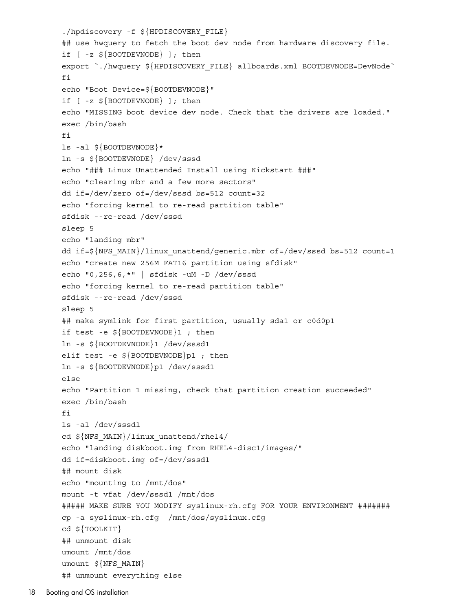```
./hpdiscovery -f ${HPDISCOVERY_FILE}
## use hwquery to fetch the boot dev node from hardware discovery file.
if [ -z ${BOOTDEVNODE} ]; then
export `./hwquery ${HPDISCOVERY FILE} allboards.xml BOOTDEVNODE=DevNode`
fi
echo "Boot Device=${BOOTDEVNODE}"
if [ -z ${BOOTDEVNODE} ]; then
echo "MISSING boot device dev node. Check that the drivers are loaded."
exec /bin/bash
f_ils -al ${BOOTDEVNODE}*
ln -s ${BOOTDEVNODE} /dev/sssd
echo "### Linux Unattended Install using Kickstart ###"
echo "clearing mbr and a few more sectors"
dd if=/dev/zero of=/dev/sssd bs=512 count=32
echo "forcing kernel to re-read partition table"
sfdisk --re-read /dev/sssd
sleep 5
echo "landing mbr"
dd if=${NFS_MAIN}/linux_unattend/generic.mbr of=/dev/sssd bs=512 count=1
echo "create new 256M FAT16 partition using sfdisk"
echo "0,256,6,*" | sfdisk -uM -D /dev/sssd
echo "forcing kernel to re-read partition table"
sfdisk --re-read /dev/sssd
sleep 5
## make symlink for first partition, usually sda1 or c0d0p1
if test -e ${BOOTDEVNODE}1 ; then
ln -s ${BOOTDEVNODE}1 /dev/sssd1
elif test -e ${BOOTDEVNODE}p1 ; then
ln -s ${BOOTDEVNODE}p1 /dev/sssd1
else
echo "Partition 1 missing, check that partition creation succeeded"
exec /bin/bash
fi
ls -al /dev/sssd1
cd ${NFS_MAIN}/linux_unattend/rhel4/
echo "landing diskboot.img from RHEL4-disc1/images/"
dd if=diskboot.img of=/dev/sssd1
## mount disk
echo "mounting to /mnt/dos"
mount -t vfat /dev/sssd1 /mnt/dos
##### MAKE SURE YOU MODIFY syslinux-rh.cfg FOR YOUR ENVIRONMENT #######
cp -a syslinux-rh.cfg /mnt/dos/syslinux.cfg
cd ${TOOLKIT}
## unmount disk
umount /mnt/dos
umount ${NFS MAIN}
## unmount everything else
```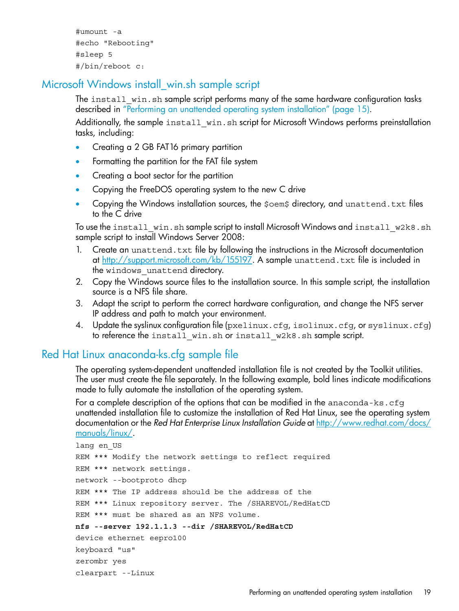```
#umount -a
#echo "Rebooting"
#sleep 5
#/bin/reboot c:
```
## Microsoft Windows install\_win.sh sample script

<span id="page-18-3"></span><span id="page-18-0"></span>The install win.sh sample script performs many of the same hardware configuration tasks described in ["Performing](#page-14-1) an unattended operating system installation" (page 15).

Additionally, the sample install win.sh script for Microsoft Windows performs preinstallation tasks, including:

- Creating a 2 GB FAT16 primary partition
- Formatting the partition for the FAT file system
- Creating a boot sector for the partition
- Copying the FreeDOS operating system to the new C drive
- Copying the Windows installation sources, the  $\beta$ oem $\beta$  directory, and unattend.txt files to the C drive

To use the install win.sh sample script to install Microsoft Windows and install w2k8.sh sample script to install Windows Server 2008:

- 1. Create an unattend.txt file by following the instructions in the Microsoft documentation at [http://support.microsoft.com/kb/155197.](http://support.microsoft.com/kb/155197) A sample unattend.txt file is included in the windows unattend directory.
- 2. Copy the Windows source files to the installation source. In this sample script, the installation source is a NFS file share.
- <span id="page-18-1"></span>3. Adapt the script to perform the correct hardware configuration, and change the NFS server IP address and path to match your environment.
- <span id="page-18-2"></span>4. Update the syslinux configuration file (pxelinux.cfg, isolinux.cfg, or syslinux.cfg) to reference the install win.sh or install w2k8.sh sample script.

### Red Hat Linux anaconda-ks.cfg sample file

The operating system-dependent unattended installation file is not created by the Toolkit utilities. The user must create the file separately. In the following example, bold lines indicate modifications made to fully automate the installation of the operating system.

For a complete description of the options that can be modified in the anaconda-ks.cfg unattended installation file to customize the installation of Red Hat Linux, see the operating system documentation or the *Red Hat Enterprise Linux Installation Guide* at [http://www.redhat.com/docs/](http://www.redhat.com/docs/manuals/linux/) [manuals/linux/.](http://www.redhat.com/docs/manuals/linux/)

```
lang en US
REM *** Modify the network settings to reflect required 
REM *** network settings.
network --bootproto dhcp
REM *** The IP address should be the address of the
REM *** Linux repository server. The /SHAREVOL/RedHatCD
REM *** must be shared as an NFS volume.
nfs --server 192.1.1.3 --dir /SHAREVOL/RedHatCD
device ethernet eepro100
keyboard "us"
zerombr yes
clearpart --Linux
```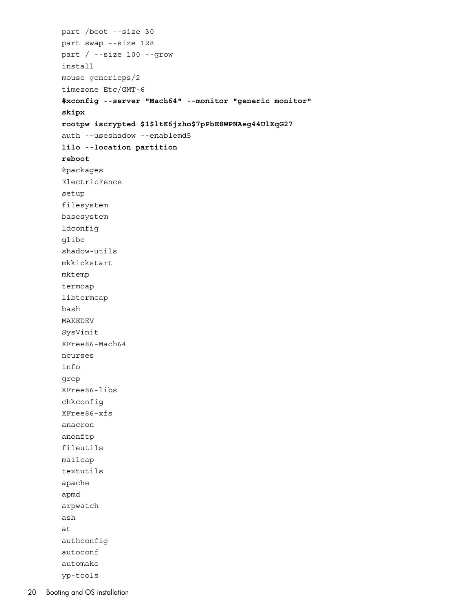```
part /boot --size 30
part swap --size 128
part / --size 100 --grow
install
mouse genericps/2
timezone Etc/GMT-6
#xconfig --server "Mach64" --monitor "generic monitor"
skipx
rootpw iscrypted $1$ltK6jzho$7pPbE8WPNAeg44UlXqG27
auth --useshadow --enablemd5
lilo --location partition
reboot
%packages
ElectricFence
setup
filesystem
basesystem
ldconfig
glibc
shadow-utils
mkkickstart
mktemp
termcap
libtermcap
bash
MAKEDEV
SysVinit
XFree86-Mach64
ncurses
info
grep
XFree86-libs
chkconfig
XFree86-xfs
anacron
anonftp
fileutils
mailcap
textutils
apache
apmd
arpwatch
ash
at
authconfig
autoconf
automake
```
yp-tools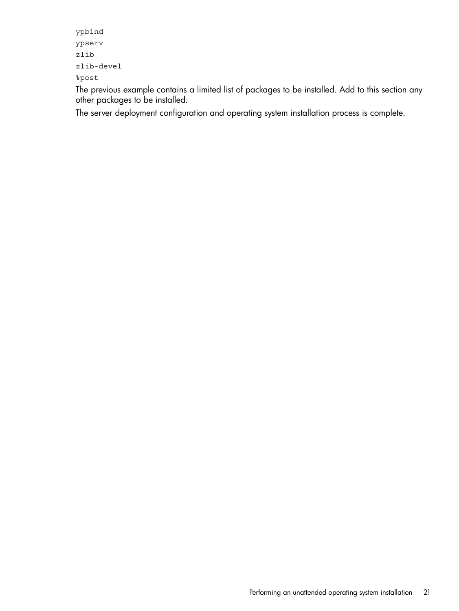```
ypbind
ypserv
zlib
zlib-devel
%post
```
The previous example contains a limited list of packages to be installed. Add to this section any other packages to be installed.

The server deployment configuration and operating system installation process is complete.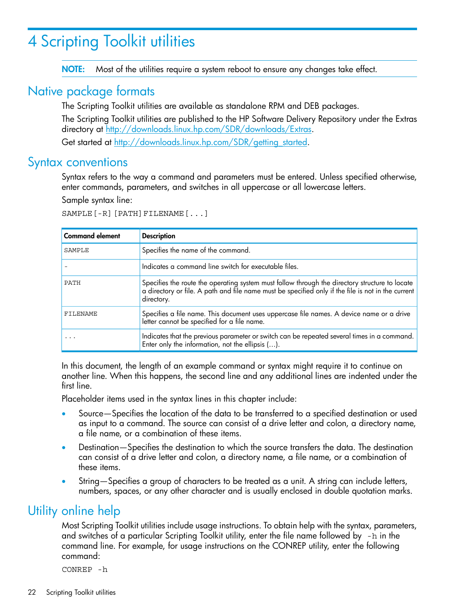# <span id="page-21-0"></span>4 Scripting Toolkit utilities

<span id="page-21-6"></span><span id="page-21-1"></span>NOTE: Most of the utilities require a system reboot to ensure any changes take effect.

## Native package formats

<span id="page-21-4"></span>The Scripting Toolkit utilities are available as standalone RPM and DEB packages.

The Scripting Toolkit utilities are published to the HP Software Delivery Repository under the Extras directory at [http://downloads.linux.hp.com/SDR/downloads/Extras.](http://downloads.linux.hp.com/SDR/downloads/Extras) Get started at [http://downloads.linux.hp.com/SDR/getting\\_started](http://downloads.linux.hp.com/SDR/getting_started).

<span id="page-21-7"></span><span id="page-21-2"></span>

### Syntax conventions

Syntax refers to the way a command and parameters must be entered. Unless specified otherwise, enter commands, parameters, and switches in all uppercase or all lowercase letters.

Sample syntax line:

SAMPLE[-R][PATH]FILENAME[...]

| <b>Command element</b> | <b>Description</b>                                                                                                                                                                                                 |
|------------------------|--------------------------------------------------------------------------------------------------------------------------------------------------------------------------------------------------------------------|
| SAMPLE                 | Specifies the name of the command.                                                                                                                                                                                 |
|                        | Indicates a command line switch for executable files.                                                                                                                                                              |
| PATH                   | Specifies the route the operating system must follow through the directory structure to locate<br>a directory or file. A path and file name must be specified only if the file is not in the current<br>directory. |
| FILENAME               | Specifies a file name. This document uses uppercase file names. A device name or a drive<br>letter cannot be specified for a file name.                                                                            |
|                        | Indicates that the previous parameter or switch can be repeated several times in a command.<br>Enter only the information, not the ellipsis ().                                                                    |

In this document, the length of an example command or syntax might require it to continue on another line. When this happens, the second line and any additional lines are indented under the first line.

Placeholder items used in the syntax lines in this chapter include:

- Source—Specifies the location of the data to be transferred to a specified destination or used as input to a command. The source can consist of a drive letter and colon, a directory name, a file name, or a combination of these items.
- <span id="page-21-3"></span>• Destination—Specifies the destination to which the source transfers the data. The destination can consist of a drive letter and colon, a directory name, a file name, or a combination of these items.
- <span id="page-21-5"></span>• String—Specifies a group of characters to be treated as a unit. A string can include letters, numbers, spaces, or any other character and is usually enclosed in double quotation marks.

# Utility online help

Most Scripting Toolkit utilities include usage instructions. To obtain help with the syntax, parameters, and switches of a particular Scripting Toolkit utility, enter the file name followed by -h in the command line. For example, for usage instructions on the CONREP utility, enter the following command:

CONREP -h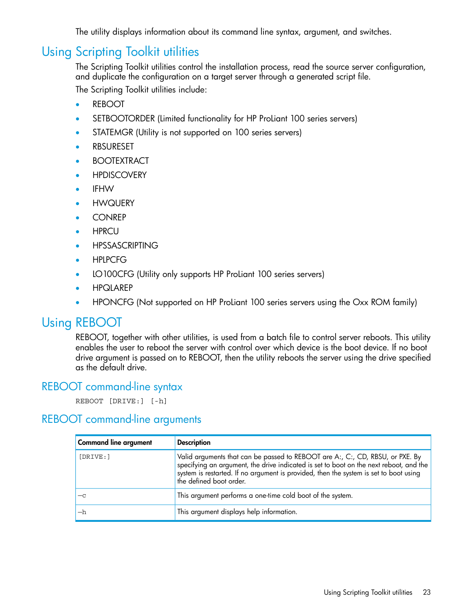<span id="page-22-0"></span>The utility displays information about its command line syntax, argument, and switches.

# Using Scripting Toolkit utilities

<span id="page-22-7"></span>The Scripting Toolkit utilities control the installation process, read the source server configuration, and duplicate the configuration on a target server through a generated script file. The Scripting Toolkit utilities include:

- REBOOT
- SETBOOTORDER (Limited functionality for HP ProLiant 100 series servers)
- STATEMGR (Utility is not supported on 100 series servers)
- **RBSURESET**
- **BOOTEXTRACT**
- HPDISCOVERY
- IFHW
- HWQUERY
- **CONREP**
- HPRCU
- **HPSSASCRIPTING**
- HPLPCFG
- LO100CFG (Utility only supports HP ProLiant 100 series servers)
- <span id="page-22-1"></span>• HPQLAREP
- <span id="page-22-4"></span>• HPONCFG (Not supported on HP ProLiant 100 series servers using the Oxx ROM family)

# Using REBOOT

<span id="page-22-6"></span><span id="page-22-2"></span>REBOOT, together with other utilities, is used from a batch file to control server reboots. This utility enables the user to reboot the server with control over which device is the boot device. If no boot drive argument is passed on to REBOOT, then the utility reboots the server using the drive specified as the default drive.

### REBOOT command-line syntax

<span id="page-22-5"></span><span id="page-22-3"></span>REBOOT [DRIVE:] [-h]

### REBOOT command-line arguments

| <b>Command line argument</b> | <b>Description</b>                                                                                                                                                                                                                                                                          |
|------------------------------|---------------------------------------------------------------------------------------------------------------------------------------------------------------------------------------------------------------------------------------------------------------------------------------------|
| [DRIVE: ]                    | Valid arguments that can be passed to REBOOT are A:, C:, CD, RBSU, or PXE. By<br>specifying an argument, the drive indicated is set to boot on the next reboot, and the<br>system is restarted. If no argument is provided, then the system is set to boot using<br>the defined boot order. |
|                              | This argument performs a one-time cold boot of the system.                                                                                                                                                                                                                                  |
| —h                           | This argument displays help information.                                                                                                                                                                                                                                                    |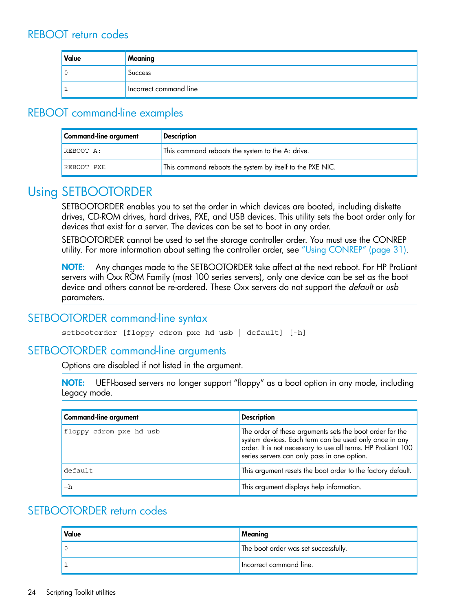<span id="page-23-7"></span><span id="page-23-0"></span>

| Value | Meaning                |
|-------|------------------------|
| v     | <b>Success</b>         |
|       | Incorrect command line |

# <span id="page-23-1"></span>REBOOT command-line examples

<span id="page-23-6"></span>

| <b>Command-line argument</b> | <b>Description</b>                                        |
|------------------------------|-----------------------------------------------------------|
| REBOOT A:                    | This command reboots the system to the A: drive.          |
| REBOOT PXE                   | This command reboots the system by itself to the PXE NIC. |

# <span id="page-23-2"></span>Using SETBOOTORDER

<span id="page-23-8"></span>SETBOOTORDER enables you to set the order in which devices are booted, including diskette drives, CD-ROM drives, hard drives, PXE, and USB devices. This utility sets the boot order only for devices that exist for a server. The devices can be set to boot in any order.

SETBOOTORDER cannot be used to set the storage controller order. You must use the CONREP utility. For more information about setting the controller order, see "Using [CONREP"](#page-30-0) (page 31).

<span id="page-23-3"></span>NOTE: Any changes made to the SETBOOTORDER take affect at the next reboot. For HP ProLiant servers with Oxx ROM Family (most 100 series servers), only one device can be set as the boot device and others cannot be re-ordered. These Oxx servers do not support the *default* or *usb* parameters.

### SETBOOTORDER command-line syntax

<span id="page-23-10"></span><span id="page-23-9"></span><span id="page-23-4"></span>setbootorder [floppy cdrom pxe hd usb | default] [-h]

### SETBOOTORDER command-line arguments

Options are disabled if not listed in the argument.

NOTE: UEFI-based servers no longer support "floppy" as a boot option in any mode, including Legacy mode.

<span id="page-23-5"></span>

| <b>Command-line argument</b> | <b>Description</b>                                                                                                                                                                                                                |
|------------------------------|-----------------------------------------------------------------------------------------------------------------------------------------------------------------------------------------------------------------------------------|
| floppy cdrom pxe hd usb      | The order of these arguments sets the boot order for the<br>system devices. Each term can be used only once in any<br>order. It is not necessary to use all terms. HP ProLiant 100<br>series servers can only pass in one option. |
| default                      | This argument resets the boot order to the factory default.                                                                                                                                                                       |
| —h                           | This argument displays help information.                                                                                                                                                                                          |

### <span id="page-23-11"></span>SETBOOTORDER return codes

| Value | Meaning                              |
|-------|--------------------------------------|
|       | The boot order was set successfully. |
|       | Incorrect command line.              |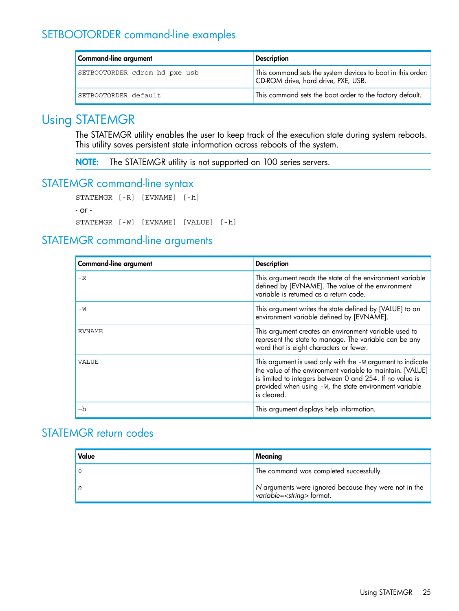# SETBOOTORDER command-line examples

<span id="page-24-5"></span><span id="page-24-0"></span>

| <b>Command-line argument</b>  | <b>Description</b>                                                                                 |
|-------------------------------|----------------------------------------------------------------------------------------------------|
| SETBOOTORDER cdrom hd pxe usb | This command sets the system devices to boot in this order:<br>CD-ROM drive, hard drive, PXE, USB. |
| SETBOOTORDER default          | This command sets the boot order to the factory default.                                           |

# Using STATEMGR

<span id="page-24-6"></span><span id="page-24-1"></span>The STATEMGR utility enables the user to keep track of the execution state during system reboots. This utility saves persistent state information across reboots of the system.

<span id="page-24-8"></span><span id="page-24-2"></span>NOTE: The STATEMGR utility is not supported on 100 series servers.

### STATEMGR command-line syntax

```
STATEMGR [-R] [EVNAME] [-h]
- or -
STATEMGR [-W] [EVNAME] [VALUE] [-h]
```
### <span id="page-24-7"></span>STATEMGR command-line arguments

| <b>Command-line argument</b> | <b>Description</b>                                                                                                                                                                                                                                             |
|------------------------------|----------------------------------------------------------------------------------------------------------------------------------------------------------------------------------------------------------------------------------------------------------------|
| $-R$                         | This argument reads the state of the environment variable<br>defined by [EVNAME]. The value of the environment<br>variable is returned as a return code.                                                                                                       |
| – M                          | This argument writes the state defined by [VALUE] to an<br>environment variable defined by [EVNAME].                                                                                                                                                           |
| <b>EVNAME</b>                | This argument creates an environment variable used to<br>represent the state to manage. The variable can be any<br>word that is eight characters or fewer.                                                                                                     |
| VALUE                        | This argument is used only with the -W argument to indicate<br>the value of the environment variable to maintain. [VALUE]<br>is limited to integers between 0 and 254. If no value is<br>provided when using -W, the state environment variable<br>is cleared. |
| —h                           | This argument displays help information.                                                                                                                                                                                                                       |

# <span id="page-24-9"></span><span id="page-24-4"></span>STATEMGR return codes

| Value | Meaning                                                                                      |
|-------|----------------------------------------------------------------------------------------------|
|       | The command was completed successfully.                                                      |
|       | N arguments were ignored because they were not in the<br>variable= <string> format.</string> |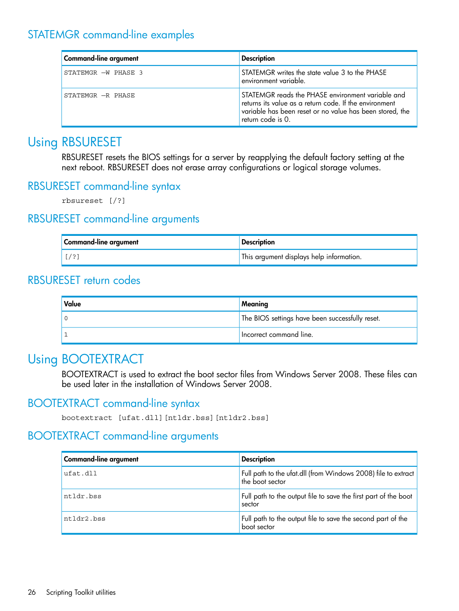# STATEMGR command-line examples

<span id="page-25-15"></span><span id="page-25-0"></span>

| Command-line argument | <b>Description</b>                                                                                                                                                                           |
|-----------------------|----------------------------------------------------------------------------------------------------------------------------------------------------------------------------------------------|
| STATEMGR -W PHASE 3   | STATEMGR writes the state value 3 to the PHASE<br>environment variable.                                                                                                                      |
| STATEMGR -R PHASE     | STATEMGR reads the PHASE environment variable and<br>returns its value as a return code. If the environment<br>variable has been reset or no value has been stored, the<br>return code is 0. |

# Using RBSURESET

<span id="page-25-11"></span><span id="page-25-2"></span><span id="page-25-1"></span>RBSURESET resets the BIOS settings for a server by reapplying the default factory setting at the next reboot. RBSURESET does not erase array configurations or logical storage volumes.

### RBSURESET command-line syntax

<span id="page-25-13"></span><span id="page-25-12"></span><span id="page-25-3"></span>rbsureset [/?]

### RBSURESET command-line arguments

<span id="page-25-14"></span><span id="page-25-4"></span>

| Command-line argument | <b>Description</b>                       |
|-----------------------|------------------------------------------|
|                       | This argument displays help information. |

### RBSURESET return codes

<span id="page-25-5"></span>

| Value | Meaning                                         |
|-------|-------------------------------------------------|
|       | The BIOS settings have been successfully reset. |
|       | Incorrect command line.                         |

# <span id="page-25-8"></span>Using BOOTEXTRACT

<span id="page-25-10"></span><span id="page-25-7"></span><span id="page-25-6"></span>BOOTEXTRACT is used to extract the boot sector files from Windows Server 2008. These files can be used later in the installation of Windows Server 2008.

### BOOTEXTRACT command-line syntax

<span id="page-25-9"></span>bootextract [ufat.dll][ntldr.bss][ntldr2.bss]

### BOOTEXTRACT command-line arguments

| Command-line argument | <b>Description</b>                                                               |
|-----------------------|----------------------------------------------------------------------------------|
| ufat.dll              | Full path to the ufat.dll (from Windows 2008) file to extract<br>the boot sector |
| ntldr.bss             | Full path to the output file to save the first part of the boot<br>sector        |
| ntldr2.bss            | Full path to the output file to save the second part of the<br>boot sector       |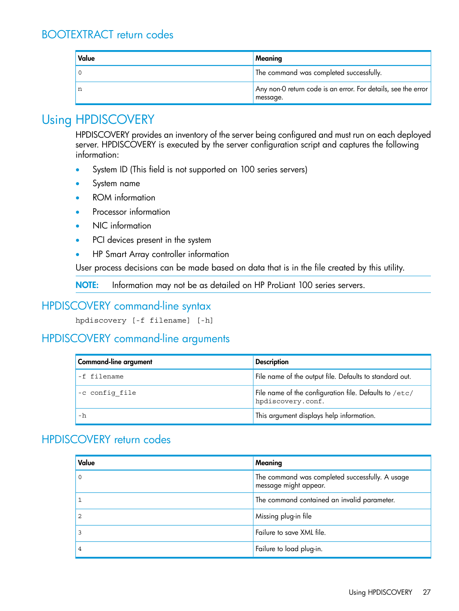# BOOTEXTRACT return codes

<span id="page-26-5"></span><span id="page-26-0"></span>

| Value | Meaning                                                                   |
|-------|---------------------------------------------------------------------------|
|       | The command was completed successfully.                                   |
|       | Any non-0 return code is an error. For details, see the error<br>message. |

# Using HPDISCOVERY

<span id="page-26-6"></span><span id="page-26-1"></span>HPDISCOVERY provides an inventory of the server being configured and must run on each deployed server. HPDISCOVERY is executed by the server configuration script and captures the following information:

- System ID (This field is not supported on 100 series servers)
- System name
- ROM information
- Processor information
- NIC information
- PCI devices present in the system
- HP Smart Array controller information

<span id="page-26-2"></span>User process decisions can be made based on data that is in the file created by this utility.

<span id="page-26-8"></span><span id="page-26-3"></span>NOTE: Information may not be as detailed on HP ProLiant 100 series servers.

# HPDISCOVERY command-line syntax

<span id="page-26-7"></span>hpdiscovery [-f filename] [-h]

### HPDISCOVERY command-line arguments

<span id="page-26-4"></span>

| Command-line argument | <b>Description</b>                                                          |
|-----------------------|-----------------------------------------------------------------------------|
| -f filename           | File name of the output file. Defaults to standard out.                     |
| -c config file        | File name of the configuration file. Defaults to /etc/<br>hpdiscovery.conf. |
| - h                   | This argument displays help information.                                    |

### <span id="page-26-9"></span>HPDISCOVERY return codes

| Value | Meaning                                                                  |
|-------|--------------------------------------------------------------------------|
|       | The command was completed successfully. A usage<br>message might appear. |
|       | The command contained an invalid parameter.                              |
|       | Missing plug-in file                                                     |
|       | Failure to save XML file.                                                |
|       | Failure to load plug-in.                                                 |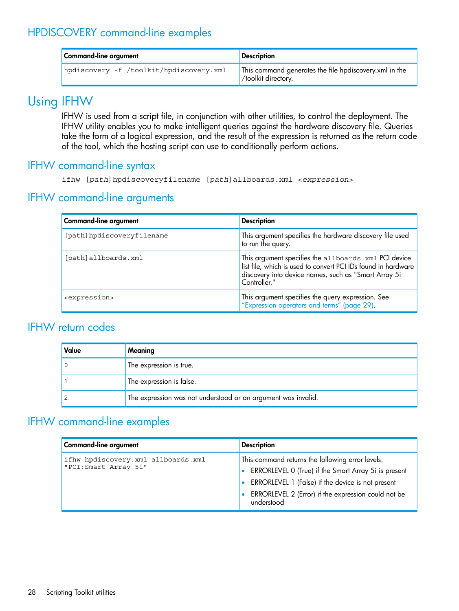# HPDISCOVERY command-line examples

<span id="page-27-6"></span><span id="page-27-0"></span>

| Command-line argument                   | <b>Description</b>                                                            |
|-----------------------------------------|-------------------------------------------------------------------------------|
| hpdiscovery -f /toolkit/hpdiscovery.xml | This command generates the file hpdiscovery.xml in the<br>/toolkit directory. |

# Using IFHW

<span id="page-27-7"></span><span id="page-27-2"></span><span id="page-27-1"></span>IFHW is used from a script file, in conjunction with other utilities, to control the deployment. The IFHW utility enables you to make intelligent queries against the hardware discovery file. Queries take the form of a logical expression, and the result of the expression is returned as the return code of the tool, which the hosting script can use to conditionally perform actions.

### IFHW command-line syntax

<span id="page-27-10"></span><span id="page-27-8"></span><span id="page-27-3"></span>ifhw [*path*]hpdiscoveryfilename [*path*]allboards.xml <*expression*>

### IFHW command-line arguments

| <b>Command-line argument</b> | <b>Description</b>                                                                                                                                                                             |
|------------------------------|------------------------------------------------------------------------------------------------------------------------------------------------------------------------------------------------|
| [path]hpdiscoveryfilename    | This argument specifies the hardware discovery file used<br>to run the query.                                                                                                                  |
| [path]allboards.xml          | This argument specifies the allboards. xml PCI device<br>list file, which is used to convert PCI IDs found in hardware<br>discovery into device names, such as "Smart Array 5i<br>Controller." |
| <expression></expression>    | This argument specifies the query expression. See<br>"Expression operators and terms" (page 29).                                                                                               |

### <span id="page-27-11"></span><span id="page-27-4"></span>IFHW return codes

<span id="page-27-5"></span>

| Value | Meaning                                                       |
|-------|---------------------------------------------------------------|
|       | The expression is true.                                       |
|       | The expression is false.                                      |
|       | The expression was not understood or an argument was invalid. |

# <span id="page-27-9"></span>IFHW command-line examples

| <b>Command-line argument</b>                               | <b>Description</b>                                                                                                                                                                                                                 |  |  |  |
|------------------------------------------------------------|------------------------------------------------------------------------------------------------------------------------------------------------------------------------------------------------------------------------------------|--|--|--|
| ifhw hpdiscovery.xml allboards.xml<br>"PCI:Smart Array 5i" | This command returns the following error levels:<br>ERRORLEVEL 0 (True) if the Smart Array 5i is present<br>ERRORLEVEL 1 (False) if the device is not present<br>ERRORLEVEL 2 (Error) if the expression could not be<br>understood |  |  |  |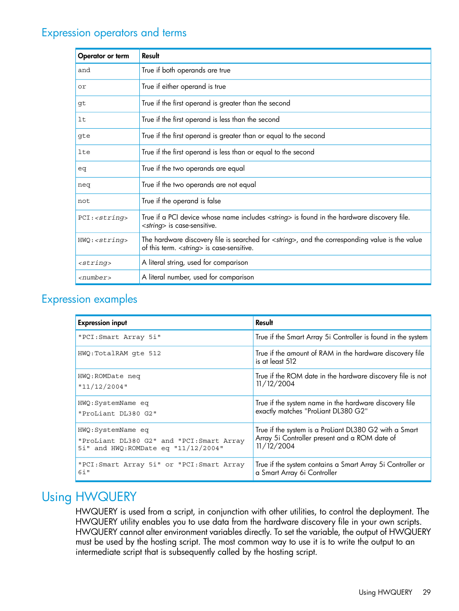## Expression operators and terms

<span id="page-28-4"></span><span id="page-28-0"></span>

| Operator or term     | Result                                                                                                                                                       |
|----------------------|--------------------------------------------------------------------------------------------------------------------------------------------------------------|
| and                  | True if both operands are true                                                                                                                               |
| or                   | True if either operand is true                                                                                                                               |
| gt                   | True if the first operand is greater than the second                                                                                                         |
| lt                   | True if the first operand is less than the second                                                                                                            |
| qte                  | True if the first operand is greater than or equal to the second                                                                                             |
| lte                  | True if the first operand is less than or equal to the second                                                                                                |
| eq                   | True if the two operands are equal                                                                                                                           |
| neg                  | True if the two operands are not equal                                                                                                                       |
| not                  | True if the operand is false                                                                                                                                 |
| PCI: < string>       | True if a PCI device whose name includes <string> is found in the hardware discovery file.<br/><string> is case-sensitive.</string></string>                 |
| HWQ: < string>string | The hardware discovery file is searched for <string>, and the corresponding value is the value<br/>of this term. &lt; string&gt; is case-sensitive.</string> |
| $<$ string>          | A literal string, used for comparison                                                                                                                        |
| <number></number>    | A literal number, used for comparison                                                                                                                        |

# <span id="page-28-3"></span><span id="page-28-1"></span>Expression examples

| <b>Expression input</b>                    | Result                                                                      |  |  |  |
|--------------------------------------------|-----------------------------------------------------------------------------|--|--|--|
| "PCI: Smart Array 5i"                      | True if the Smart Array 5i Controller is found in the system                |  |  |  |
| HWQ:TotalRAM qte 512                       | True if the amount of RAM in the hardware discovery file<br>is at least 512 |  |  |  |
| HWQ: ROMDate neq                           | True if the ROM date in the hardware discovery file is not                  |  |  |  |
| "11/12/2004"                               | 11/12/2004                                                                  |  |  |  |
| HWQ:SystemName eq                          | True if the system name in the hardware discovery file                      |  |  |  |
| "ProLiant DL380 G2"                        | exactly matches "ProLiant DL380 G2"                                         |  |  |  |
| HWQ:SystemName eq                          | True if the system is a ProLiant DL380 G2 with a Smart                      |  |  |  |
| "ProLiant DL380 G2" and "PCI: Smart Array  | Array 5i Controller present and a ROM date of                               |  |  |  |
| 5i" and HWQ: ROMDate eq "11/12/2004"       | 11/12/2004                                                                  |  |  |  |
| "PCI: Smart Array 5i" or "PCI: Smart Array | True if the system contains a Smart Array 5i Controller or                  |  |  |  |
| $6i$ "                                     | a Smart Array 6i Controller                                                 |  |  |  |

# <span id="page-28-5"></span><span id="page-28-2"></span>Using HWQUERY

HWQUERY is used from a script, in conjunction with other utilities, to control the deployment. The HWQUERY utility enables you to use data from the hardware discovery file in your own scripts. HWQUERY cannot alter environment variables directly. To set the variable, the output of HWQUERY must be used by the hosting script. The most common way to use it is to write the output to an intermediate script that is subsequently called by the hosting script.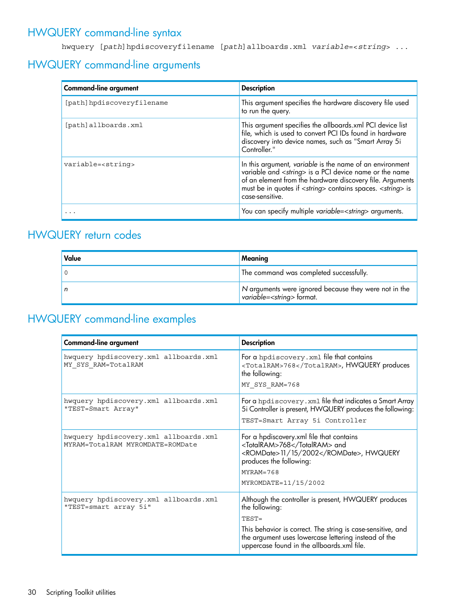# HWQUERY command-line syntax

<span id="page-29-6"></span><span id="page-29-1"></span><span id="page-29-0"></span>hwquery [*path*]hpdiscoveryfilename [*path*]allboards.xml *variable*=<*string*> ...

# HWQUERY command-line arguments

<span id="page-29-4"></span>

| <b>Command-line argument</b> | <b>Description</b>                                                                                                                                                                                                                                                                             |  |  |  |
|------------------------------|------------------------------------------------------------------------------------------------------------------------------------------------------------------------------------------------------------------------------------------------------------------------------------------------|--|--|--|
| [path]hpdiscoveryfilename    | This argument specifies the hardware discovery file used<br>to run the query.                                                                                                                                                                                                                  |  |  |  |
| [path]allboards.xml          | This argument specifies the allboards.xml PCI device list<br>file, which is used to convert PCI IDs found in hardware<br>discovery into device names, such as "Smart Array 5i<br>Controller."                                                                                                  |  |  |  |
| variable= <string></string>  | In this argument, variable is the name of an environment<br>variable and <string> is a PCI device name or the name<br/>of an element from the hardware discovery file. Arguments<br/>must be in quotes if <string> contains spaces. <string> is<br/>case-sensitive.</string></string></string> |  |  |  |
|                              | You can specify multiple variable= <string> arguments.</string>                                                                                                                                                                                                                                |  |  |  |

## <span id="page-29-2"></span>HWQUERY return codes

<span id="page-29-7"></span><span id="page-29-3"></span>

| Value | Meaning                                                                                      |  |  |  |
|-------|----------------------------------------------------------------------------------------------|--|--|--|
|       | The command was completed successfully.                                                      |  |  |  |
|       | N arguments were ignored because they were not in the<br>variable= <string> format.</string> |  |  |  |

# <span id="page-29-5"></span>HWQUERY command-line examples

| Command-line argument                                                     | <b>Description</b>                                                                                                                                                                                                                                   |
|---------------------------------------------------------------------------|------------------------------------------------------------------------------------------------------------------------------------------------------------------------------------------------------------------------------------------------------|
| hwquery hpdiscovery.xml allboards.xml<br>MY SYS RAM=TotalRAM              | For a hpdiscovery. xml file that contains<br><totalram>768</totalram> , HWQUERY produces<br>the following:<br>MY SYS RAM=768                                                                                                                         |
| hwquery hpdiscovery.xml allboards.xml<br>"TEST=Smart Array"               | For a hpdiscovery. xml file that indicates a Smart Array<br>5i Controller is present, HWQUERY produces the following:<br>TEST=Smart Array 5i Controller                                                                                              |
| hwquery hpdiscovery.xml allboards.xml<br>MYRAM=TotalRAM MYROMDATE=ROMDate | For a hpdiscovery.xml file that contains<br><totalram>768</totalram> and<br><romdate>11/15/2002</romdate> , HWQUERY<br>produces the following:<br>$MYRAM = 768$<br>MYROMDATE=11/15/2002                                                              |
| hwquery hpdiscovery.xml allboards.xml<br>"TEST=smart array 5i"            | Although the controller is present, HWQUERY produces<br>the following:<br>TEST=<br>This behavior is correct. The string is case-sensitive, and<br>the argument uses lowercase lettering instead of the<br>uppercase found in the allboards.xml file. |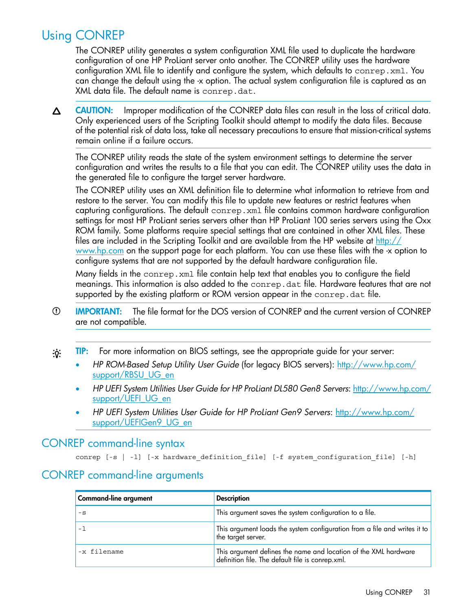# Using CONREP

<span id="page-30-3"></span><span id="page-30-0"></span>The CONREP utility generates a system configuration XML file used to duplicate the hardware configuration of one HP ProLiant server onto another. The CONREP utility uses the hardware configuration XML file to identify and configure the system, which defaults to conrep.xml. You can change the default using the -x option. The actual system configuration file is captured as an XML data file. The default name is conrep.dat.

CAUTION: Improper modification of the CONREP data files can result in the loss of critical data.  $\Delta$ Only experienced users of the Scripting Toolkit should attempt to modify the data files. Because of the potential risk of data loss, take all necessary precautions to ensure that mission-critical systems remain online if a failure occurs.

The CONREP utility reads the state of the system environment settings to determine the server configuration and writes the results to a file that you can edit. The CONREP utility uses the data in the generated file to configure the target server hardware.

The CONREP utility uses an XML definition file to determine what information to retrieve from and restore to the server. You can modify this file to update new features or restrict features when capturing configurations. The default conrep.xml file contains common hardware configuration settings for most HP ProLiant series servers other than HP ProLiant 100 series servers using the Oxx ROM family. Some platforms require special settings that are contained in other XML files. These files are included in the Scripting Toolkit and are available from the HP website at  $\frac{http://}{http://}$  $\frac{http://}{http://}$  $\frac{http://}{http://}$ [www.hp.com](http://www.hp.com) on the support page for each platform. You can use these files with the -x option to configure systems that are not supported by the default hardware configuration file.

Many fields in the conrep.xml file contain help text that enables you to configure the field meanings. This information is also added to the conrep.dat file. Hardware features that are not supported by the existing platform or ROM version appear in the conrep.dat file.

- IMPORTANT: The file format for the DOS version of CONREP and the current version of CONREP  $\mathbb{O}$ are not compatible.
- <span id="page-30-1"></span>TIP: For more information on BIOS settings, see the appropriate guide for your server:  $\cdot \circ \cdot$ 
	- *HP ROM-Based Setup Utility User Guide* (for legacy BIOS servers): [http://www.hp.com/](http://www.hp.com/support/RBSU_UG_en) [support/RBSU\\_UG\\_en](http://www.hp.com/support/RBSU_UG_en)
	- *HP UEFI System Utilities User Guide for HP ProLiant DL580 Gen8 Servers*: [http://www.hp.com/](http://www.hp.com/support/UEFI_UG_en) [support/UEFI\\_UG\\_en](http://www.hp.com/support/UEFI_UG_en)
	- *HP UEFI System Utilities User Guide for HP ProLiant Gen9 Servers*: [http://www.hp.com/](http://www.hp.com/support/UEFIGen9_UG_en) [support/UEFIGen9\\_UG\\_en](http://www.hp.com/support/UEFIGen9_UG_en)

#### <span id="page-30-5"></span><span id="page-30-2"></span>CONREP command-line syntax

<span id="page-30-4"></span>conrep [-s | -l] [-x hardware definition file] [-f system configuration file] [-h]

#### CONREP command-line arguments

| Command-line argument | <b>Description</b>                                                                                                  |  |  |  |  |
|-----------------------|---------------------------------------------------------------------------------------------------------------------|--|--|--|--|
| $-$ S                 | This argument saves the system configuration to a file.                                                             |  |  |  |  |
|                       | This argument loads the system configuration from a file and writes it to<br>the target server.                     |  |  |  |  |
| -x filename           | This argument defines the name and location of the XML hardware<br>definition file. The default file is conrep.xml. |  |  |  |  |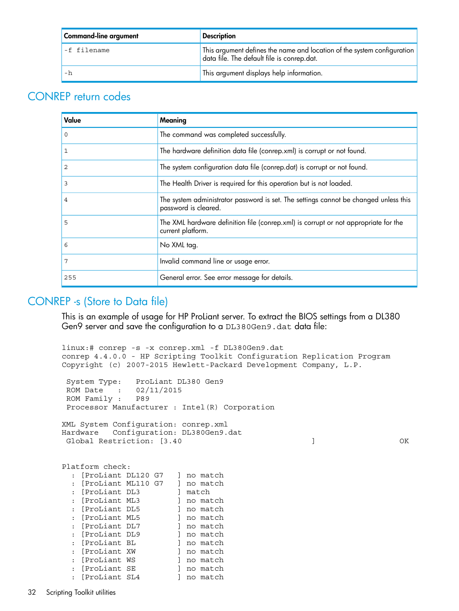| Command-line argument | <b>Description</b>                                                                                                    |  |  |  |
|-----------------------|-----------------------------------------------------------------------------------------------------------------------|--|--|--|
| -f filename           | This argument defines the name and location of the system configuration<br>data file. The default file is conrep.dat. |  |  |  |
| - h                   | This argument displays help information.                                                                              |  |  |  |

### <span id="page-31-0"></span>CONREP return codes

<span id="page-31-2"></span>

| Value | Meaning                                                                                                      |
|-------|--------------------------------------------------------------------------------------------------------------|
| 0     | The command was completed successfully.                                                                      |
| 1     | The hardware definition data file (conrep.xml) is corrupt or not found.                                      |
| 2     | The system configuration data file (conrep.dat) is corrupt or not found.                                     |
| 3     | The Health Driver is required for this operation but is not loaded.                                          |
| 4     | The system administrator password is set. The settings cannot be changed unless this<br>password is cleared. |
| 5     | The XML hardware definition file (conrep.xml) is corrupt or not appropriate for the<br>current platform.     |
| 6     | No XML tag.                                                                                                  |
|       | Invalid command line or usage error.                                                                         |
| 255   | General error. See error message for details.                                                                |

### <span id="page-31-3"></span><span id="page-31-1"></span>CONREP -s (Store to Data file)

This is an example of usage for HP ProLiant server. To extract the BIOS settings from a DL380 Gen9 server and save the configuration to a DL380Gen9.dat data file:

```
linux:# conrep -s -x conrep.xml -f DL380Gen9.dat
conrep 4.4.0.0 - HP Scripting Toolkit Configuration Replication Program
Copyright (c) 2007-2015 Hewlett-Packard Development Company, L.P.
 System Type: ProLiant DL380 Gen9<br>ROM Date : 02/11/2015
 ROM Date : 02/<br>ROM Family : P89
 ROM Family: Processor Manufacturer : Intel(R) Corporation
XML System Configuration: conrep.xml
Hardware Configuration: DL380Gen9.dat
Global Restriction: [3.40 ] OK
Platform check:
   : [ProLiant DL120 G7 ] no match
   : [ProLiant ML110 G7 ] no match
  : [ProLiant DL3 ] match<br>
: [ProLiant ML3 ] no match<br>
: [ProLiant DL5 ] no match<br>
: [ProLiant ML5 ] no match
  : [ProLiant ML3
  : [ProLiant DL5
  : [ProLiant ML5 ] no match<br>: [ProLiant DL7 ] no match
  : [ProLiant DL7
   : [ProLiant DL9 ] no match
  : [ProLiant BL ] no match
   : [ProLiant XW ] no match
   : [ProLiant WS ] no match
  : [ProLiant SE ] no match<br>: [ProLiant SL4 ] no match
  : [ProLiant SL4
```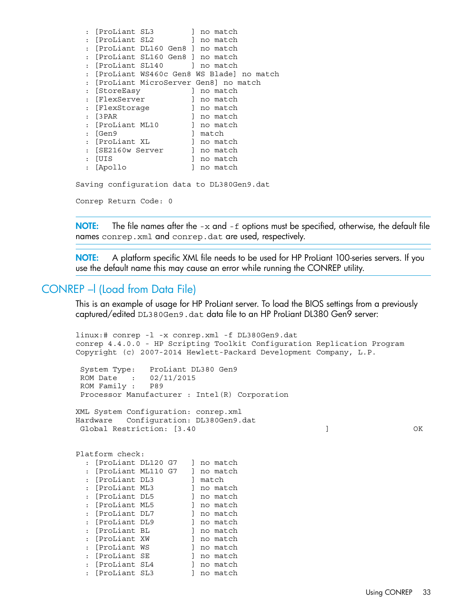| $\ddot{\phantom{a}}$ | [ProLiant SL3  |                                            |              | no match |  |
|----------------------|----------------|--------------------------------------------|--------------|----------|--|
|                      | [ProLiant SL2  |                                            | $\mathbb{1}$ | no match |  |
|                      |                | [ProLiant DL160 Gen8 ] no match            |              |          |  |
|                      |                | [ProLiant SL160 Gen8 ] no match            |              |          |  |
|                      |                | [ProLiant SL140 ] no match                 |              |          |  |
|                      |                | [ProLiant WS460c Gen8 WS Blade] no match   |              |          |  |
|                      |                | [ProLiant MicroServer Gen8] no match       |              |          |  |
| $\ddot{\cdot}$       | [StoreEasy     |                                            |              | no match |  |
| $\ddot{\cdot}$       | [FlexServer    |                                            |              | no match |  |
| $\ddot{\cdot}$       | [FlexStorage   |                                            |              | no match |  |
| $\cdot$              | [3 PAR         |                                            |              | no match |  |
|                      | [ProLiant ML10 |                                            |              | no match |  |
|                      | 「Gen9          |                                            |              | match    |  |
|                      | [ProLiant XL   |                                            |              | no match |  |
| $\bullet$            | SE2160w Server |                                            |              | no match |  |
|                      |                |                                            |              |          |  |
| $\cdot$              | [UIS           |                                            |              | no match |  |
| $\ddot{\cdot}$       | [Apollo        |                                            |              | no match |  |
|                      |                | Saving configuration data to DL380Gen9.dat |              |          |  |

Conrep Return Code: 0

**NOTE:** The file names after the  $-x$  and  $-f$  options must be specified, otherwise, the default file names conrep.xml and conrep.dat are used, respectively.

<span id="page-32-1"></span><span id="page-32-0"></span>NOTE: A platform specific XML file needs to be used for HP ProLiant 100-series servers. If you use the default name this may cause an error while running the CONREP utility.

#### CONREP –l (Load from Data File)

This is an example of usage for HP ProLiant server. To load the BIOS settings from a previously captured/edited DL380Gen9.dat data file to an HP ProLiant DL380 Gen9 server:

```
linux:# conrep -l -x conrep.xml -f DL380Gen9.dat
conrep 4.4.0.0 - HP Scripting Toolkit Configuration Replication Program
Copyright (c) 2007-2014 Hewlett-Packard Development Company, L.P.
  System Type: ProLiant DL380 Gen9
  ROM Date : 02/11/2015
  ROM Family : P89
  Processor Manufacturer : Intel(R) Corporation
XML System Configuration: conrep.xml
Hardware Configuration: DL380Gen9.dat
 Global Restriction: [3.40 ] OK
Platform check:
   : [ProLiant DL120 G7 ] no match
   : [ProLiant ML110 G7 ] no match
  : [ProLiant DL3 ] match<br>: [ProLiant ML3 ] no match
   : [ProLiant ML3 ] no match
  : [ProLiant DL5 ] no match<br>: [ProLiant ML5 ] no match
  : [ProLiant ML5 ] no match<br>: [ProLiant DL7 ] no match
  : [ProLiant DL7
  : [ProLiant DL9 ] no match<br>: [ProLiant BL ] no match
  : [ProLiant BL
  : [ProLiant XW ] no match
   : [ProLiant WS ] no match
  : [ProLiant SE ] no match<br>: [ProLiant SL4 ] no match<br>: [ProLiant SL3 ] no match
  : [ProLiant SL4
  : [ProLiant SL3
```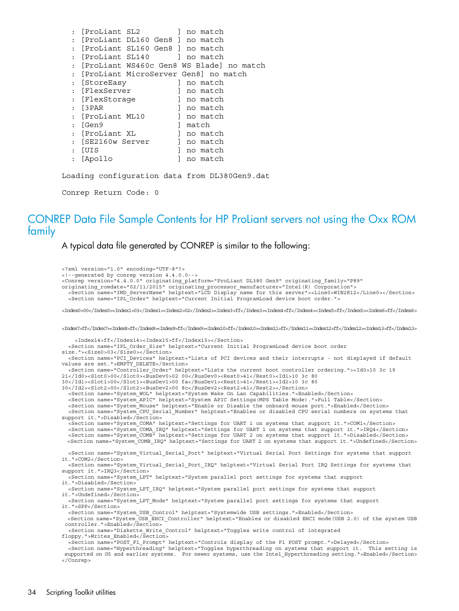|                | [ProLiant SL2                                 |  |   | ] no match |  |  |
|----------------|-----------------------------------------------|--|---|------------|--|--|
|                | [ProLiant DL160 Gen8 ] no match               |  |   |            |  |  |
|                | : [ProLiant SL160 Gen8 ] no match             |  |   |            |  |  |
|                | : [ProLiant SL140 ] no match                  |  |   |            |  |  |
|                | : [ProLiant WS460c Gen8 WS Blade] no match    |  |   |            |  |  |
|                | : [ProLiant MicroServer Gen8] no match        |  |   |            |  |  |
|                | : [StoreEasy                                  |  |   | no match   |  |  |
|                | : [FlexServer                                 |  |   | no match   |  |  |
|                | : [FlexStoraqe                                |  |   | no match   |  |  |
|                | : [3PAR                                       |  |   | no match   |  |  |
|                | : [ProLiant ML10                              |  |   | l no match |  |  |
|                | : 「Gen9                                       |  |   | l match    |  |  |
|                | : [ProLiant XL                                |  |   | l no match |  |  |
|                | : 「SE2160w Server                             |  |   | 1 no match |  |  |
|                | : [UIS                                        |  |   | no match   |  |  |
| $\ddot{\cdot}$ | [Apollo                                       |  | 1 | no match   |  |  |
|                | Loading configuration data from DL380Gen9.dat |  |   |            |  |  |
|                | Conrep Return Code: 0                         |  |   |            |  |  |

### <span id="page-33-0"></span>CONREP Data File Sample Contents for HP ProLiant servers not using the Oxx ROM family

<span id="page-33-1"></span>A typical data file generated by CONREP is similar to the following:

```
<?xml version="1.0" encoding="UTF-8"?>
<!--generated by conrep version 4.4.0.0-->
<Conrep version="4.4.0.0" originating_platform="ProLiant DL380 Gen9" originating_family="P89" 
originating_romdate="02/11/2015" originating_processor_manufacturer="Intel(R) Corporation">
 <Section name="IMD_ServerName" helptext="LCD Display name for this server"><Line0>WIN2K12</Line0></Section>
   <Section name="IPL_Order" helptext="Current Initial ProgramLoad device boot order.">
<Index0>00</Index0><Index1>03</Index1><Index2>02</Index2><Index3>ff</Index3><Index4>ff</Index4><Index5>ff</Index5><Index6>ff</Index6>
<Index7>ff</Index7><Index8>ff</Index8><Index9>ff</Index9><Index10>ff</Index10><Index11>ff</Index11><Index12>ff</Index12><Index13>ff</Index13>
     <Index14>ff</Index14><Index15>ff</Index15></Section>
   <Section name="IPL_Order_Size" helptext="Current Initial ProgramLoad device boot order 
size."><Size0>03</Size0></Section>
   <Section name="PCI_Devices" helptext="Lists of PCI devices and their interrupts - not displayed if default 
values are set.">EMPTY_DELETE</Section>
   <Section name="Controller_Order" helptext="Lists the current boot controller ordering."><Id0>10 3c 19 
21</Id0><Slot0>00</Slot0><BusDev0>02 00</BusDev0><Rest0>41</Rest0><Id1>10 3c 80 
30</Id1><Slot1>00</Slot1><BusDev1>00 fa</BusDev1><Rest1>41</Rest1><Id2>10 3c 80 
30</Id2><Slot2>00</Slot2><BusDev2>00 8c</BusDev2><Rest2>41</Rest2></Section>
   <Section name="System_WOL" helptext="System Wake On Lan Capabilities.">Enabled</Section>
   <Section name="System_APIC" helptext="System APIC Settings(MPS Table Mode).">Full Table</Section>
   <Section name="System_Mouse" helptext="Enable or Disable the onboard mouse port.">Enabled</Section>
   <Section name="System_CPU_Serial_Number" helptext="Enables or disabled CPU serial numbers on systems that 
support it.">Disabled</Section>
   <Section name="System_COMA" helptext="Settings for UART 1 on systems that support it.">COM1</Section>
 <Section name="System_COMA_IRQ" helptext="Settings for UART 1 on systems that support it.">IRQ4</Section>
 <Section name="System_COMB" helptext="Settings for UART 2 on systems that support it.">Disabled</Section>
   <Section name="System_COMB_IRQ" helptext="Settings for UART 2 on systems that support it.">Undefined</Section>
   <Section name="System_Virtual_Serial_Port" helptext="Virtual Serial Port Settings for systems that support 
it.">COM2</Section>
   <Section name="System_Virtual_Serial_Port_IRQ" helptext="Virtual Serial Port IRQ Settings for systems that 
support it.">IRQ3</Section>
   <Section name="System_LPT" helptext="System parallel port settings for systems that support 
it.">Disabled</Section>
   <Section name="System_LPT_IRQ" helptext="System parallel port settings for systems that support 
it.">Undefined</Section>
   <Section name="System_LPT_Mode" helptext="System parallel port settings for systems that support 
it.">SPP</Section>
   <Section name="System_USB_Control" helptext="Systemwide USB settings.">Enabled</Section>
 <Section name="System_USB_EHCI_Controller" helptext="Enables or disabled EHCI mode(USB 2.0) of the system USB
 controller.">Enabled</Section>
 <Section name="Diskette_Write_Control" helptext="Toggles write control of integrated 
floppy.">Writes_Enabled</Section>
 <Section name="POST_F1_Prompt" helptext="Controls display of the F1 POST prompt.">Delayed</Section>
 <Section name="Hyperthreading" helptext="Toggles hyperthreading on systems that support it. This setting is
 supported on G5 and earlier systems. For newer systems, use the Intel_Hyperthreading setting.">Enabled</Section>
</Conrep>
```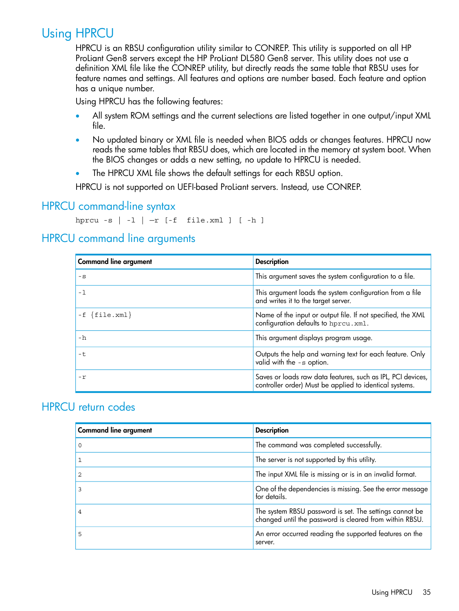# Using HPRCU

<span id="page-34-0"></span>HPRCU is an RBSU configuration utility similar to CONREP. This utility is supported on all HP ProLiant Gen8 servers except the HP ProLiant DL580 Gen8 server. This utility does not use a definition XML file like the CONREP utility, but directly reads the same table that RBSU uses for feature names and settings. All features and options are number based. Each feature and option has a unique number.

<span id="page-34-4"></span>Using HPRCU has the following features:

- All system ROM settings and the current selections are listed together in one output/input XML file.
- No updated binary or XML file is needed when BIOS adds or changes features. HPRCU now reads the same tables that RBSU does, which are located in the memory at system boot. When the BIOS changes or adds a new setting, no update to HPRCU is needed.
- The HPRCU XML file shows the default settings for each RBSU option.

<span id="page-34-6"></span><span id="page-34-1"></span>HPRCU is not supported on UEFI-based ProLiant servers. Instead, use CONREP.

### HPRCU command-line syntax

<span id="page-34-5"></span><span id="page-34-2"></span>hprcu  $-s$  |  $-1$  |  $-r$  [ $-f$  file.xml ] [ $-h$ ]

### HPRCU command line arguments

| <b>Command line argument</b> | <b>Description</b>                                                                                                     |
|------------------------------|------------------------------------------------------------------------------------------------------------------------|
| $-S$                         | This argument saves the system configuration to a file.                                                                |
| - 1                          | This argument loads the system configuration from a file<br>and writes it to the target server.                        |
| $-f \{file.xml\}$            | Name of the input or output file. If not specified, the XML<br>configuration defaults to hprcu.xml.                    |
| -h                           | This argument displays program usage.                                                                                  |
| -t.                          | Outputs the help and warning text for each feature. Only<br>valid with the -s option.                                  |
| $-r$                         | Saves or loads raw data features, such as IPL, PCI devices,<br>controller order) Must be applied to identical systems. |

### <span id="page-34-7"></span><span id="page-34-3"></span>HPRCU return codes

| <b>Command line argument</b> | <b>Description</b>                                                                                                 |
|------------------------------|--------------------------------------------------------------------------------------------------------------------|
|                              | The command was completed successfully.                                                                            |
|                              | The server is not supported by this utility.                                                                       |
|                              | The input XML file is missing or is in an invalid format.                                                          |
|                              | One of the dependencies is missing. See the error message<br>for details.                                          |
|                              | The system RBSU password is set. The settings cannot be<br>changed until the password is cleared from within RBSU. |
| 5                            | An error occurred reading the supported features on the<br>server.                                                 |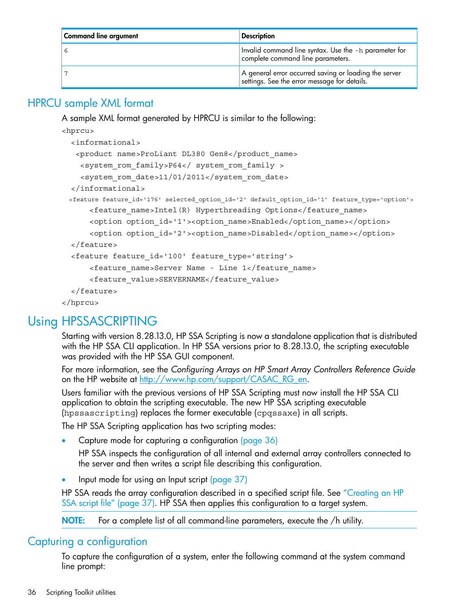| Command line argument | <b>Description</b>                                                                                    |
|-----------------------|-------------------------------------------------------------------------------------------------------|
|                       | Invalid command line syntax. Use the -h parameter for<br>complete command line parameters.            |
|                       | A general error occurred saving or loading the server<br>settings. See the error message for details. |

## HPRCU sample XML format

<span id="page-35-4"></span><span id="page-35-0"></span>A sample XML format generated by HPRCU is similar to the following:

<hprcu>

```
 <informational>
    <product name>ProLiant DL380 Gen8</product_name>
     <system_rom_family>P64</ system_rom_family >
    <system_rom_date>11/01/2011</system_rom_date>
   </informational>
  <feature feature_id='176' selected_option_id='2' default_option_id='1' feature_type='option'>
       <feature_name>Intel(R) Hyperthreading Options</feature_name>
      <option option id='1'><option name>Enabled</option name></option>
       <option option_id='2'><option_name>Disabled</option_name></option>
   </feature>
   <feature feature_id='100' feature_type='string'>
       <feature_name>Server Name - Line 1</feature_name>
       <feature_value>SERVERNAME</feature_value>
   </feature>
</hprcu>
```
# <span id="page-35-1"></span>Using HPSSASCRIPTING

<span id="page-35-5"></span>Starting with version 8.28.13.0, HP SSA Scripting is now a standalone application that is distributed with the HP SSA CLI application. In HP SSA versions prior to 8.28.13.0, the scripting executable was provided with the HP SSA GUI component.

For more information, see the *Configuring Arrays on HP Smart Array Controllers Reference Guide* on the HP website at [http://www.hp.com/support/CASAC\\_RG\\_en.](http://www.hp.com/support/CASAC_RG_en)

Users familiar with the previous versions of HP SSA Scripting must now install the HP SSA CLI application to obtain the scripting executable. The new HP SSA scripting executable (hpssascripting) replaces the former executable (cpqssaxe) in all scripts.

The HP SSA Scripting application has two scripting modes:

• Capture mode for capturing a configuration [\(page](#page-35-2) 36)

HP SSA inspects the configuration of all internal and external array controllers connected to the server and then writes a script file describing this configuration.

<span id="page-35-2"></span>• Input mode for using an Input script [\(page](#page-36-0) 37)

<span id="page-35-3"></span>HP SSA reads the array configuration described in a specified script file. See ["Creating](#page-36-1) an HP SSA script file" [\(page](#page-36-1) 37). HP SSA then applies this configuration to a target system.

NOTE: For a complete list of all command-line parameters, execute the /h utility.

### Capturing a configuration

To capture the configuration of a system, enter the following command at the system command line prompt: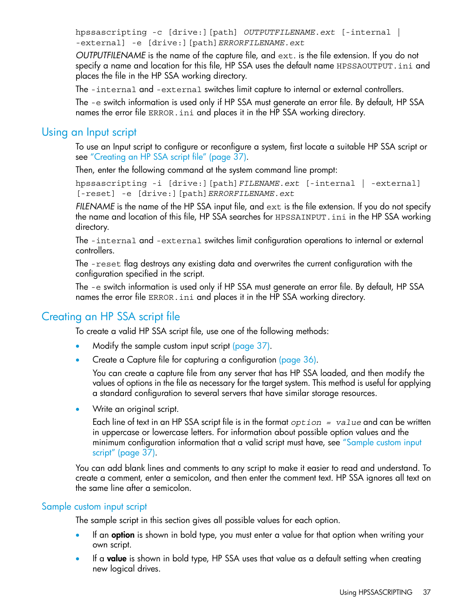hpssascripting -c [drive:][path] *OUTPUTFILENAME.ext* [-internal | -external] -e [drive:][path]*ERRORFILENAME.ext*

*OUTPUTFILENAME* is the name of the capture file, and ext. is the file extension. If you do not specify a name and location for this file, HP SSA uses the default name HPSSAOUTPUT. ini and places the file in the HP SSA working directory.

The -internal and -external switches limit capture to internal or external controllers.

<span id="page-36-0"></span>The -e switch information is used only if HP SSA must generate an error file. By default, HP SSA names the error file ERROR.ini and places it in the HP SSA working directory.

### Using an Input script

<span id="page-36-4"></span>To use an Input script to configure or reconfigure a system, first locate a suitable HP SSA script or see ["Creating](#page-36-1) an HP SSA script file" (page 37).

Then, enter the following command at the system command line prompt:

hpssascripting -i [drive:][path]*FILENAME.ext* [-internal | -external] [-reset] -e [drive:][path]*ERRORFILENAME.ext*

*FILENAME* is the name of the HP SSA input file, and ext is the file extension. If you do not specify the name and location of this file, HP SSA searches for HPSSAINPUT. ini in the HP SSA working directory.

The -internal and -external switches limit configuration operations to internal or external controllers.

The -reset flag destroys any existing data and overwrites the current configuration with the configuration specified in the script.

<span id="page-36-3"></span><span id="page-36-1"></span>The -e switch information is used only if HP SSA must generate an error file. By default, HP SSA names the error file ERROR.ini and places it in the HP SSA working directory.

### Creating an HP SSA script file

To create a valid HP SSA script file, use one of the following methods:

- Modify the sample custom input script [\(page](#page-36-2) 37).
- Create a Capture file for capturing a configuration [\(page](#page-35-2) 36).

You can create a capture file from any server that has HP SSA loaded, and then modify the values of options in the file as necessary for the target system. This method is useful for applying a standard configuration to several servers that have similar storage resources.

• Write an original script.

Each line of text in an HP SSA script file is in the format *option = value* and can be written in uppercase or lowercase letters. For information about possible option values and the minimum configuration information that a valid script must have, see ["Sample](#page-36-2) custom input [script"](#page-36-2) (page 37).

<span id="page-36-5"></span><span id="page-36-2"></span>You can add blank lines and comments to any script to make it easier to read and understand. To create a comment, enter a semicolon, and then enter the comment text. HP SSA ignores all text on the same line after a semicolon.

#### Sample custom input script

The sample script in this section gives all possible values for each option.

- If an **option** is shown in bold type, you must enter a value for that option when writing your own script.
- If a **value** is shown in bold type, HP SSA uses that value as a default setting when creating new logical drives.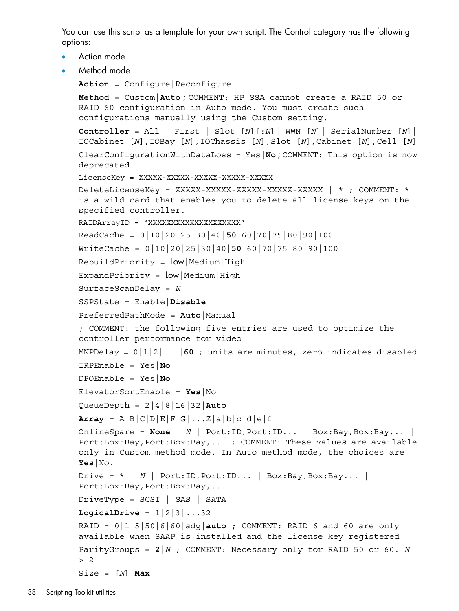You can use this script as a template for your own script. The Control category has the following options:

```
• Action mode
```
• Method mode

```
Action = Configure|Reconfigure
```

```
Method = Custom|Auto ; COMMENT: HP SSA cannot create a RAID 50 or
RAID 60 configuration in Auto mode. You must create such
configurations manually using the Custom setting.
```

```
Controller = All | First | Slot [N][:N]| WWN [N]| SerialNumber [N]|
IOCabinet [N],IOBay [N],IOChassis [N],Slot [N],Cabinet [N],Cell [N]
ClearConfigurationWithDataLoss = Yes|No ; COMMENT: This option is now
deprecated.
```

```
LicenseKey = XXXXX-XXXXX-XXXXX-XXXXX-XXXXX
```
DeleteLicenseKey = XXXXX-XXXXX-XXXXX-XXXXX-XXXXX | \* ; COMMENT: \* is a wild card that enables you to delete all license keys on the specified controller.

```
RAIDArrayID = "XXXXXXXXXXXXXXXXXXXX"
```

```
ReadCache = 0|10|20|25|30|40|50|60|70|75|80|90|100
```

```
WriteCache = 0|10|20|25|30|40|50|60|70|75|80|90|100
```

```
RebuildPriority = low|Median|High
```

```
ExpandPriority = \text{Low}|\text{Median}|\text{High}
```

```
SurfaceScanDelay = N
```

```
SSPState = Enable|Disable
```

```
PreferredPathMode = Auto|Manual
```
; COMMENT: the following five entries are used to optimize the controller performance for video

```
MNPDelay = 0|1|2|...|60 ; units are minutes, zero indicates disabled
```

```
IRPEnable = Yes|No
```

```
DPOEnable = Yes|No
```

```
ElevatorSortEnable = Yes|No
```

```
QueueDepth = 2|4|8|16|32|Auto
```
 $Array = A|B|C|D|E|F|G|...Z|A|b|c|d|e|f$ 

```
OnlineSpare = None | N | Port:ID,Port:ID... | Box:Bay,Box:Bay... |
Port:Box:Bay,Port:Box:Bay,... ; COMMENT: These values are available
only in Custom method mode. In Auto method mode, the choices are
Yes|No.
```

```
Drive = * | N | Port:ID, Port:ID... | Box:Bay, Box:Bay... |
Port:Box:Bay, Port:Box:Bay, ...
```

```
DriveType = SCSI | SAS | SATA
```

```
LogicalDrive = 1|2|3|...32
```

```
RAID = 0|1|5|50|6|60|adg|auto ; COMMENT: RAID 6 and 60 are only
available when SAAP is installed and the license key registered
ParityGroups = 2|N ; COMMENT: Necessary only for RAID 50 or 60. N
> 2
Size = [N] | Max
```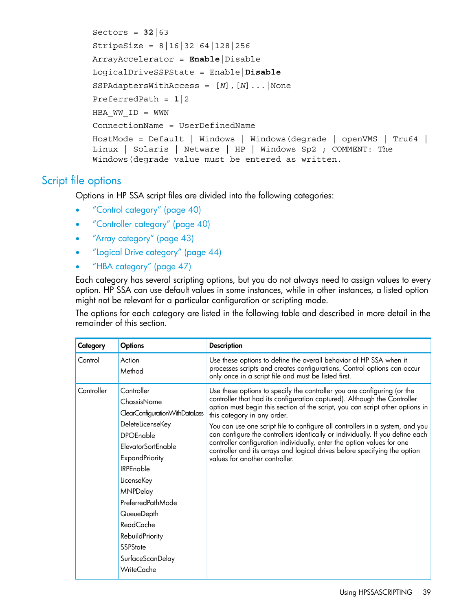```
Sectors = 32|63
StripeSize = 8|16|32|64|128|256
ArrayAccelerator = Enable|Disable
LogicalDriveSSPState = Enable|Disable
SSPAdaptersWithAccess = [N],[N]...|None
PreferredPath = 1|2
HBA WW ID = WWN
ConnectionName = UserDefinedName
HostMode = Default | Windows | Windows(degrade | openVMS | Tru64 |
Linux | Solaris | Netware | HP | Windows Sp2 ; COMMENT: The
Windows(degrade value must be entered as written.
```
### <span id="page-38-0"></span>Script file options

<span id="page-38-1"></span>Options in HP SSA script files are divided into the following categories:

- "Control [category"](#page-39-0) (page 40)
- ["Controller](#page-39-3) category" (page 40)
- "Array [category"](#page-42-3) (page 43)
- "Logical Drive [category"](#page-43-2) (page 44)
- "HBA [category"](#page-46-0) (page 47)

Each category has several scripting options, but you do not always need to assign values to every option. HP SSA can use default values in some instances, while in other instances, a listed option might not be relevant for a particular configuration or scripting mode.

The options for each category are listed in the following table and described in more detail in the remainder of this section.

| Category   | <b>Options</b>                                                                                                                                                                                                                                                                                                                                       | <b>Description</b>                                                                                                                                                                                                                                                                                                                                                                                                                                                                                                                                                                                                             |
|------------|------------------------------------------------------------------------------------------------------------------------------------------------------------------------------------------------------------------------------------------------------------------------------------------------------------------------------------------------------|--------------------------------------------------------------------------------------------------------------------------------------------------------------------------------------------------------------------------------------------------------------------------------------------------------------------------------------------------------------------------------------------------------------------------------------------------------------------------------------------------------------------------------------------------------------------------------------------------------------------------------|
| Control    | Action<br>Method                                                                                                                                                                                                                                                                                                                                     | Use these options to define the overall behavior of HP SSA when it<br>processes scripts and creates configurations. Control options can occur<br>only once in a script file and must be listed first.                                                                                                                                                                                                                                                                                                                                                                                                                          |
| Controller | Controller<br>ChassisName<br>ClearConfigurationWithDataLoss<br>DeleteLicenseKey<br><b>DPOEnable</b><br><b>ElevatorSortEnable</b><br><b>ExpandPriority</b><br><b>IRPEnable</b><br>LicenseKey<br><b>MNPDelay</b><br>PreferredPathMode<br>QueueDepth<br><b>ReadCache</b><br>RebuildPriority<br><b>SSPState</b><br>SurfaceScanDelay<br><b>WriteCache</b> | Use these options to specify the controller you are configuring (or the<br>controller that had its configuration captured). Although the Controller<br>option must begin this section of the script, you can script other options in<br>this category in any order.<br>You can use one script file to configure all controllers in a system, and you<br>can configure the controllers identically or individually. If you define each<br>controller configuration individually, enter the option values for one<br>controller and its arrays and logical drives before specifying the option<br>values for another controller. |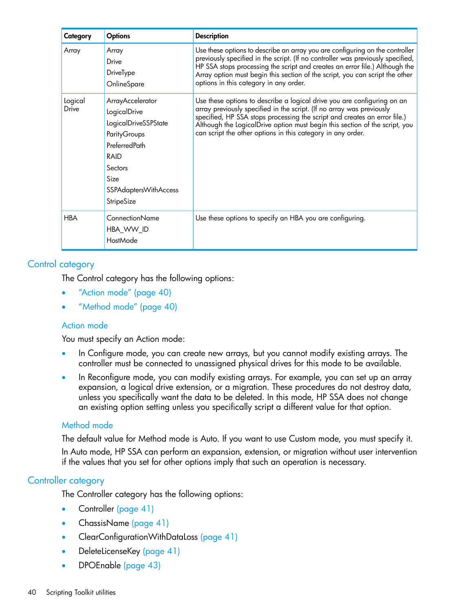| Category         | <b>Options</b>                                                                                                                                              | <b>Description</b>                                                                                                                                                                                                                                                                                                                                                          |
|------------------|-------------------------------------------------------------------------------------------------------------------------------------------------------------|-----------------------------------------------------------------------------------------------------------------------------------------------------------------------------------------------------------------------------------------------------------------------------------------------------------------------------------------------------------------------------|
| Array            | Array<br>Drive<br>DriveType<br>OnlineSpare                                                                                                                  | Use these options to describe an array you are configuring on the controller<br>previously specified in the script. (If no controller was previously specified,<br>HP SSA stops processing the script and creates an error file.) Although the<br>Array option must begin this section of the script, you can script the other<br>options in this category in any order.    |
| Logical<br>Drive | ArrayAccelerator<br>LogicalDrive<br>LogicalDriveSSPState<br>ParityGroups<br>PreferredPath<br>RAID<br>Sectors<br>Size<br>SSPAdaptersWithAccess<br>StripeSize | Use these options to describe a logical drive you are configuring on an<br>array previously specified in the script. (If no array was previously<br>specified, HP SSA stops processing the script and creates an error file.)<br>Although the LogicalDrive option must begin this section of the script, you<br>can script the other options in this category in any order. |
| <b>HBA</b>       | ConnectionName<br>HBA_WW_ID<br>HostMode                                                                                                                     | Use these options to specify an HBA you are configuring.                                                                                                                                                                                                                                                                                                                    |

### <span id="page-39-0"></span>Control category

<span id="page-39-4"></span>The Control category has the following options:

- <span id="page-39-1"></span>["Action](#page-39-1) mode" (page 40)
- ["Method](#page-39-2) mode" (page 40)

#### Action mode

You must specify an Action mode:

- In Configure mode, you can create new arrays, but you cannot modify existing arrays. The controller must be connected to unassigned physical drives for this mode to be available.
- <span id="page-39-2"></span>• In Reconfigure mode, you can modify existing arrays. For example, you can set up an array expansion, a logical drive extension, or a migration. These procedures do not destroy data, unless you specifically want the data to be deleted. In this mode, HP SSA does not change an existing option setting unless you specifically script a different value for that option.

#### <span id="page-39-3"></span>Method mode

<span id="page-39-5"></span>The default value for Method mode is Auto. If you want to use Custom mode, you must specify it. In Auto mode, HP SSA can perform an expansion, extension, or migration without user intervention if the values that you set for other options imply that such an operation is necessary.

#### Controller category

The Controller category has the following options:

- Controller [\(page](#page-40-0) 41)
- ChassisName [\(page](#page-40-1) 41)
- ClearConfigurationWithDataLoss [\(page](#page-40-2) 41)
- DeleteLicenseKey [\(page](#page-40-3) 41)
- DPOEnable [\(page](#page-42-2) 43)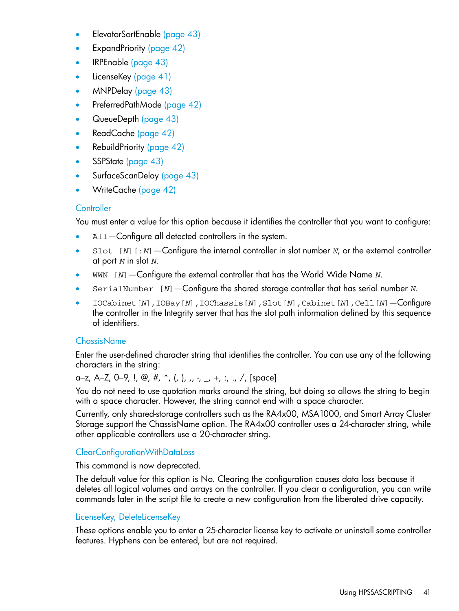- ElevatorSortEnable [\(page](#page-42-2) 43)
- ExpandPriority [\(page](#page-41-2) 42)
- IRPEnable [\(page](#page-42-2) 43)
- LicenseKey [\(page](#page-40-3) 41)
- MNPDelay [\(page](#page-42-2) 43)
- PreferredPathMode [\(page](#page-41-0) 42)
- QueueDepth [\(page](#page-42-2) 43)
- ReadCache [\(page](#page-41-1) 42)
- RebuildPriority [\(page](#page-41-2) 42)
- SSPState [\(page](#page-42-0) 43)
- <span id="page-40-0"></span>• SurfaceScanDelay [\(page](#page-42-1) 43)
- WriteCache [\(page](#page-41-1) 42)

#### **Controller**

You must enter a value for this option because it identifies the controller that you want to configure:

- All–Configure all detected controllers in the system.
- Slot [*N*] [:*M*] Configure the internal controller in slot number *N*, or the external controller at port *M* in slot *N*.
- WWN [*N*]—Configure the external controller that has the World Wide Name *N*.
- SerialNumber [*N*]—Configure the shared storage controller that has serial number *N*.
- <span id="page-40-1"></span>• IOCabinet[*N*],IOBay[*N*],IOChassis[*N*],Slot[*N*],Cabinet[*N*],Cell[*N*]—Configure the controller in the Integrity server that has the slot path information defined by this sequence of identifiers.

#### **ChassisName**

Enter the user-defined character string that identifies the controller. You can use any of the following characters in the string:

#### a–z, A–Z, O–9, !, @, #, \*, (, ), ,,  $\cdot$ , \_, +, :, ., /, [space]

You do not need to use quotation marks around the string, but doing so allows the string to begin with a space character. However, the string cannot end with a space character.

<span id="page-40-4"></span><span id="page-40-2"></span>Currently, only shared-storage controllers such as the RA4x00, MSA1000, and Smart Array Cluster Storage support the ChassisName option. The RA4x00 controller uses a 24-character string, while other applicable controllers use a 20-character string.

#### ClearConfigurationWithDataLoss

<span id="page-40-3"></span>This command is now deprecated.

The default value for this option is No. Clearing the configuration causes data loss because it deletes all logical volumes and arrays on the controller. If you clear a configuration, you can write commands later in the script file to create a new configuration from the liberated drive capacity.

#### LicenseKey, DeleteLicenseKey

These options enable you to enter a 25-character license key to activate or uninstall some controller features. Hyphens can be entered, but are not required.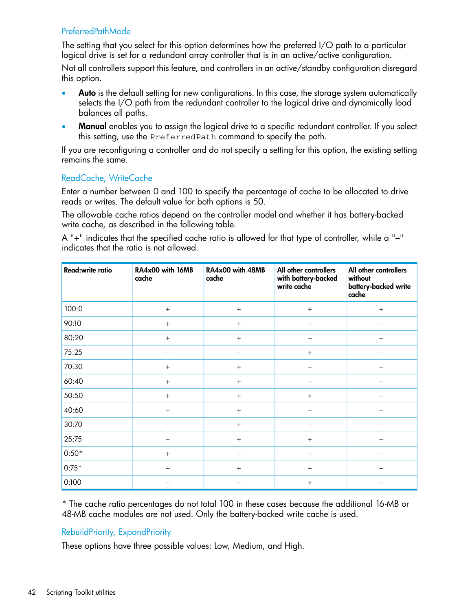#### <span id="page-41-0"></span>PreferredPathMode

The setting that you select for this option determines how the preferred I/O path to a particular logical drive is set for a redundant array controller that is in an active/active configuration.

Not all controllers support this feature, and controllers in an active/standby configuration disregard this option.

- Auto is the default setting for new configurations. In this case, the storage system automatically selects the I/O path from the redundant controller to the logical drive and dynamically load balances all paths.
- Manual enables you to assign the logical drive to a specific redundant controller. If you select this setting, use the PreferredPath command to specify the path.

<span id="page-41-1"></span>If you are reconfiguring a controller and do not specify a setting for this option, the existing setting remains the same.

#### ReadCache, WriteCache

Enter a number between 0 and 100 to specify the percentage of cache to be allocated to drive reads or writes. The default value for both options is 50.

The allowable cache ratios depend on the controller model and whether it has battery-backed write cache, as described in the following table.

A "+" indicates that the specified cache ratio is allowed for that type of controller, while a "–" indicates that the ratio is not allowed.

| Read:write ratio | RA4x00 with 16MB<br>cache | RA4x00 with 48MB<br>cache | All other controllers<br>with battery-backed<br>write cache | All other controllers<br>without<br>battery-backed write<br>cache |
|------------------|---------------------------|---------------------------|-------------------------------------------------------------|-------------------------------------------------------------------|
| 100:0            | $+$                       | $+$                       | $+$                                                         | $+$                                                               |
| 90:10            | $+$                       | $+$                       |                                                             |                                                                   |
| 80:20            | $+$                       | $+$                       |                                                             |                                                                   |
| 75:25            |                           |                           | $+$                                                         |                                                                   |
| 70:30            | $+$                       | $+$                       |                                                             |                                                                   |
| 60:40            | $+$                       | $+$                       |                                                             |                                                                   |
| 50:50            | $+$                       | $^{+}$                    | $+$                                                         |                                                                   |
| 40:60            |                           | $+$                       |                                                             |                                                                   |
| 30:70            |                           | $+$                       |                                                             |                                                                   |
| 25:75            |                           | $+$                       | $+$                                                         |                                                                   |
| $0:50*$          | $+$                       | -                         |                                                             |                                                                   |
| $0:75*$          |                           | $+$                       |                                                             |                                                                   |
| 0:100            |                           |                           | $^{+}$                                                      |                                                                   |

<span id="page-41-2"></span>\* The cache ratio percentages do not total 100 in these cases because the additional 16-MB or 48-MB cache modules are not used. Only the battery-backed write cache is used.

#### RebuildPriority, ExpandPriority

These options have three possible values: Low, Medium, and High.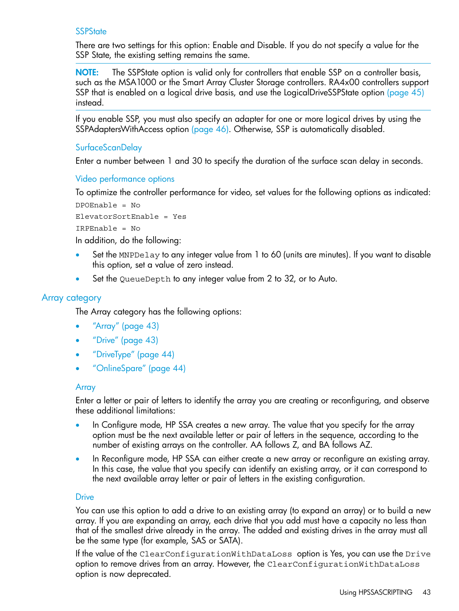#### <span id="page-42-0"></span>**SSPState**

There are two settings for this option: Enable and Disable. If you do not specify a value for the SSP State, the existing setting remains the same.

NOTE: The SSPState option is valid only for controllers that enable SSP on a controller basis, such as the MSA1000 or the Smart Array Cluster Storage controllers. RA4x00 controllers support SSP that is enabled on a logical drive basis, and use the LogicalDriveSSPState option [\(page](#page-44-2) 45) instead.

<span id="page-42-1"></span>If you enable SSP, you must also specify an adapter for one or more logical drives by using the SSPAdaptersWithAccess option [\(page](#page-45-2) 46). Otherwise, SSP is automatically disabled.

#### SurfaceScanDelay

<span id="page-42-2"></span>Enter a number between 1 and 30 to specify the duration of the surface scan delay in seconds.

#### <span id="page-42-7"></span>Video performance options

To optimize the controller performance for video, set values for the following options as indicated: DPOEnable = No

```
ElevatorSortEnable = Yes
```
IRPEnable = No

In addition, do the following:

- <span id="page-42-3"></span>• Set the MNPDelay to any integer value from 1 to 60 (units are minutes). If you want to disable this option, set a value of zero instead.
- <span id="page-42-6"></span>Set the QueueDepth to any integer value from 2 to 32, or to Auto.

#### Array category

The Array category has the following options:

- ["Array"](#page-42-4) (page 43)
- <span id="page-42-4"></span>• ["Drive"](#page-42-5) (page 43)
- ["DriveType"](#page-43-0) (page 44)
- ["OnlineSpare"](#page-43-1) (page 44)

#### Array

Enter a letter or pair of letters to identify the array you are creating or reconfiguring, and observe these additional limitations:

- <span id="page-42-5"></span>• In Configure mode, HP SSA creates a new array. The value that you specify for the array option must be the next available letter or pair of letters in the sequence, according to the number of existing arrays on the controller. AA follows Z, and BA follows AZ.
- In Reconfigure mode, HP SSA can either create a new array or reconfigure an existing array. In this case, the value that you specify can identify an existing array, or it can correspond to the next available array letter or pair of letters in the existing configuration.

#### **Drive**

You can use this option to add a drive to an existing array (to expand an array) or to build a new array. If you are expanding an array, each drive that you add must have a capacity no less than that of the smallest drive already in the array. The added and existing drives in the array must all be the same type (for example, SAS or SATA).

If the value of the ClearConfigurationWithDataLoss option is Yes, you can use the Drive option to remove drives from an array. However, the ClearConfigurationWithDataLoss option is now deprecated.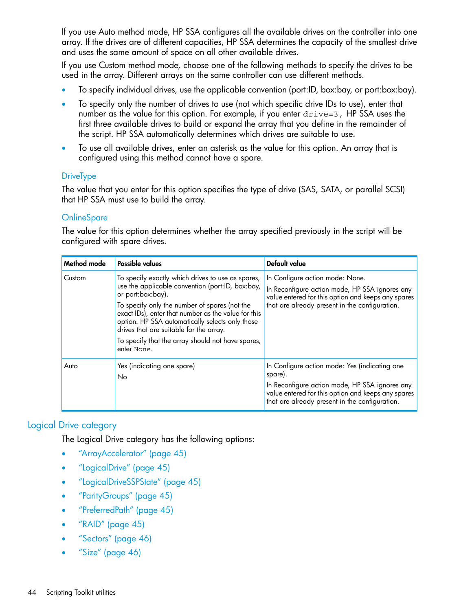If you use Auto method mode, HP SSA configures all the available drives on the controller into one array. If the drives are of different capacities, HP SSA determines the capacity of the smallest drive and uses the same amount of space on all other available drives.

If you use Custom method mode, choose one of the following methods to specify the drives to be used in the array. Different arrays on the same controller can use different methods.

- To specify individual drives, use the applicable convention (port:ID, box:bay, or port:box:bay).
- To specify only the number of drives to use (not which specific drive IDs to use), enter that number as the value for this option. For example, if you enter  $\text{drive=3}$ , HP SSA uses the first three available drives to build or expand the array that you define in the remainder of the script. HP SSA automatically determines which drives are suitable to use.
- <span id="page-43-0"></span>• To use all available drives, enter an asterisk as the value for this option. An array that is configured using this method cannot have a spare.

#### **DriveType**

<span id="page-43-1"></span>The value that you enter for this option specifies the type of drive (SAS, SATA, or parallel SCSI) that HP SSA must use to build the array.

#### **OnlineSpare**

The value for this option determines whether the array specified previously in the script will be configured with spare drives.

| <b>Method mode</b> | Possible values                                                                                                                                                                                                                                                                                                                                                                                      | <b>Default value</b>                                                                                                                                                                                               |
|--------------------|------------------------------------------------------------------------------------------------------------------------------------------------------------------------------------------------------------------------------------------------------------------------------------------------------------------------------------------------------------------------------------------------------|--------------------------------------------------------------------------------------------------------------------------------------------------------------------------------------------------------------------|
| Custom             | To specify exactly which drives to use as spares,<br>use the applicable convention (port:ID, box:bay,<br>or port:box:bay).<br>To specify only the number of spares (not the<br>exact IDs), enter that number as the value for this<br>option. HP SSA automatically selects only those<br>drives that are suitable for the array.<br>To specify that the array should not have spares,<br>enter None. | In Configure action mode: None.<br>In Reconfigure action mode, HP SSA ignores any<br>value entered for this option and keeps any spares<br>that are already present in the configuration.                          |
| Auto               | Yes (indicating one spare)<br>No                                                                                                                                                                                                                                                                                                                                                                     | In Configure action mode: Yes (indicating one<br>spare).<br>In Reconfigure action mode, HP SSA ignores any<br>value entered for this option and keeps any spares<br>that are already present in the configuration. |

#### <span id="page-43-3"></span><span id="page-43-2"></span>Logical Drive category

The Logical Drive category has the following options:

- ["ArrayAccelerator"](#page-44-0) (page 45)
- ["LogicalDrive"](#page-44-1) (page 45)
- ["LogicalDriveSSPState"](#page-44-2) (page 45)
- ["ParityGroups"](#page-44-3) (page 45)
- ["PreferredPath"](#page-44-4) (page 45)
- ["RAID"](#page-44-5) (page 45)
- ["Sectors"](#page-45-0) (page 46)
- ["Size"](#page-45-1) (page 46)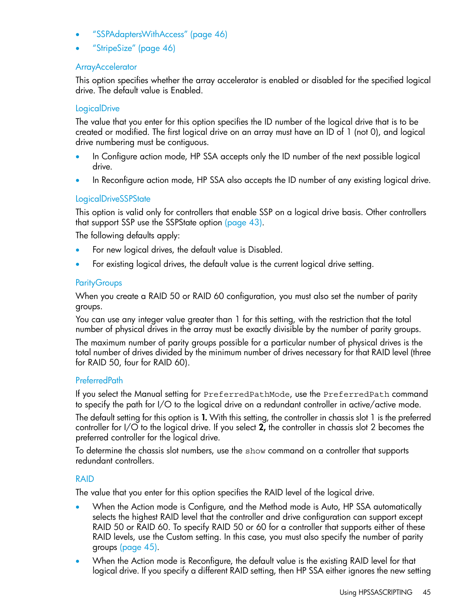- ["SSPAdaptersWithAccess"](#page-45-2) (page 46)
- <span id="page-44-0"></span>• ["StripeSize"](#page-45-3) (page 46)

#### ArrayAccelerator

<span id="page-44-1"></span>This option specifies whether the array accelerator is enabled or disabled for the specified logical drive. The default value is Enabled.

#### **LogicalDrive**

The value that you enter for this option specifies the ID number of the logical drive that is to be created or modified. The first logical drive on an array must have an ID of 1 (not 0), and logical drive numbering must be contiguous.

- In Configure action mode, HP SSA accepts only the ID number of the next possible logical drive.
- <span id="page-44-2"></span>• In Reconfigure action mode, HP SSA also accepts the ID number of any existing logical drive.

#### LogicalDriveSSPState

This option is valid only for controllers that enable SSP on a logical drive basis. Other controllers that support SSP use the SSPState option [\(page](#page-42-0) 43).

The following defaults apply:

- <span id="page-44-3"></span>• For new logical drives, the default value is Disabled.
- For existing logical drives, the default value is the current logical drive setting.

#### **ParityGroups**

When you create a RAID 50 or RAID 60 configuration, you must also set the number of parity groups.

You can use any integer value greater than 1 for this setting, with the restriction that the total number of physical drives in the array must be exactly divisible by the number of parity groups.

<span id="page-44-4"></span>The maximum number of parity groups possible for a particular number of physical drives is the total number of drives divided by the minimum number of drives necessary for that RAID level (three for RAID 50, four for RAID 60).

#### PreferredPath

If you select the Manual setting for PreferredPathMode, use the PreferredPath command to specify the path for I/O to the logical drive on a redundant controller in active/active mode.

<span id="page-44-5"></span>The default setting for this option is 1. With this setting, the controller in chassis slot 1 is the preferred controller for I/O to the logical drive. If you select 2, the controller in chassis slot 2 becomes the preferred controller for the logical drive.

To determine the chassis slot numbers, use the show command on a controller that supports redundant controllers.

#### RAID

The value that you enter for this option specifies the RAID level of the logical drive.

- When the Action mode is Configure, and the Method mode is Auto, HP SSA automatically selects the highest RAID level that the controller and drive configuration can support except RAID 50 or RAID 60. To specify RAID 50 or 60 for a controller that supports either of these RAID levels, use the Custom setting. In this case, you must also specify the number of parity groups [\(page](#page-44-3) 45).
- When the Action mode is Reconfigure, the default value is the existing RAID level for that logical drive. If you specify a different RAID setting, then HP SSA either ignores the new setting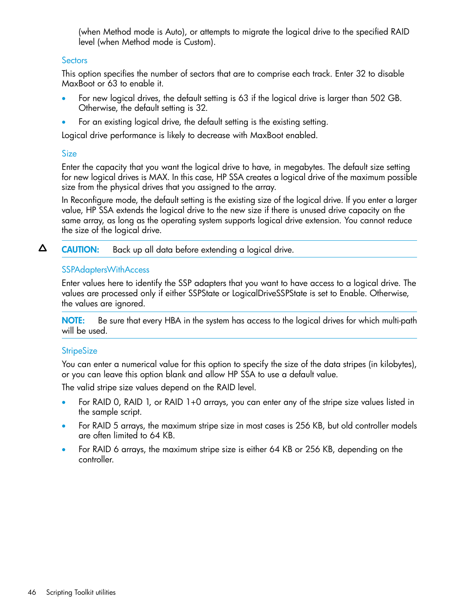(when Method mode is Auto), or attempts to migrate the logical drive to the specified RAID level (when Method mode is Custom).

#### <span id="page-45-0"></span>**Sectors**

<span id="page-45-5"></span>This option specifies the number of sectors that are to comprise each track. Enter 32 to disable MaxBoot or 63 to enable it.

- For new logical drives, the default setting is 63 if the logical drive is larger than 502 GB. Otherwise, the default setting is 32.
- For an existing logical drive, the default setting is the existing setting.

<span id="page-45-1"></span>Logical drive performance is likely to decrease with MaxBoot enabled.

#### <span id="page-45-4"></span>Size

Enter the capacity that you want the logical drive to have, in megabytes. The default size setting for new logical drives is MAX. In this case, HP SSA creates a logical drive of the maximum possible size from the physical drives that you assigned to the array.

In Reconfigure mode, the default setting is the existing size of the logical drive. If you enter a larger value, HP SSA extends the logical drive to the new size if there is unused drive capacity on the same array, as long as the operating system supports logical drive extension. You cannot reduce the size of the logical drive.

<span id="page-45-2"></span>Δ CAUTION: Back up all data before extending a logical drive.

#### SSPAdaptersWithAccess

Enter values here to identify the SSP adapters that you want to have access to a logical drive. The values are processed only if either SSPState or LogicalDriveSSPState is set to Enable. Otherwise, the values are ignored.

<span id="page-45-3"></span>NOTE: Be sure that every HBA in the system has access to the logical drives for which multi-path will be used.

#### **StripeSize**

You can enter a numerical value for this option to specify the size of the data stripes (in kilobytes), or you can leave this option blank and allow HP SSA to use a default value.

The valid stripe size values depend on the RAID level.

- For RAID 0, RAID 1, or RAID 1+0 arrays, you can enter any of the stripe size values listed in the sample script.
- For RAID 5 arrays, the maximum stripe size in most cases is 256 KB, but old controller models are often limited to 64 KB.
- For RAID 6 arrays, the maximum stripe size is either 64 KB or 256 KB, depending on the controller.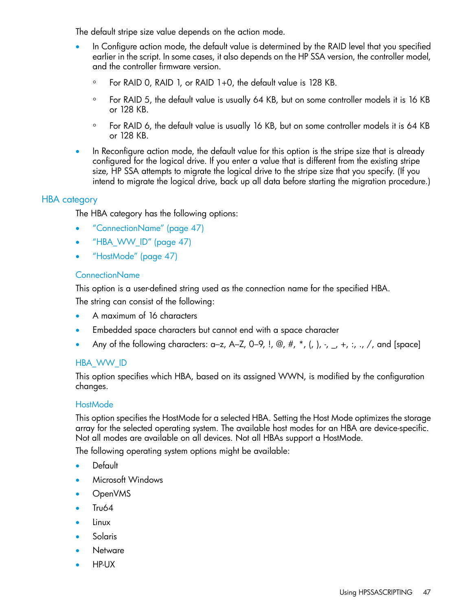The default stripe size value depends on the action mode.

- In Configure action mode, the default value is determined by the RAID level that you specified earlier in the script. In some cases, it also depends on the HP SSA version, the controller model, and the controller firmware version.
	- For RAID 0, RAID 1, or RAID 1+0, the default value is 128 KB.
	- For RAID 5, the default value is usually 64 KB, but on some controller models it is 16 KB or 128 KB.
	- For RAID 6, the default value is usually 16 KB, but on some controller models it is 64 KB or 128 KB.
- <span id="page-46-0"></span>• In Reconfigure action mode, the default value for this option is the stripe size that is already configured for the logical drive. If you enter a value that is different from the existing stripe size, HP SSA attempts to migrate the logical drive to the stripe size that you specify. (If you intend to migrate the logical drive, back up all data before starting the migration procedure.)

#### HBA category

<span id="page-46-4"></span>The HBA category has the following options:

- ["ConnectionName"](#page-46-1) (page 47)
- <span id="page-46-1"></span>• ["HBA\\_WW\\_ID"](#page-46-2) (page 47)
- ["HostMode"](#page-46-3) (page 47)

#### ConnectionName

This option is a user-defined string used as the connection name for the specified HBA. The string can consist of the following:

- <span id="page-46-2"></span>• A maximum of 16 characters
- Embedded space characters but cannot end with a space character
- Any of the following characters: a–z, A–Z, 0–9, !, @, #,  $^*$ , (, ),  $\cdot$ ,  $\cdot$ ,  $\cdot$ ,  $\cdot$ ,  $\cdot$ ,  $\cdot$ ,  $\cdot$ ,  $\cdot$ ,  $\cdot$ ,  $\cdot$ ,  $\cdot$ ,  $\cdot$ ,  $\cdot$ ,  $\cdot$ ,  $\cdot$ ,  $\cdot$ ,  $\cdot$ ,  $\cdot$ ,  $\cdot$ ,  $\cdot$ ,  $\cdot$ ,  $\cdot$ ,  $\cdot$ ,  $\cdot$ ,  $\cdot$ ,  $\$

#### <span id="page-46-3"></span>HBA\_WW\_ID

This option specifies which HBA, based on its assigned WWN, is modified by the configuration changes.

#### **HostMode**

This option specifies the HostMode for a selected HBA. Setting the Host Mode optimizes the storage array for the selected operating system. The available host modes for an HBA are device-specific. Not all modes are available on all devices. Not all HBAs support a HostMode.

The following operating system options might be available:

- Default
- Microsoft Windows
- OpenVMS
- Tru64
- Linux
- **Solaris**
- Netware
- HP-UX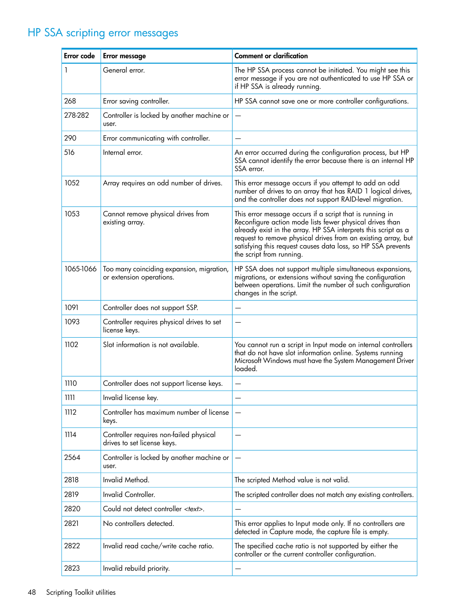# HP SSA scripting error messages

<span id="page-47-1"></span><span id="page-47-0"></span>

| Error code | <b>Error message</b>                                                   | <b>Comment or clarification</b>                                                                                                                                                                                                                                                                                                                     |
|------------|------------------------------------------------------------------------|-----------------------------------------------------------------------------------------------------------------------------------------------------------------------------------------------------------------------------------------------------------------------------------------------------------------------------------------------------|
| 1          | General error.                                                         | The HP SSA process cannot be initiated. You might see this<br>error message if you are not authenticated to use HP SSA or<br>if HP SSA is already running.                                                                                                                                                                                          |
| 268        | Error saving controller.                                               | HP SSA cannot save one or more controller configurations.                                                                                                                                                                                                                                                                                           |
| 278-282    | Controller is locked by another machine or<br>user.                    |                                                                                                                                                                                                                                                                                                                                                     |
| 290        | Error communicating with controller.                                   |                                                                                                                                                                                                                                                                                                                                                     |
| 516        | Internal error.                                                        | An error occurred during the configuration process, but HP<br>SSA cannot identify the error because there is an internal HP<br>SSA error.                                                                                                                                                                                                           |
| 1052       | Array requires an odd number of drives.                                | This error message occurs if you attempt to add an odd<br>number of drives to an array that has RAID 1 logical drives,<br>and the controller does not support RAID-level migration.                                                                                                                                                                 |
| 1053       | Cannot remove physical drives from<br>existing array.                  | This error message occurs if a script that is running in<br>Reconfigure action mode lists fewer physical drives than<br>already exist in the array. HP SSA interprets this script as a<br>request to remove physical drives from an existing array, but<br>satisfying this request causes data loss, so HP SSA prevents<br>the script from running. |
| 1065-1066  | Too many coinciding expansion, migration,<br>or extension operations.  | HP SSA does not support multiple simultaneous expansions,<br>migrations, or extensions without saving the configuration<br>between operations. Limit the number of such configuration<br>changes in the script.                                                                                                                                     |
| 1091       | Controller does not support SSP.                                       |                                                                                                                                                                                                                                                                                                                                                     |
| 1093       | Controller requires physical drives to set<br>license keys.            |                                                                                                                                                                                                                                                                                                                                                     |
| 1102       | Slot information is not available.                                     | You cannot run a script in Input mode on internal controllers<br>that do not have slot information online. Systems running<br>Microsoft Windows must have the System Management Driver<br>loaded.                                                                                                                                                   |
| 1110       | Controller does not support license keys.                              | —                                                                                                                                                                                                                                                                                                                                                   |
| Ш          | Invalid license key.                                                   |                                                                                                                                                                                                                                                                                                                                                     |
| 1112       | Controller has maximum number of license<br>keys.                      |                                                                                                                                                                                                                                                                                                                                                     |
| 1114       | Controller requires non-failed physical<br>drives to set license keys. |                                                                                                                                                                                                                                                                                                                                                     |
| 2564       | Controller is locked by another machine or<br>user.                    |                                                                                                                                                                                                                                                                                                                                                     |
| 2818       | Invalid Method.                                                        | The scripted Method value is not valid.                                                                                                                                                                                                                                                                                                             |
| 2819       | Invalid Controller.                                                    | The scripted controller does not match any existing controllers.                                                                                                                                                                                                                                                                                    |
| 2820       | Could not detect controller <text>.</text>                             | $\qquad \qquad -$                                                                                                                                                                                                                                                                                                                                   |
| 2821       | No controllers detected.                                               | This error applies to Input mode only. If no controllers are<br>detected in Capture mode, the capture file is empty.                                                                                                                                                                                                                                |
| 2822       | Invalid read cache/write cache ratio.                                  | The specified cache ratio is not supported by either the<br>controller or the current controller configuration.                                                                                                                                                                                                                                     |
| 2823       | Invalid rebuild priority.                                              |                                                                                                                                                                                                                                                                                                                                                     |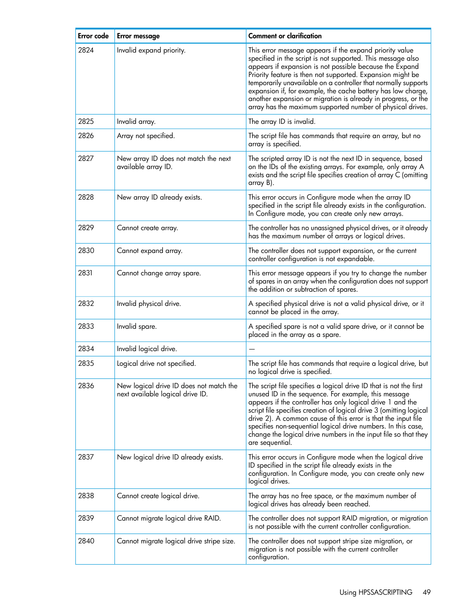| Error code | <b>Error message</b>                                                        | <b>Comment or clarification</b>                                                                                                                                                                                                                                                                                                                                                                                                                                                                                  |
|------------|-----------------------------------------------------------------------------|------------------------------------------------------------------------------------------------------------------------------------------------------------------------------------------------------------------------------------------------------------------------------------------------------------------------------------------------------------------------------------------------------------------------------------------------------------------------------------------------------------------|
| 2824       | Invalid expand priority.                                                    | This error message appears if the expand priority value<br>specified in the script is not supported. This message also<br>appears if expansion is not possible because the Expand<br>Priority feature is then not supported. Expansion might be<br>temporarily unavailable on a controller that normally supports<br>expansion if, for example, the cache battery has low charge,<br>another expansion or migration is already in progress, or the<br>array has the maximum supported number of physical drives. |
| 2825       | Invalid array.                                                              | The array ID is invalid.                                                                                                                                                                                                                                                                                                                                                                                                                                                                                         |
| 2826       | Array not specified.                                                        | The script file has commands that require an array, but no<br>array is specified.                                                                                                                                                                                                                                                                                                                                                                                                                                |
| 2827       | New array ID does not match the next<br>available array ID.                 | The scripted array ID is not the next ID in sequence, based<br>on the IDs of the existing arrays. For example, only array A<br>exists and the script file specifies creation of array C (omitting<br>array B).                                                                                                                                                                                                                                                                                                   |
| 2828       | New array ID already exists.                                                | This error occurs in Configure mode when the array ID<br>specified in the script file already exists in the configuration.<br>In Configure mode, you can create only new arrays.                                                                                                                                                                                                                                                                                                                                 |
| 2829       | Cannot create array.                                                        | The controller has no unassigned physical drives, or it already<br>has the maximum number of arrays or logical drives.                                                                                                                                                                                                                                                                                                                                                                                           |
| 2830       | Cannot expand array.                                                        | The controller does not support expansion, or the current<br>controller configuration is not expandable.                                                                                                                                                                                                                                                                                                                                                                                                         |
| 2831       | Cannot change array spare.                                                  | This error message appears if you try to change the number<br>of spares in an array when the configuration does not support<br>the addition or subtraction of spares.                                                                                                                                                                                                                                                                                                                                            |
| 2832       | Invalid physical drive.                                                     | A specified physical drive is not a valid physical drive, or it<br>cannot be placed in the array.                                                                                                                                                                                                                                                                                                                                                                                                                |
| 2833       | Invalid spare.                                                              | A specified spare is not a valid spare drive, or it cannot be<br>placed in the array as a spare.                                                                                                                                                                                                                                                                                                                                                                                                                 |
| 2834       | Invalid logical drive.                                                      |                                                                                                                                                                                                                                                                                                                                                                                                                                                                                                                  |
| 2835       | Logical drive not specified.                                                | The script file has commands that require a logical drive, but<br>no logical drive is specified.                                                                                                                                                                                                                                                                                                                                                                                                                 |
| 2836       | New logical drive ID does not match the<br>next available logical drive ID. | The script file specifies a logical drive ID that is not the first<br>unused ID in the sequence. For example, this message<br>appears if the controller has only logical drive 1 and the<br>script file specifies creation of logical drive 3 (omitting logical<br>drive 2). A common cause of this error is that the input file<br>specifies non-sequential logical drive numbers. In this case,<br>change the logical drive numbers in the input file so that they<br>are sequential.                          |
| 2837       | New logical drive ID already exists.                                        | This error occurs in Configure mode when the logical drive<br>ID specified in the script file already exists in the<br>configuration. In Configure mode, you can create only new<br>logical drives.                                                                                                                                                                                                                                                                                                              |
| 2838       | Cannot create logical drive.                                                | The array has no free space, or the maximum number of<br>logical drives has already been reached.                                                                                                                                                                                                                                                                                                                                                                                                                |
| 2839       | Cannot migrate logical drive RAID.                                          | The controller does not support RAID migration, or migration<br>is not possible with the current controller configuration.                                                                                                                                                                                                                                                                                                                                                                                       |
| 2840       | Cannot migrate logical drive stripe size.                                   | The controller does not support stripe size migration, or<br>migration is not possible with the current controller<br>configuration.                                                                                                                                                                                                                                                                                                                                                                             |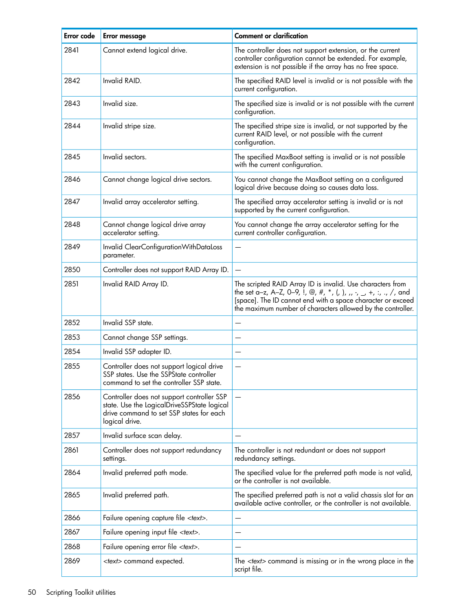| Error code | <b>Error message</b>                                                                                                                                    | <b>Comment or clarification</b>                                                                                                                                                                                                                               |
|------------|---------------------------------------------------------------------------------------------------------------------------------------------------------|---------------------------------------------------------------------------------------------------------------------------------------------------------------------------------------------------------------------------------------------------------------|
| 2841       | Cannot extend logical drive.                                                                                                                            | The controller does not support extension, or the current<br>controller configuration cannot be extended. For example,<br>extension is not possible if the array has no free space.                                                                           |
| 2842       | Invalid RAID.                                                                                                                                           | The specified RAID level is invalid or is not possible with the<br>current configuration.                                                                                                                                                                     |
| 2843       | Invalid size.                                                                                                                                           | The specified size is invalid or is not possible with the current<br>configuration.                                                                                                                                                                           |
| 2844       | Invalid stripe size.                                                                                                                                    | The specified stripe size is invalid, or not supported by the<br>current RAID level, or not possible with the current<br>configuration.                                                                                                                       |
| 2845       | Invalid sectors.                                                                                                                                        | The specified MaxBoot setting is invalid or is not possible<br>with the current configuration.                                                                                                                                                                |
| 2846       | Cannot change logical drive sectors.                                                                                                                    | You cannot change the MaxBoot setting on a configured<br>logical drive because doing so causes data loss.                                                                                                                                                     |
| 2847       | Invalid array accelerator setting.                                                                                                                      | The specified array accelerator setting is invalid or is not<br>supported by the current configuration.                                                                                                                                                       |
| 2848       | Cannot change logical drive array<br>accelerator setting.                                                                                               | You cannot change the array accelerator setting for the<br>current controller configuration.                                                                                                                                                                  |
| 2849       | Invalid ClearConfigurationWithDataLoss<br>parameter.                                                                                                    |                                                                                                                                                                                                                                                               |
| 2850       | Controller does not support RAID Array ID.                                                                                                              |                                                                                                                                                                                                                                                               |
| 2851       | Invalid RAID Array ID.                                                                                                                                  | The scripted RAID Array ID is invalid. Use characters from<br>the set a-z, A-Z, 0-9, !, @, #, *, (, ), ,, -, _, +, :, ., /, and<br>[space]. The ID cannot end with a space character or exceed<br>the maximum number of characters allowed by the controller. |
| 2852       | Invalid SSP state.                                                                                                                                      |                                                                                                                                                                                                                                                               |
| 2853       | Cannot change SSP settings.                                                                                                                             |                                                                                                                                                                                                                                                               |
| 2854       | Invalid SSP adapter ID.                                                                                                                                 |                                                                                                                                                                                                                                                               |
| 2855       | Controller does not support logical drive<br>SSP states. Use the SSPState controller<br>command to set the controller SSP state.                        |                                                                                                                                                                                                                                                               |
| 2856       | Controller does not support controller SSP<br>state. Use the LogicalDriveSSPState logical<br>drive command to set SSP states for each<br>logical drive. | $\overline{\phantom{0}}$                                                                                                                                                                                                                                      |
| 2857       | Invalid surface scan delay.                                                                                                                             |                                                                                                                                                                                                                                                               |
| 2861       | Controller does not support redundancy<br>settings.                                                                                                     | The controller is not redundant or does not support<br>redundancy settings.                                                                                                                                                                                   |
| 2864       | Invalid preferred path mode.                                                                                                                            | The specified value for the preferred path mode is not valid,<br>or the controller is not available.                                                                                                                                                          |
| 2865       | Invalid preferred path.                                                                                                                                 | The specified preferred path is not a valid chassis slot for an<br>available active controller, or the controller is not available.                                                                                                                           |
| 2866       | Failure opening capture file <text>.</text>                                                                                                             |                                                                                                                                                                                                                                                               |
| 2867       | Failure opening input file <text>.</text>                                                                                                               |                                                                                                                                                                                                                                                               |
| 2868       | Failure opening error file <text>.</text>                                                                                                               |                                                                                                                                                                                                                                                               |
| 2869       | <text> command expected.</text>                                                                                                                         | The $\lt$ text> command is missing or in the wrong place in the<br>script file.                                                                                                                                                                               |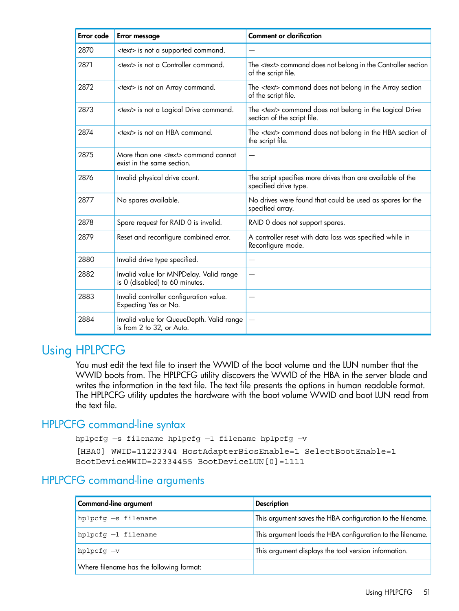| <b>Error</b> code | <b>Error message</b>                                                      | <b>Comment or clarification</b>                                                                |
|-------------------|---------------------------------------------------------------------------|------------------------------------------------------------------------------------------------|
| 2870              | <text> is not a supported command.</text>                                 |                                                                                                |
| 2871              | <text> is not a Controller command.</text>                                | The <text> command does not belong in the Controller section<br/>of the script file.</text>    |
| 2872              | <text> is not an Array command.</text>                                    | The <text> command does not belong in the Array section<br/>of the script file.</text>         |
| 2873              | <text> is not a Logical Drive command.</text>                             | The <text> command does not belong in the Logical Drive<br/>section of the script file.</text> |
| 2874              | <text> is not an HBA command.</text>                                      | The <text> command does not belong in the HBA section of<br/>the script file.</text>           |
| 2875              | More than one <text> command cannot<br/>exist in the same section.</text> |                                                                                                |
| 2876              | Invalid physical drive count.                                             | The script specifies more drives than are available of the<br>specified drive type.            |
| 2877              | No spares available.                                                      | No drives were found that could be used as spares for the<br>specified array.                  |
| 2878              | Spare request for RAID 0 is invalid.                                      | RAID 0 does not support spares.                                                                |
| 2879              | Reset and reconfigure combined error.                                     | A controller reset with data loss was specified while in<br>Reconfigure mode.                  |
| 2880              | Invalid drive type specified.                                             |                                                                                                |
| 2882              | Invalid value for MNPDelay. Valid range<br>is 0 (disabled) to 60 minutes. | —                                                                                              |
| 2883              | Invalid controller configuration value.<br>Expecting Yes or No.           |                                                                                                |
| 2884              | Invalid value for QueueDepth. Valid range<br>is from 2 to 32, or Auto.    |                                                                                                |

# <span id="page-50-0"></span>Using HPLPCFG

<span id="page-50-5"></span><span id="page-50-3"></span><span id="page-50-1"></span>You must edit the text file to insert the WWID of the boot volume and the LUN number that the WWID boots from. The HPLPCFG utility discovers the WWID of the HBA in the server blade and writes the information in the text file. The text file presents the options in human readable format. The HPLPCFG utility updates the hardware with the boot volume WWID and boot LUN read from the text file.

### HPLPCFG command-line syntax

```
hplpcfg -s filename hplpcfg -1 filename hplpcfg -v
```

```
[HBA0] WWID=11223344 HostAdapterBiosEnable=1 SelectBootEnable=1
BootDeviceWWID=22334455 BootDeviceLUN[0]=1111
```
# HPLPCFG command-line arguments

| <b>Command-line argument</b>             | <b>Description</b>                                         |
|------------------------------------------|------------------------------------------------------------|
| hplpcfg -s filename                      | This argument saves the HBA configuration to the filename. |
| $hplpcfq -l$ filename                    | This argument loads the HBA configuration to the filename. |
| hplpcfg -v                               | This argument displays the tool version information.       |
| Where filename has the following format: |                                                            |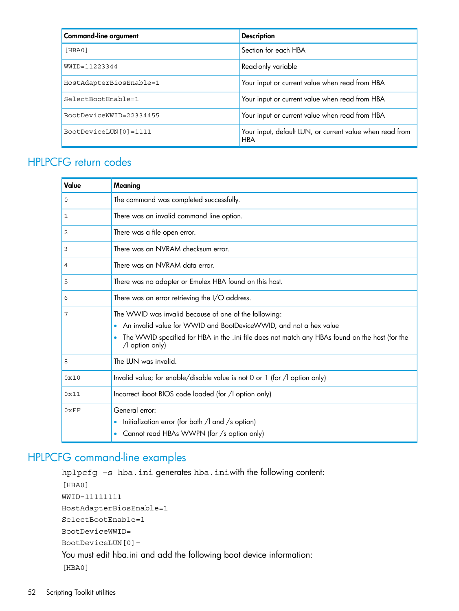| <b>Command-line argument</b> | <b>Description</b>                                                     |
|------------------------------|------------------------------------------------------------------------|
| [HBA0]                       | Section for each HBA                                                   |
| WWID=11223344                | Read-only variable                                                     |
| HostAdapterBiosEnable=1      | Your input or current value when read from HBA                         |
| SelectBootEnable=1           | Your input or current value when read from HBA                         |
| BootDeviceWWID=22334455      | Your input or current value when read from HBA                         |
| BootDeviceLUN[0]=1111        | Your input, default LUN, or current value when read from<br><b>HBA</b> |

# <span id="page-51-0"></span>HPLPCFG return codes

<span id="page-51-3"></span>

| Value        | Meaning                                                                                                                   |  |
|--------------|---------------------------------------------------------------------------------------------------------------------------|--|
| 0            | The command was completed successfully.                                                                                   |  |
| $\mathbf{1}$ | There was an invalid command line option.                                                                                 |  |
| 2            | There was a file open error.                                                                                              |  |
| 3            | There was an NVRAM checksum error.                                                                                        |  |
| 4            | There was an NVRAM data error.                                                                                            |  |
| 5            | There was no adapter or Emulex HBA found on this host.                                                                    |  |
| 6            | There was an error retrieving the I/O address.                                                                            |  |
| 7            | The WWID was invalid because of one of the following:                                                                     |  |
|              | An invalid value for WWID and BootDeviceWWID, and not a hex value                                                         |  |
|              | The WWID specified for HBA in the .ini file does not match any HBAs found on the host (for the<br>$\sqrt{ }$ option only) |  |
| 8            | The LUN was invalid.                                                                                                      |  |
| 0x10         | Invalid value; for enable/disable value is not 0 or 1 (for /l option only)                                                |  |
| 0x11         | Incorrect iboot BIOS code loaded (for /l option only)                                                                     |  |
| 0xFF         | General error:                                                                                                            |  |
|              | Initialization error (for both $\sqrt{ }$ and $\sqrt{ }$ s option)                                                        |  |
|              | Cannot read HBAs WWPN (for /s option only)<br>$\bullet$                                                                   |  |

# <span id="page-51-2"></span><span id="page-51-1"></span>HPLPCFG command-line examples

```
hplpcfg –s hba.ini generates hba.iniwith the following content:
[HBA0]
WWID=11111111
HostAdapterBiosEnable=1
SelectBootEnable=1
BootDeviceWWID=
BootDeviceLUN[0]=
You must edit hba.ini and add the following boot device information:
[HBA0]
```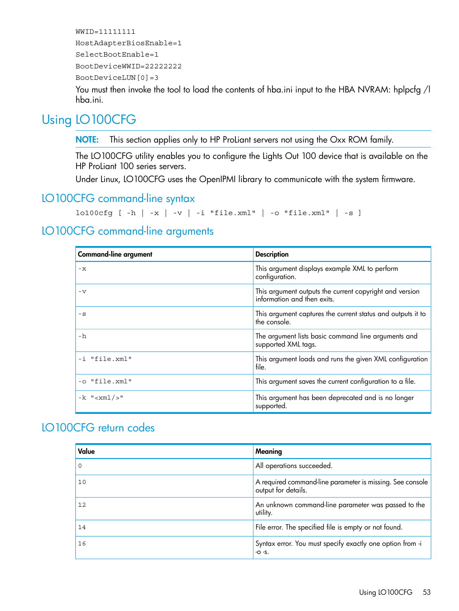```
WWID=11111111
HostAdapterBiosEnable=1
SelectBootEnable=1
BootDeviceWWID=22222222
BootDeviceLUN[0]=3
```
<span id="page-52-0"></span>You must then invoke the tool to load the contents of hba.ini input to the HBA NVRAM: hplpcfg /l hba.ini.

# Using LO100CFG

<span id="page-52-4"></span>NOTE: This section applies only to HP ProLiant servers not using the Oxx ROM family.

The LO100CFG utility enables you to configure the Lights Out 100 device that is available on the HP ProLiant 100 series servers.

<span id="page-52-6"></span><span id="page-52-1"></span>Under Linux, LO100CFG uses the OpenIPMI library to communicate with the system firmware.

### LO100CFG command-line syntax

```
lo100cfg [-h \mid -x \mid -v \mid -i \text{ "file.xml" } -o \text{ "file.xml" } -s ]
```
### LO100CFG command-line arguments

| <b>Command-line argument</b> | <b>Description</b>                                                                     |
|------------------------------|----------------------------------------------------------------------------------------|
| $-x$                         | This argument displays example XML to perform<br>configuration.                        |
| $-\nabla$                    | This argument outputs the current copyright and version<br>information and then exits. |
| $-S$                         | This argument captures the current status and outputs it to<br>the console.            |
| -h                           | The argument lists basic command line arguments and<br>supported XML tags.             |
| -i "file.xml"                | This argument loads and runs the given XML configuration<br>file.                      |
| -o "file.xml"                | This argument saves the current configuration to a file.                               |
| $-k$ "< $xml$ />"            | This argument has been deprecated and is no longer<br>supported.                       |

# <span id="page-52-7"></span><span id="page-52-3"></span>LO100CFG return codes

| Value | Meaning                                                                          |
|-------|----------------------------------------------------------------------------------|
| 0     | All operations succeeded.                                                        |
| 10    | A required command-line parameter is missing. See console<br>output for details. |
| 12    | An unknown command-line parameter was passed to the<br>utility.                  |
| 14    | File error. The specified file is empty or not found.                            |
| 16    | Syntax error. You must specify exactly one option from -i<br>$-O-S.$             |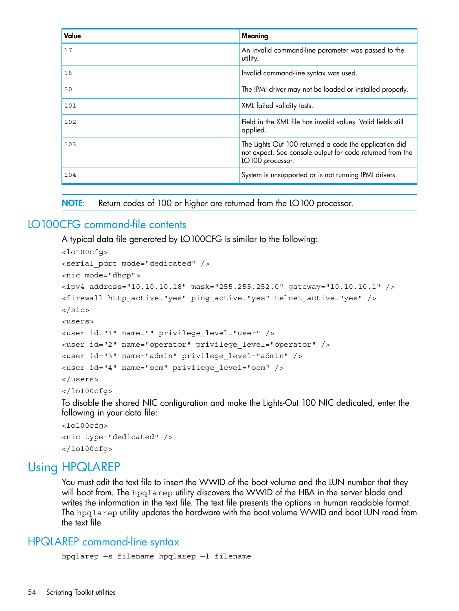| Value | Meaning                                                                                                                                 |
|-------|-----------------------------------------------------------------------------------------------------------------------------------------|
| 17    | An invalid command-line parameter was passed to the<br>utility.                                                                         |
| 18    | Invalid command-line syntax was used.                                                                                                   |
| 50    | The IPMI driver may not be loaded or installed properly.                                                                                |
| 101   | XML failed validity tests.                                                                                                              |
| 102   | Field in the XML file has invalid values. Valid fields still<br>applied.                                                                |
| 103   | The Lights Out 100 returned a code the application did<br>not expect. See console output for code returned from the<br>LO100 processor. |
| 104   | System is unsupported or is not running IPMI drivers.                                                                                   |

<span id="page-53-5"></span><span id="page-53-0"></span>NOTE: Return codes of 100 or higher are returned from the LO100 processor.

### LO100CFG command-file contents

A typical data file generated by LO100CFG is similar to the following: <lo100cfg> <serial\_port mode="dedicated" /> <nic mode="dhcp"> <ipv4 address="10.10.10.18" mask="255.255.252.0" gateway="10.10.10.1" /> <firewall http\_active="yes" ping\_active="yes" telnet\_active="yes" /> </nic> <users> <user id="1" name="" privilege\_level="user" /> <user id="2" name="operator" privilege\_level="operator" /> <user id="3" name="admin" privilege\_level="admin" /> <user id="4" name="oem" privilege\_level="oem" /> </users> </lo100cfg>

To disable the shared NIC configuration and make the Lights-Out 100 NIC dedicated, enter the following in your data file:

```
<lo100cfg>
<nic type="dedicated" />
</lo100cfg>
```
# Using HPQLAREP

<span id="page-53-4"></span><span id="page-53-2"></span>You must edit the text file to insert the WWID of the boot volume and the LUN number that they will boot from. The hpqlarep utility discovers the WWID of the HBA in the server blade and writes the information in the text file. The text file presents the options in human readable format. The hpqlarep utility updates the hardware with the boot volume WWID and boot LUN read from the text file.

### HPQLAREP command-line syntax

```
hpqlarep —s filename hpqlarep —l filename
```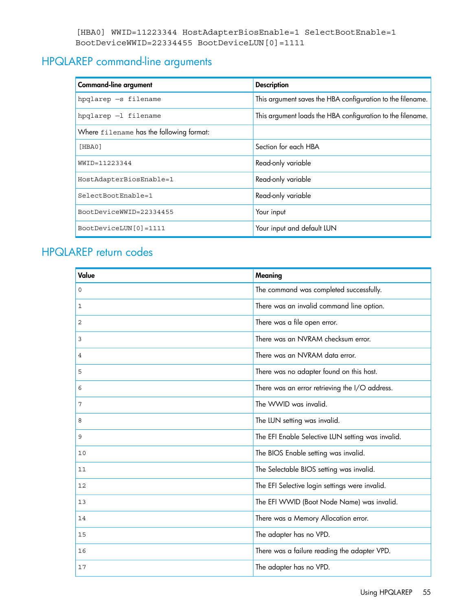```
[HBA0] WWID=11223344 HostAdapterBiosEnable=1 SelectBootEnable=1
BootDeviceWWID=22334455 BootDeviceLUN[0]=1111
```
# HPQLAREP command-line arguments

<span id="page-54-2"></span>

| <b>Command-line argument</b>             | <b>Description</b>                                         |
|------------------------------------------|------------------------------------------------------------|
| hpqlarep -s filename                     | This argument saves the HBA configuration to the filename. |
| hpqlarep -1 filename                     | This argument loads the HBA configuration to the filename. |
| Where filename has the following format: |                                                            |
| [HBA0]                                   | Section for each HBA                                       |
| WWID=11223344                            | Read-only variable                                         |
| HostAdapterBiosEnable=1                  | Read-only variable                                         |
| SelectBootEnable=1                       | Read-only variable                                         |
| BootDeviceWWID=22334455                  | Your input                                                 |
| BootDeviceLUN[0]=1111                    | Your input and default LUN                                 |

# <span id="page-54-3"></span><span id="page-54-1"></span>HPQLAREP return codes

| Value    | Meaning                                           |
|----------|---------------------------------------------------|
| $\Omega$ | The command was completed successfully.           |
| 1        | There was an invalid command line option.         |
| 2        | There was a file open error.                      |
| 3        | There was an NVRAM checksum error.                |
| 4        | There was an NVRAM data error.                    |
| 5        | There was no adapter found on this host.          |
| 6        | There was an error retrieving the I/O address.    |
| 7        | The WWID was invalid.                             |
| 8        | The LUN setting was invalid.                      |
| 9        | The EFI Enable Selective LUN setting was invalid. |
| 10       | The BIOS Enable setting was invalid.              |
| 11       | The Selectable BIOS setting was invalid.          |
| 12       | The EFI Selective login settings were invalid.    |
| 13       | The EFI WWID (Boot Node Name) was invalid.        |
| 14       | There was a Memory Allocation error.              |
| 15       | The adapter has no VPD.                           |
| 16       | There was a failure reading the adapter VPD.      |
| 17       | The adapter has no VPD.                           |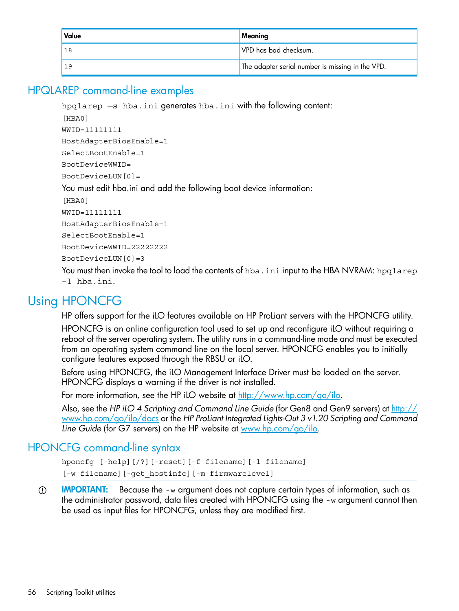| Value | Meaning                                          |
|-------|--------------------------------------------------|
| 18    | VPD has bad checksum.                            |
| 19    | The adapter serial number is missing in the VPD. |

## HPQLAREP command-line examples

<span id="page-55-5"></span><span id="page-55-0"></span>hpqlarep —s hba.ini generates hba.ini with the following content:

```
[HBA0]
WWID=11111111
HostAdapterBiosEnable=1
SelectBootEnable=1
BootDeviceWWID=
BootDeviceLUN[0]=
You must edit hba.ini and add the following boot device information:
[HBA0]
WWID=11111111
HostAdapterBiosEnable=1
SelectBootEnable=1
BootDeviceWWID=22222222
BootDeviceLUN[0]=3
```
<span id="page-55-3"></span><span id="page-55-1"></span>You must then invoke the tool to load the contents of  $hba$ . ini input to the HBA NVRAM:  $hpqlarep$ –l hba.ini.

# Using HPONCFG

HP offers support for the iLO features available on HP ProLiant servers with the HPONCFG utility.

HPONCFG is an online configuration tool used to set up and reconfigure iLO without requiring a reboot of the server operating system. The utility runs in a command-line mode and must be executed from an operating system command line on the local server. HPONCFG enables you to initially configure features exposed through the RBSU or iLO.

Before using HPONCFG, the iLO Management Interface Driver must be loaded on the server. HPONCFG displays a warning if the driver is not installed.

<span id="page-55-2"></span>For more information, see the HP iLO website at <http://www.hp.com/go/ilo>.

<span id="page-55-4"></span>Also, see the *HP iLO 4 Scripting and Command Line Guide* (for Gen8 and Gen9 servers) at [http://](http://www.hp.com/go/ilo/docs) [www.hp.com/go/ilo/docs](http://www.hp.com/go/ilo/docs) or the *HP ProLiant Integrated Lights-Out 3 v1.20 Scripting and Command Line Guide* (for G7 servers) on the HP website at [www.hp.com/go/ilo.](www.hp.com/go/ilo)

### HPONCFG command-line syntax

hponcfg [-help][/?][-reset][-f filename][-l filename] [-w filename][-get\_hostinfo][-m firmwarelevel]

 $\mathbb{O}$ **IMPORTANT:** Because the -w argument does not capture certain types of information, such as the administrator password, data files created with HPONCFG using the -w argument cannot then be used as input files for HPONCFG, unless they are modified first.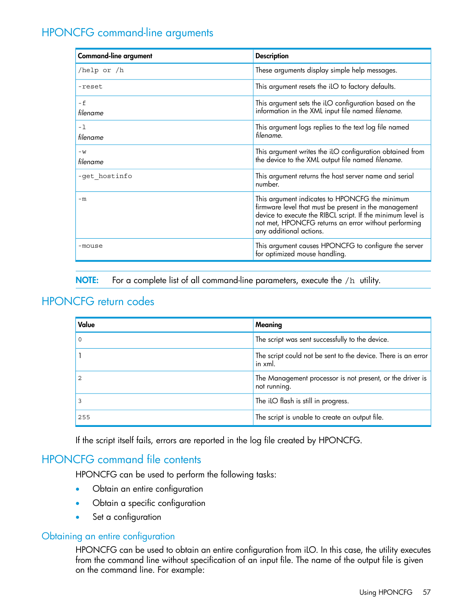# HPONCFG command-line arguments

<span id="page-56-4"></span><span id="page-56-0"></span>

| <b>Command-line argument</b> | <b>Description</b>                                                                                                                                                                                                                                        |
|------------------------------|-----------------------------------------------------------------------------------------------------------------------------------------------------------------------------------------------------------------------------------------------------------|
| /help or $/h$                | These arguments display simple help messages.                                                                                                                                                                                                             |
| -reset                       | This argument resets the iLO to factory defaults.                                                                                                                                                                                                         |
| - f<br>filename              | This argument sets the iLO configuration based on the<br>information in the XML input file named filename.                                                                                                                                                |
| -1<br>filename               | This argument logs replies to the text log file named<br>filename.                                                                                                                                                                                        |
| $-W$<br>filename             | This argument writes the iLO configuration obtained from<br>the device to the XML output file named filename.                                                                                                                                             |
| -get hostinfo                | This argument returns the host server name and serial<br>number.                                                                                                                                                                                          |
| $-m$                         | This argument indicates to HPONCFG the minimum<br>firmware level that must be present in the management<br>device to execute the RIBCL script. If the minimum level is<br>not met, HPONCFG returns an error without performing<br>any additional actions. |
| -mouse                       | This argument causes HPONCFG to configure the server<br>for optimized mouse handling.                                                                                                                                                                     |

<span id="page-56-7"></span><span id="page-56-1"></span>NOTE: For a complete list of all command-line parameters, execute the /h utility.

### HPONCFG return codes

| Value | Meaning                                                                   |
|-------|---------------------------------------------------------------------------|
|       | The script was sent successfully to the device.                           |
|       | The script could not be sent to the device. There is an error<br>in xml.  |
|       | The Management processor is not present, or the driver is<br>not running. |
|       | The iLO flash is still in progress.                                       |
| 255   | The script is unable to create an output file.                            |

<span id="page-56-5"></span><span id="page-56-2"></span>If the script itself fails, errors are reported in the log file created by HPONCFG.

### HPONCFG command file contents

<span id="page-56-3"></span>HPONCFG can be used to perform the following tasks:

- <span id="page-56-6"></span>• Obtain an entire configuration
- Obtain a specific configuration
- Set a configuration

#### Obtaining an entire configuration

HPONCFG can be used to obtain an entire configuration from iLO. In this case, the utility executes from the command line without specification of an input file. The name of the output file is given on the command line. For example: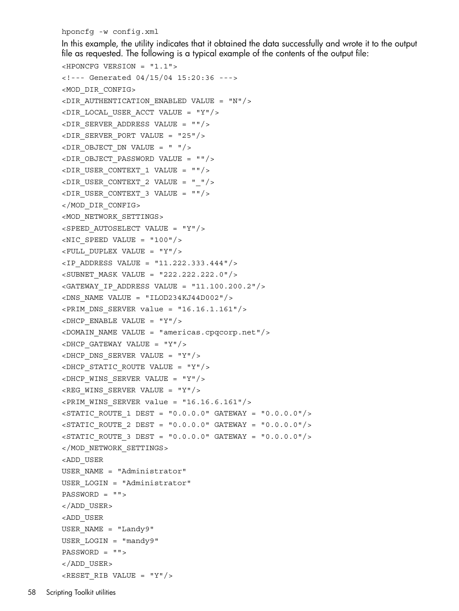hponcfg -w config.xml

In this example, the utility indicates that it obtained the data successfully and wrote it to the output file as requested. The following is a typical example of the contents of the output file:

```
<HPONCFG VERSION = "1.1">
<!--- Generated 04/15/04 15:20:36 --->
<MOD_DIR_CONFIG>
\langleDIR AUTHENTICATION ENABLED VALUE = "N"/>
\langleDIR LOCAL USER ACCT VALUE = "Y"/>
\langleDIR SERVER ADDRESS VALUE = ""/>
\n  <DIR SERVER PORT VALUE = "25"/>
\langleDIR OBJECT DN VALUE = " "/>
<DIR_OBJECT_PASSWORD VALUE = ""/>
\n  <DIR USER CONTEXT 1 VALUE = ""/>
\langleDIR USER CONTEXT 2 VALUE = " "/>
\langleDIR USER CONTEXT 3 VALUE = ""/>
</MOD_DIR_CONFIG>
<MOD_NETWORK_SETTINGS>
<SPEED_AUTOSELECT VALUE = "Y"/>
\langleNIC SPEED VALUE = "100"/>
\langleFULL DUPLEX VALUE = "Y"/>
\langleIP ADDRESS VALUE = "11.222.333.444"/>
<SUBNET_MASK VALUE = "222.222.222.0"/>
<GATEWAY IP ADDRESS VALUE = "11.100.200.2"/>
$\times$DNS NAME VALUE = "ILOD234KJ44D002"/>
\epsilonPRIM DNS SERVER value = "16.16.1.161"/>
\langleDHCP ENABLE VALUE = "Y"/>
<DOMAIN_NAME VALUE = "americas.cpqcorp.net"/>
\langleDHCP GATEWAY VALUE = "Y"/>
\langleDHCP_DNS_SERVER_VALUE = "Y"/>
\langleDHCP STATIC ROUTE VALUE = "Y"/>
\langleDHCP WINS SERVER VALUE = "Y"/>
\langleREG WINS SERVER VALUE = "Y"/>
\epsilonPRIM WINS SERVER value = "16.16.6.161"/>
\langleSTATIC ROUTE 1 DEST = "0.0.0.0" GATEWAY = "0.0.0.0"/>
\langleSTATIC ROUTE 2 DEST = "0.0.0.0" GATEWAY = "0.0.0.0"/>
\langleSTATIC ROUTE 3 DEST = "0.0.0.0" GATEWAY = "0.0.0.0"/>
</MOD_NETWORK_SETTINGS>
<ADD_USER
USER_NAME = "Administrator"
USER_LOGIN = "Administrator"
PASSWORD = "">
</ADD_USER>
<ADD_USER
USER_NAME = "Landy9"
USER_LOGIN = "mandy9"
PASSWORD = "">
</ADD_USER>
RESET RIB VALUE = "Y"/>
```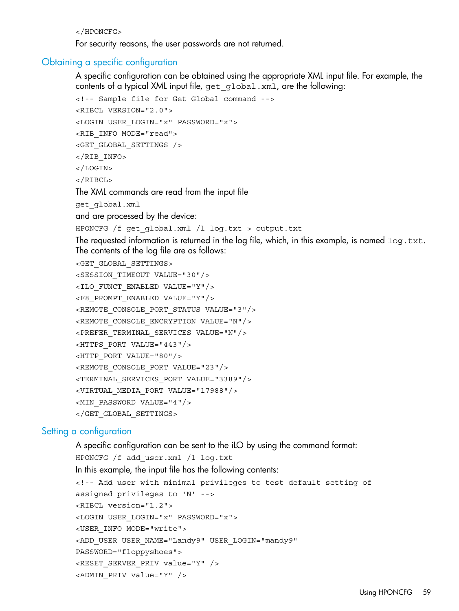</HPONCFG>

<span id="page-58-0"></span>For security reasons, the user passwords are not returned.

#### Obtaining a specific configuration

<span id="page-58-3"></span>A specific configuration can be obtained using the appropriate XML input file. For example, the contents of a typical XML input file, get global.xml, are the following:

```
<!-- Sample file for Get Global command -->
<RIBCL VERSION="2.0">
<LOGIN USER_LOGIN="x" PASSWORD="x">
<RIB INFO MODE="read">
<GET_GLOBAL_SETTINGS />
</RIB INFO>
</LOGIN>
</RIBCL>
```
The XML commands are read from the input file

get\_global.xml

and are processed by the device:

HPONCFG /f get\_global.xml /l log.txt > output.txt

The requested information is returned in the log file, which, in this example, is named log.txt. The contents of the log file are as follows:

```
<GET_GLOBAL_SETTINGS>
<SESSION_TIMEOUT VALUE="30"/>
<ILO_FUNCT_ENABLED VALUE="Y"/>
<F8_PROMPT_ENABLED VALUE="Y"/>
<REMOTE_CONSOLE_PORT_STATUS VALUE="3"/>
<REMOTE_CONSOLE_ENCRYPTION VALUE="N"/>
<PREFER_TERMINAL_SERVICES VALUE="N"/>
<HTTPS_PORT VALUE="443"/>
<HTTP_PORT VALUE="80"/>
<REMOTE_CONSOLE_PORT VALUE="23"/>
<TERMINAL_SERVICES_PORT VALUE="3389"/>
<VIRTUAL_MEDIA_PORT VALUE="17988"/>
<MIN_PASSWORD VALUE="4"/>
</GET_GLOBAL_SETTINGS>
```
#### <span id="page-58-2"></span><span id="page-58-1"></span>Setting a configuration

A specific configuration can be sent to the iLO by using the command format: HPONCFG /f add\_user.xml /l log.txt In this example, the input file has the following contents: <!-- Add user with minimal privileges to test default setting of assigned privileges to 'N' --> <RIBCL version="1.2"> <LOGIN USER\_LOGIN="x" PASSWORD="x"> <USER\_INFO MODE="write"> <ADD\_USER USER\_NAME="Landy9" USER\_LOGIN="mandy9" PASSWORD="floppyshoes"> <RESET\_SERVER\_PRIV value="Y" /> <ADMIN\_PRIV value="Y" />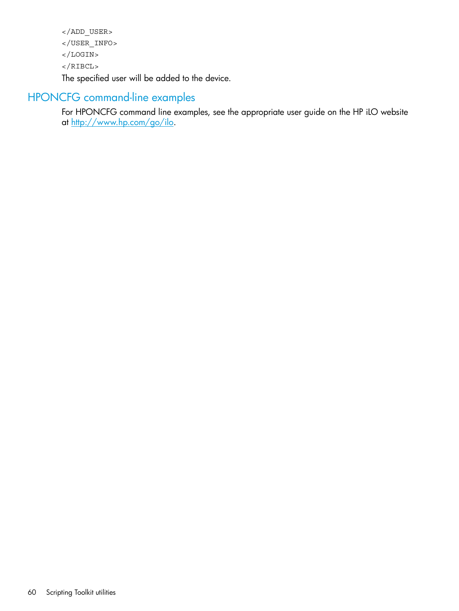```
</ADD_USER>
</USER_INFO>
</LOGIN>
</RIBCL>
The specified user will be added to the device.
```
# HPONCFG command-line examples

<span id="page-59-1"></span><span id="page-59-0"></span>For HPONCFG command line examples, see the appropriate user guide on the HP iLO website at <u>http://www.hp.com/go/ilo</u>.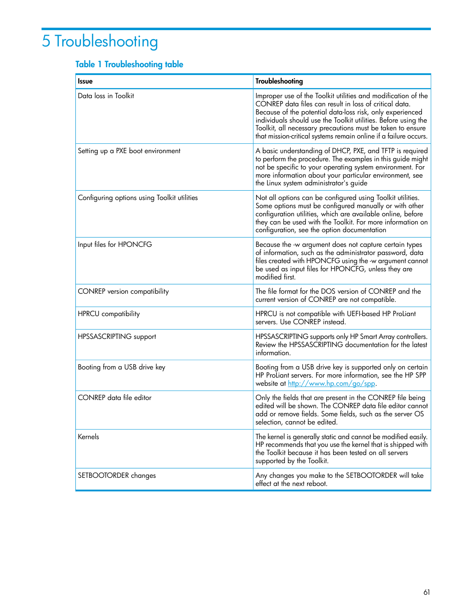# <span id="page-60-0"></span>5 Troubleshooting

# <span id="page-60-1"></span>Table 1 Troubleshooting table

| <b>Issue</b>                                | <b>Troubleshooting</b>                                                                                                                                                                                                                                                                                                                                                                   |
|---------------------------------------------|------------------------------------------------------------------------------------------------------------------------------------------------------------------------------------------------------------------------------------------------------------------------------------------------------------------------------------------------------------------------------------------|
| Data loss in Toolkit                        | Improper use of the Toolkit utilities and modification of the<br>CONREP data files can result in loss of critical data.<br>Because of the potential data-loss risk, only experienced<br>individuals should use the Toolkit utilities. Before using the<br>Toolkit, all necessary precautions must be taken to ensure<br>that mission-critical systems remain online if a failure occurs. |
| Setting up a PXE boot environment           | A basic understanding of DHCP, PXE, and TFTP is required<br>to perform the procedure. The examples in this guide might<br>not be specific to your operating system environment. For<br>more information about your particular environment, see<br>the Linux system administrator's guide                                                                                                 |
| Configuring options using Toolkit utilities | Not all options can be configured using Toolkit utilities.<br>Some options must be configured manually or with other<br>configuration utilities, which are available online, before<br>they can be used with the Toolkit. For more information on<br>configuration, see the option documentation                                                                                         |
| Input files for HPONCFG                     | Because the -w argument does not capture certain types<br>of information, such as the administrator password, data<br>files created with HPONCFG using the -w argument cannot<br>be used as input files for HPONCFG, unless they are<br>modified first.                                                                                                                                  |
| <b>CONREP</b> version compatibility         | The file format for the DOS version of CONREP and the<br>current version of CONREP are not compatible.                                                                                                                                                                                                                                                                                   |
| HPRCU compatibility                         | HPRCU is not compatible with UEFI-based HP ProLiant<br>servers. Use CONREP instead.                                                                                                                                                                                                                                                                                                      |
| HPSSASCRIPTING support                      | HPSSASCRIPTING supports only HP Smart Array controllers.<br>Review the HPSSASCRIPTING documentation for the latest<br>information.                                                                                                                                                                                                                                                       |
| Booting from a USB drive key                | Booting from a USB drive key is supported only on certain<br>HP ProLiant servers. For more information, see the HP SPP<br>website at <u>http://www.hp.com/go/spp</u> .                                                                                                                                                                                                                   |
| CONREP data file editor                     | Only the fields that are present in the CONREP file being<br>edited will be shown. The CONREP data file editor cannot<br>add or remove fields. Some fields, such as the server OS<br>selection, cannot be edited.                                                                                                                                                                        |
| Kernels                                     | The kernel is generally static and cannot be modified easily.<br>HP recommends that you use the kernel that is shipped with<br>the Toolkit because it has been tested on all servers<br>supported by the Toolkit.                                                                                                                                                                        |
| SETBOOTORDER changes                        | Any changes you make to the SETBOOTORDER will take<br>effect at the next reboot.                                                                                                                                                                                                                                                                                                         |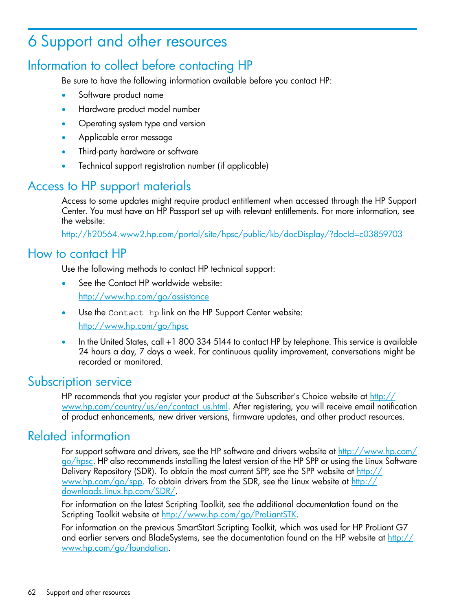# <span id="page-61-0"></span>6 Support and other resources

# Information to collect before contacting HP

<span id="page-61-1"></span>Be sure to have the following information available before you contact HP:

- Software product name
- Hardware product model number
- Operating system type and version
- Applicable error message
- Third-party hardware or software
- <span id="page-61-2"></span>• Technical support registration number (if applicable)

# Access to HP support materials

Access to some updates might require product entitlement when accessed through the HP Support Center. You must have an HP Passport set up with relevant entitlements. For more information, see the website:

<span id="page-61-3"></span><http://h20564.www2.hp.com/portal/site/hpsc/public/kb/docDisplay/?docId=c03859703>

# How to contact HP

Use the following methods to contact HP technical support:

- See the Contact HP worldwide website: <http://www.hp.com/go/assistance>
- Use the Contact hp link on the HP Support Center website: <http://www.hp.com/go/hpsc>
- <span id="page-61-4"></span>• In the United States, call +1 800 334 5144 to contact HP by telephone. This service is available 24 hours a day, 7 days a week. For continuous quality improvement, conversations might be recorded or monitored.

# Subscription service

<span id="page-61-5"></span>HP recommends that you register your product at the Subscriber's Choice website at [http://](http://www.hp.com/country/us/en/contact_us.html) [www.hp.com/country/us/en/contact\\_us.html](http://www.hp.com/country/us/en/contact_us.html). After registering, you will receive email notification of product enhancements, new driver versions, firmware updates, and other product resources.

# Related information

For support software and drivers, see the HP software and drivers website at [http://www.hp.com/](http://www.hp.com/go/hpsc) [go/hpsc](http://www.hp.com/go/hpsc). HP also recommends installing the latest version of the HP SPP or using the Linux Software Delivery Repository (SDR). To obtain the most current SPP, see the SPP website at [http://](http://www.hp.com/go/spp) [www.hp.com/go/spp.](http://www.hp.com/go/spp) To obtain drivers from the SDR, see the Linux website at [http://](http://downloads.linux.hp.com/SDR/) [downloads.linux.hp.com/SDR/](http://downloads.linux.hp.com/SDR/).

For information on the latest Scripting Toolkit, see the additional documentation found on the Scripting Toolkit website at <http://www.hp.com/go/ProLiantSTK>.

For information on the previous SmartStart Scripting Toolkit, which was used for HP ProLiant G7 and earlier servers and BladeSystems, see the documentation found on the HP website at [http://](http://www.hp.com/go/foundation) [www.hp.com/go/foundation](http://www.hp.com/go/foundation).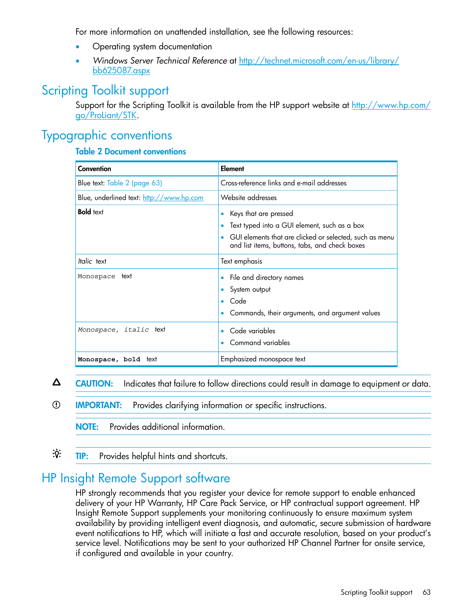For more information on unattended installation, see the following resources:

- Operating system documentation
- <span id="page-62-0"></span>• *Windows Server Technical Reference* at [http://technet.microsoft.com/en-us/library/](http://technet.microsoft.com/en-us/library/bb625087.aspx) [bb625087.aspx](http://technet.microsoft.com/en-us/library/bb625087.aspx)

# Scripting Toolkit support

<span id="page-62-1"></span>Support for the Scripting Toolkit is available from the HP support website at [http://www.hp.com/](http://www.hp.com/go/ProLiant/STK) [go/ProLiant/STK](http://www.hp.com/go/ProLiant/STK).

# Typographic conventions

#### <span id="page-62-4"></span><span id="page-62-3"></span>Table 2 Document conventions

| Convention                               | Element                                                                                                                                                                            |
|------------------------------------------|------------------------------------------------------------------------------------------------------------------------------------------------------------------------------------|
| Blue text: Table 2 (page 63)             | Cross-reference links and e-mail addresses                                                                                                                                         |
| Blue, underlined text: http://www.hp.com | Website addresses                                                                                                                                                                  |
| <b>Bold</b> text                         | Keys that are pressed<br>Text typed into a GUI element, such as a box<br>GUI elements that are clicked or selected, such as menu<br>and list items, buttons, tabs, and check boxes |
| Italic text                              | Text emphasis                                                                                                                                                                      |
| Monospace text                           | File and directory names<br>System output<br>Code<br>Commands, their arguments, and argument values                                                                                |
| Monospace, italic text                   | Code variables<br>Command variables                                                                                                                                                |
| Monospace, bold text                     | Emphasized monospace text                                                                                                                                                          |

- $\Delta$ CAUTION: Indicates that failure to follow directions could result in damage to equipment or data.
- $\odot$ IMPORTANT: Provides clarifying information or specific instructions.

<span id="page-62-2"></span>NOTE: Provides additional information.

 $\cdot \Omega$ TIP: Provides helpful hints and shortcuts.

# HP Insight Remote Support software

HP strongly recommends that you register your device for remote support to enable enhanced delivery of your HP Warranty, HP Care Pack Service, or HP contractual support agreement. HP Insight Remote Support supplements your monitoring continuously to ensure maximum system availability by providing intelligent event diagnosis, and automatic, secure submission of hardware event notifications to HP, which will initiate a fast and accurate resolution, based on your product's service level. Notifications may be sent to your authorized HP Channel Partner for onsite service, if configured and available in your country.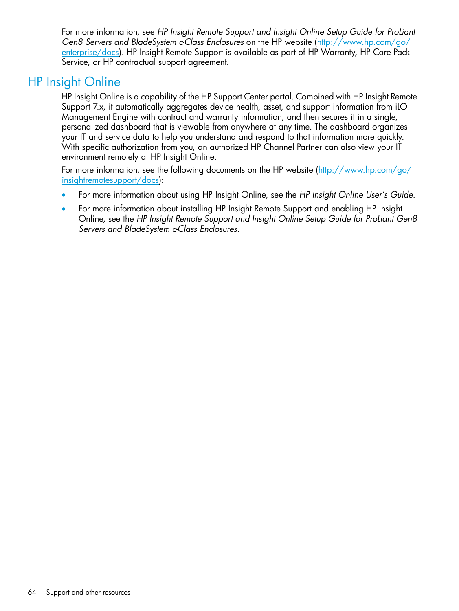For more information, see *HP Insight Remote Support and Insight Online Setup Guide for ProLiant Gen8 Servers and BladeSystem c-Class Enclosures* on the HP website [\(http://www.hp.com/go/](http://www.hp.com/go/enterprise/docs) [enterprise/docs](http://www.hp.com/go/enterprise/docs)). HP Insight Remote Support is available as part of HP Warranty, HP Care Pack Service, or HP contractual support agreement.

# HP Insight Online

<span id="page-63-1"></span><span id="page-63-0"></span>HP Insight Online is a capability of the HP Support Center portal. Combined with HP Insight Remote Support 7.x, it automatically aggregates device health, asset, and support information from iLO Management Engine with contract and warranty information, and then secures it in a single, personalized dashboard that is viewable from anywhere at any time. The dashboard organizes your IT and service data to help you understand and respond to that information more quickly. With specific authorization from you, an authorized HP Channel Partner can also view your IT environment remotely at HP Insight Online.

For more information, see the following documents on the HP website ([http://www.hp.com/go/](http://www.hp.com/go/insightremotesupport/docs) [insightremotesupport/docs\)](http://www.hp.com/go/insightremotesupport/docs):

- For more information about using HP Insight Online, see the *HP Insight Online User's Guide*.
- For more information about installing HP Insight Remote Support and enabling HP Insight Online, see the *HP Insight Remote Support and Insight Online Setup Guide for ProLiant Gen8 Servers and BladeSystem c-Class Enclosures*.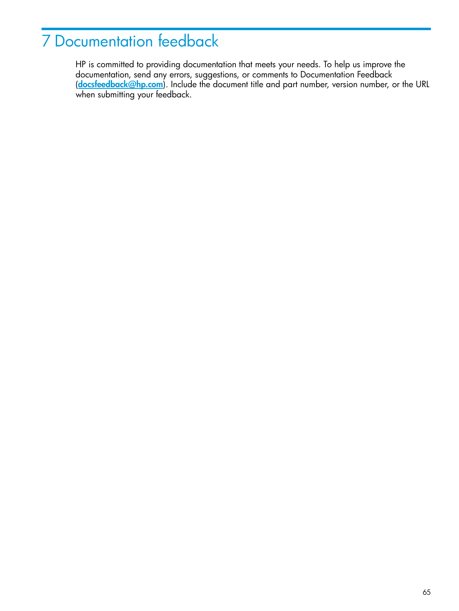# <span id="page-64-0"></span>7 Documentation feedback

<span id="page-64-1"></span>HP is committed to providing documentation that meets your needs. To help us improve the documentation, send any errors, suggestions, or comments to Documentation Feedback ([docsfeedback@hp.com](mailto:docsfeedback@hp.com)). Include the document title and part number, version number, or the URL when submitting your feedback.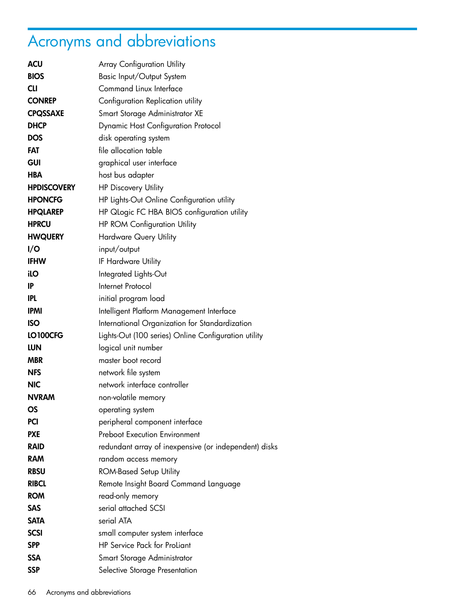# <span id="page-65-0"></span>Acronyms and abbreviations

<span id="page-65-1"></span>

| <b>ACU</b>         | <b>Array Configuration Utility</b>                    |
|--------------------|-------------------------------------------------------|
| <b>BIOS</b>        | Basic Input/Output System                             |
| <b>CLI</b>         | Command Linux Interface                               |
| <b>CONREP</b>      | Configuration Replication utility                     |
| <b>CPQSSAXE</b>    | Smart Storage Administrator XE                        |
| <b>DHCP</b>        | <b>Dynamic Host Configuration Protocol</b>            |
| <b>DOS</b>         | disk operating system                                 |
| <b>FAT</b>         | file allocation table                                 |
| <b>GUI</b>         | graphical user interface                              |
| <b>HBA</b>         | host bus adapter                                      |
| <b>HPDISCOVERY</b> | <b>HP Discovery Utility</b>                           |
| <b>HPONCFG</b>     | HP Lights-Out Online Configuration utility            |
| <b>HPQLAREP</b>    | HP Qlogic FC HBA BIOS configuration utility           |
| <b>HPRCU</b>       | <b>HP ROM Configuration Utility</b>                   |
| <b>HWQUERY</b>     | <b>Hardware Query Utility</b>                         |
| I/O                | input/output                                          |
| <b>IFHW</b>        | IF Hardware Utility                                   |
| ilO                | Integrated Lights-Out                                 |
| IP                 | Internet Protocol                                     |
| <b>IPL</b>         | initial program load                                  |
| <b>IPMI</b>        | Intelligent Platform Management Interface             |
| <b>ISO</b>         | International Organization for Standardization        |
| LO100CFG           | Lights-Out (100 series) Online Configuration utility  |
| <b>LUN</b>         | logical unit number                                   |
| <b>MBR</b>         | master boot record                                    |
| <b>NFS</b>         | network file system                                   |
| <b>NIC</b>         | network interface controller                          |
| <b>NVRAM</b>       | non-volatile memory                                   |
| OS                 | operating system                                      |
| <b>PCI</b>         | peripheral component interface                        |
| <b>PXE</b>         | <b>Preboot Execution Environment</b>                  |
| <b>RAID</b>        | redundant array of inexpensive (or independent) disks |
| <b>RAM</b>         | random access memory                                  |
| <b>RBSU</b>        | <b>ROM-Based Setup Utility</b>                        |
| <b>RIBCL</b>       | Remote Insight Board Command Language                 |
| <b>ROM</b>         | read-only memory                                      |
| <b>SAS</b>         | serial attached SCSI                                  |
| <b>SATA</b>        | serial ATA                                            |
| <b>SCSI</b>        | small computer system interface                       |
| <b>SPP</b>         | HP Service Pack for ProLiant                          |
| <b>SSA</b>         | Smart Storage Administrator                           |
| <b>SSP</b>         | Selective Storage Presentation                        |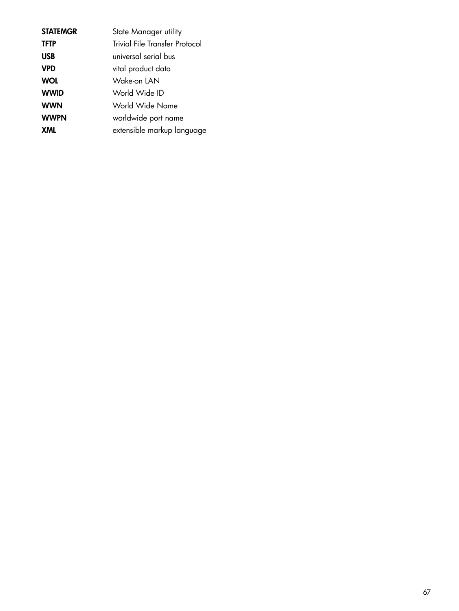| <b>STATEMGR</b> | State Manager utility                 |
|-----------------|---------------------------------------|
| <b>TFTP</b>     | <b>Trivial File Transfer Protocol</b> |
| <b>USB</b>      | universal serial bus                  |
| <b>VPD</b>      | vital product data                    |
| <b>WOL</b>      | Wake-on LAN                           |
| <b>WWID</b>     | World Wide ID                         |
| <b>WWN</b>      | World Wide Name                       |
| <b>WWPN</b>     | worldwide port name                   |
| XML             | extensible markup language            |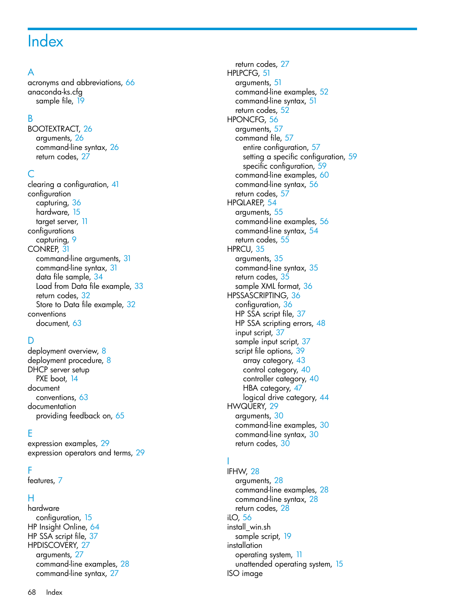# <span id="page-67-0"></span>**Index**

## A

acronyms and abbreviations, [6](#page-65-1)6 anaconda-ks.cfg sample file, [19](#page-18-2)

#### B

BOOTEXTRACT, 2 [6](#page-25-8) arguments, 2[6](#page-25-9) command-line syntax, [2](#page-25-10)6 r etur n code s , [2](#page-26-5) 7

#### C

clearing a configuration, 4[1](#page-40-4) conf igurati o n capturing , [3](#page-35-3) 6 hardware, [1](#page-14-3)5 target server, [1](#page-10-2)1 conf igurati ons capturing , [9](#page-8-2) CONREP, 3 [1](#page-30-3) command-line arguments, 3[1](#page-30-4) command-line syntax, [3](#page-30-5)1 data file sample, 3[4](#page-33-1) Load from Data file example, [3](#page-32-1)3 r etur n code s , [3](#page-31-2) 2 Store to Data file example, [3](#page-31-3)2 conventions document, [6](#page-62-4)3

### D

deployment overview, [8](#page-7-3) deployment procedure, [8](#page-7-4) DHCP server setup PXE boot, [1](#page-13-2)4 docume n t conventions, 6[3](#page-62-4) docume n tati o n providing feedback on, 6[5](#page-64-1)

#### E

expression examples, [2](#page-28-3)9 expression operators and terms, 2[9](#page-28-4)

#### F

featur e s , [7](#page-6-1)

#### H

har d war e configuration, 1[5](#page-14-3) HP Insight Online, [6](#page-63-1)4 HP SSA script file, 3[7](#page-36-3) HP DIS C OVERY, 2 [7](#page-26-6) arguments, 2[7](#page-26-7) command-line e xample s , 2 [8](#page-27-6) command-line syntax, [2](#page-26-8)7

r etur n code s , [2](#page-26-9) 7 HPLPCF G , 5 [1](#page-50-3) arguments, [5](#page-50-4)1 command-line e xample s , [5](#page-51-2) 2 command-line syntax, 5[1](#page-50-5) r etur n code s , 5 [2](#page-51-3) HPONCF G , [5](#page-55-3) 6 arguments, [5](#page-56-4)7 command file, <mark>[5](#page-56-5)</mark>7 entire configuration, 5[7](#page-56-6) setting a specific configuration, [5](#page-58-2)9 specific configuration, 5[9](#page-58-3) command-line examples, [6](#page-59-1)0 command-line syntax, 5[6](#page-55-4) r etur n code s , [5](#page-56-7) 7 HPQLAREP, 5 [4](#page-53-3) arguments, [5](#page-54-2)5 command-line examples, [5](#page-55-5)6 command-line syntax, 5[4](#page-53-4) r etur n code s , [5](#page-54-3) 5 HPRCU, [3](#page-34-4)5 arguments, [3](#page-34-5)5 command-line syntax, 3[5](#page-34-6) r etur n code s , 3 [5](#page-34-7) sample XML format, [3](#page-35-4)6 HP S S A SCRIP TING , 3 [6](#page-35-5) configuration, [3](#page-35-3)6 HP S S A s c ript file , [3](#page-36-3) 7 HP SSA scripting errors, [4](#page-47-1)8 input script, 3[7](#page-36-4) sample input script, [3](#page-36-5)7 script file options, [3](#page-38-1)9 array category, [4](#page-42-6)3 control category, [4](#page-39-4)0 controller category, [4](#page-39-5)0 HBA category, 4[7](#page-46-4) logical drive category, [44](#page-43-3) HWQUERY, [2](#page-28-5) 9 arguments, [3](#page-29-4)0 command-line examples, [3](#page-29-5)0 command-line syntax, 3[0](#page-29-6) r etur n code s , 3 [0](#page-29-7)

I

IFHW, [28](#page-27-7) arguments, [2](#page-27-8)8 command-line e xample s , [2](#page-27-9) 8 command-line syntax, 2[8](#page-27-10) r etur n code s , 2 [8](#page-27-11) iLO, 5[6](#page-55-3) ins tall\_win.sh sample script, 1[9](#page-18-3) ins tallati o n operating system, [1](#page-10-3)1 unattended operating system, [1](#page-14-4)5 ISO image